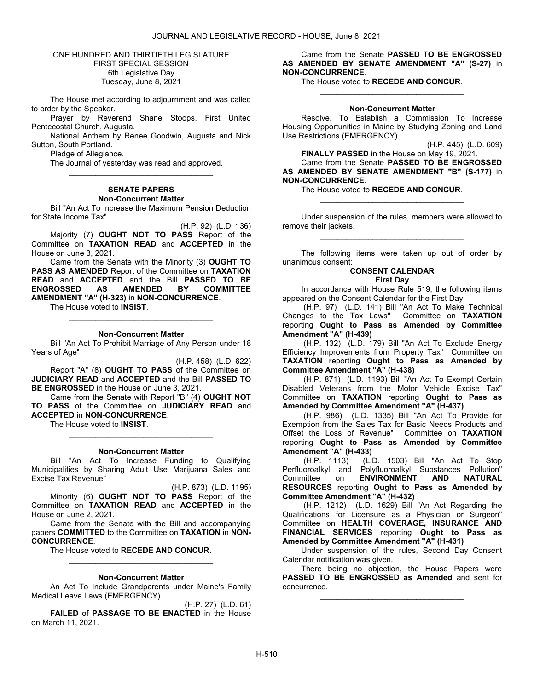ONE HUNDRED AND THIRTIETH LEGISLATURE FIRST SPECIAL SESSION 6th Legislative Day Tuesday, June 8, 2021

 The House met according to adjournment and was called to order by the Speaker.

 Prayer by Reverend Shane Stoops, First United Pentecostal Church, Augusta.

 National Anthem by Renee Goodwin, Augusta and Nick Sutton, South Portland.

Pledge of Allegiance.

 The Journal of yesterday was read and approved. \_\_\_\_\_\_\_\_\_\_\_\_\_\_\_\_\_\_\_\_\_\_\_\_\_\_\_\_\_\_\_\_\_

#### SENATE PAPERS Non-Concurrent Matter

 Bill "An Act To Increase the Maximum Pension Deduction for State Income Tax"

(H.P. 92) (L.D. 136) Majority (7) OUGHT NOT TO PASS Report of the Committee on TAXATION READ and ACCEPTED in the House on June 3, 2021.

 Came from the Senate with the Minority (3) OUGHT TO PASS AS AMENDED Report of the Committee on TAXATION **READ and ACCEPTED and the Bill PASSED TO BE<br>ENGROSSED AS AMENDED BY COMMITTEE ENGROSSED** AMENDMENT "A" (H-323) in NON-CONCURRENCE.

The House voted to INSIST.

#### Non-Concurrent Matter

\_\_\_\_\_\_\_\_\_\_\_\_\_\_\_\_\_\_\_\_\_\_\_\_\_\_\_\_\_\_\_\_\_

 Bill "An Act To Prohibit Marriage of Any Person under 18 Years of Age"

(H.P. 458) (L.D. 622) Report "A" (8) OUGHT TO PASS of the Committee on JUDICIARY READ and ACCEPTED and the Bill PASSED TO BE ENGROSSED in the House on June 3, 2021.

 Came from the Senate with Report "B" (4) OUGHT NOT TO PASS of the Committee on JUDICIARY READ and ACCEPTED in NON-CONCURRENCE.

The House voted to **INSIST** 

#### Non-Concurrent Matter

\_\_\_\_\_\_\_\_\_\_\_\_\_\_\_\_\_\_\_\_\_\_\_\_\_\_\_\_\_\_\_\_\_

 Bill "An Act To Increase Funding to Qualifying Municipalities by Sharing Adult Use Marijuana Sales and Excise Tax Revenue"

(H.P. 873) (L.D. 1195) Minority (6) OUGHT NOT TO PASS Report of the Committee on TAXATION READ and ACCEPTED in the House on June 2, 2021.

 Came from the Senate with the Bill and accompanying papers COMMITTED to the Committee on TAXATION in NON-CONCURRENCE.

The House voted to RECEDE AND CONCUR.

# \_\_\_\_\_\_\_\_\_\_\_\_\_\_\_\_\_\_\_\_\_\_\_\_\_\_\_\_\_\_\_\_\_ Non-Concurrent Matter

 An Act To Include Grandparents under Maine's Family Medical Leave Laws (EMERGENCY)

(H.P. 27) (L.D. 61) FAILED of PASSAGE TO BE ENACTED in the House on March 11, 2021.

 Came from the Senate PASSED TO BE ENGROSSED AS AMENDED BY SENATE AMENDMENT "A" (S-27) in NON-CONCURRENCE.

The House voted to RECEDE AND CONCUR.

### Non-Concurrent Matter

\_\_\_\_\_\_\_\_\_\_\_\_\_\_\_\_\_\_\_\_\_\_\_\_\_\_\_\_\_\_\_\_\_

 Resolve, To Establish a Commission To Increase Housing Opportunities in Maine by Studying Zoning and Land Use Restrictions (EMERGENCY)

(H.P. 445) (L.D. 609)

FINALLY PASSED in the House on May 19, 2021. Came from the Senate PASSED TO BE ENGROSSED AS AMENDED BY SENATE AMENDMENT "B" (S-177) in NON-CONCURRENCE.

The House voted to RECEDE AND CONCUR.

 Under suspension of the rules, members were allowed to remove their jackets. \_\_\_\_\_\_\_\_\_\_\_\_\_\_\_\_\_\_\_\_\_\_\_\_\_\_\_\_\_\_\_\_\_

\_\_\_\_\_\_\_\_\_\_\_\_\_\_\_\_\_\_\_\_\_\_\_\_\_\_\_\_\_\_\_\_\_

 The following items were taken up out of order by unanimous consent:

## CONSENT CALENDAR

## First Day

 In accordance with House Rule 519, the following items appeared on the Consent Calendar for the First Day:

 (H.P. 97) (L.D. 141) Bill "An Act To Make Technical Changes to the Tax Laws" Committee on TAXATION reporting Ought to Pass as Amended by Committee Amendment "A" (H-439)

 (H.P. 132) (L.D. 179) Bill "An Act To Exclude Energy Efficiency Improvements from Property Tax" Committee on TAXATION reporting Ought to Pass as Amended by Committee Amendment "A" (H-438)

 (H.P. 871) (L.D. 1193) Bill "An Act To Exempt Certain Disabled Veterans from the Motor Vehicle Excise Tax" Committee on TAXATION reporting Ought to Pass as Amended by Committee Amendment "A" (H-437)

 (H.P. 986) (L.D. 1335) Bill "An Act To Provide for Exemption from the Sales Tax for Basic Needs Products and Offset the Loss of Revenue" Committee on TAXATION reporting Ought to Pass as Amended by Committee **Amendment "A" (H-433)**<br>(H.P. 1113) (L.I)

(L.D. 1503) Bill "An Act To Stop Perfluoroalkyl and Polyfluoroalkyl Substances Pollution" Committee on ENVIRONMENT AND NATURAL RESOURCES reporting Ought to Pass as Amended by Committee Amendment "A" (H-432)

 (H.P. 1212) (L.D. 1629) Bill "An Act Regarding the Qualifications for Licensure as a Physician or Surgeon" Committee on HEALTH COVERAGE, INSURANCE AND FINANCIAL SERVICES reporting Ought to Pass as Amended by Committee Amendment "A" (H-431)

 Under suspension of the rules, Second Day Consent Calendar notification was given.

 There being no objection, the House Papers were PASSED TO BE ENGROSSED as Amended and sent for concurrence.

\_\_\_\_\_\_\_\_\_\_\_\_\_\_\_\_\_\_\_\_\_\_\_\_\_\_\_\_\_\_\_\_\_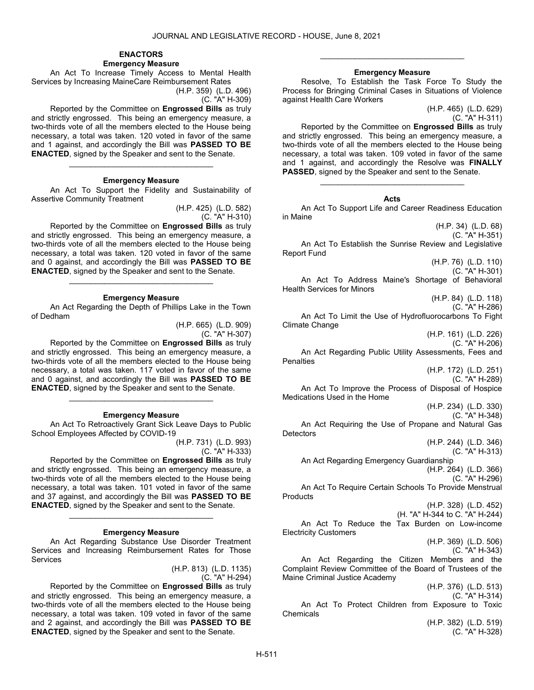#### ENACTORS Emergency Measure

 An Act To Increase Timely Access to Mental Health Services by Increasing MaineCare Reimbursement Rates

(H.P. 359) (L.D. 496)

(C. "A" H-309)

 Reported by the Committee on Engrossed Bills as truly and strictly engrossed. This being an emergency measure, a two-thirds vote of all the members elected to the House being necessary, a total was taken. 120 voted in favor of the same and 1 against, and accordingly the Bill was PASSED TO BE ENACTED, signed by the Speaker and sent to the Senate.

#### Emergency Measure

\_\_\_\_\_\_\_\_\_\_\_\_\_\_\_\_\_\_\_\_\_\_\_\_\_\_\_\_\_\_\_\_\_

 An Act To Support the Fidelity and Sustainability of Assertive Community Treatment

> (H.P. 425) (L.D. 582) (C. "A" H-310)

 Reported by the Committee on Engrossed Bills as truly and strictly engrossed. This being an emergency measure, a two-thirds vote of all the members elected to the House being necessary, a total was taken. 120 voted in favor of the same and 0 against, and accordingly the Bill was PASSED TO BE ENACTED, signed by the Speaker and sent to the Senate. \_\_\_\_\_\_\_\_\_\_\_\_\_\_\_\_\_\_\_\_\_\_\_\_\_\_\_\_\_\_\_\_\_

#### Emergency Measure

 An Act Regarding the Depth of Phillips Lake in the Town of Dedham

> (H.P. 665) (L.D. 909) (C. "A" H-307)

 Reported by the Committee on Engrossed Bills as truly and strictly engrossed. This being an emergency measure, a two-thirds vote of all the members elected to the House being necessary, a total was taken. 117 voted in favor of the same and 0 against, and accordingly the Bill was PASSED TO BE ENACTED, signed by the Speaker and sent to the Senate. \_\_\_\_\_\_\_\_\_\_\_\_\_\_\_\_\_\_\_\_\_\_\_\_\_\_\_\_\_\_\_\_\_

#### Emergency Measure

 An Act To Retroactively Grant Sick Leave Days to Public School Employees Affected by COVID-19

(H.P. 731) (L.D. 993)

(C. "A" H-333)

 Reported by the Committee on Engrossed Bills as truly and strictly engrossed. This being an emergency measure, a two-thirds vote of all the members elected to the House being necessary, a total was taken. 101 voted in favor of the same and 37 against, and accordingly the Bill was PASSED TO BE ENACTED, signed by the Speaker and sent to the Senate.

#### Emergency Measure

\_\_\_\_\_\_\_\_\_\_\_\_\_\_\_\_\_\_\_\_\_\_\_\_\_\_\_\_\_\_\_\_\_

 An Act Regarding Substance Use Disorder Treatment Services and Increasing Reimbursement Rates for Those Services

> (H.P. 813) (L.D. 1135) (C. "A" H-294)

 Reported by the Committee on Engrossed Bills as truly and strictly engrossed. This being an emergency measure, a two-thirds vote of all the members elected to the House being necessary, a total was taken. 109 voted in favor of the same and 2 against, and accordingly the Bill was PASSED TO BE ENACTED, signed by the Speaker and sent to the Senate.

### Emergency Measure

\_\_\_\_\_\_\_\_\_\_\_\_\_\_\_\_\_\_\_\_\_\_\_\_\_\_\_\_\_\_\_\_\_

 Resolve, To Establish the Task Force To Study the Process for Bringing Criminal Cases in Situations of Violence against Health Care Workers

> (H.P. 465) (L.D. 629) (C. "A" H-311)

 Reported by the Committee on Engrossed Bills as truly and strictly engrossed. This being an emergency measure, a two-thirds vote of all the members elected to the House being necessary, a total was taken. 109 voted in favor of the same and 1 against, and accordingly the Resolve was FINALLY PASSED, signed by the Speaker and sent to the Senate.

### Acts

\_\_\_\_\_\_\_\_\_\_\_\_\_\_\_\_\_\_\_\_\_\_\_\_\_\_\_\_\_\_\_\_\_

 An Act To Support Life and Career Readiness Education in Maine (H.P. 34) (L.D. 68) (C. "A" H-351) An Act To Establish the Sunrise Review and Legislative Report Fund (H.P. 76) (L.D. 110) (C. "A" H-301) An Act To Address Maine's Shortage of Behavioral Health Services for Minors (H.P. 84) (L.D. 118) (C. "A" H-286) An Act To Limit the Use of Hydrofluorocarbons To Fight Climate Change (H.P. 161) (L.D. 226) (C. "A" H-206) An Act Regarding Public Utility Assessments, Fees and **Penalties** (H.P. 172) (L.D. 251) (C. "A" H-289) An Act To Improve the Process of Disposal of Hospice Medications Used in the Home (H.P. 234) (L.D. 330) (C. "A" H-348) An Act Requiring the Use of Propane and Natural Gas **Detectors** (H.P. 244) (L.D. 346) (C. "A" H-313) An Act Regarding Emergency Guardianship (H.P. 264) (L.D. 366) (C. "A" H-296) An Act To Require Certain Schools To Provide Menstrual **Products** (H.P. 328) (L.D. 452) (H. "A" H-344 to C. "A" H-244) An Act To Reduce the Tax Burden on Low-income Electricity Customers (H.P. 369) (L.D. 506) (C. "A" H-343) An Act Regarding the Citizen Members and the Complaint Review Committee of the Board of Trustees of the Maine Criminal Justice Academy (H.P. 376) (L.D. 513) (C. "A" H-314) An Act To Protect Children from Exposure to Toxic Chemicals (H.P. 382) (L.D. 519) (C. "A" H-328)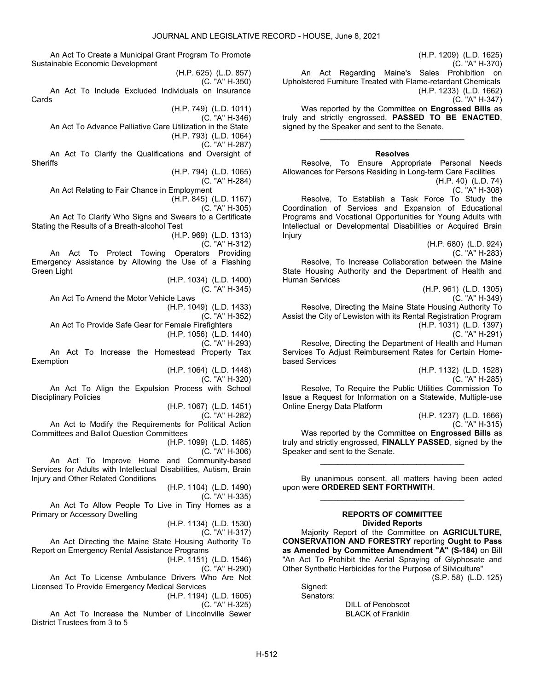An Act To Create a Municipal Grant Program To Promote Sustainable Economic Development

(H.P. 625) (L.D. 857) (C. "A" H-350) An Act To Include Excluded Individuals on Insurance Cards

(H.P. 749) (L.D. 1011)

(C. "A" H-346) An Act To Advance Palliative Care Utilization in the State

(H.P. 793) (L.D. 1064)

(C. "A" H-287)

 An Act To Clarify the Qualifications and Oversight of **Sheriffs** 

(H.P. 794) (L.D. 1065)

(C. "A" H-284)

 An Act Relating to Fair Chance in Employment (H.P. 845) (L.D. 1167)

(C. "A" H-305)

 An Act To Clarify Who Signs and Swears to a Certificate Stating the Results of a Breath-alcohol Test

> (H.P. 969) (L.D. 1313) (C. "A" H-312)

 An Act To Protect Towing Operators Providing Emergency Assistance by Allowing the Use of a Flashing Green Light

(H.P. 1034) (L.D. 1400)

(C. "A" H-345)

 An Act To Amend the Motor Vehicle Laws (H.P. 1049) (L.D. 1433) (C. "A" H-352)

An Act To Provide Safe Gear for Female Firefighters

(H.P. 1056) (L.D. 1440)

(C. "A" H-293)

 An Act To Increase the Homestead Property Tax Exemption

(H.P. 1064) (L.D. 1448)

(C. "A" H-320)

 An Act To Align the Expulsion Process with School Disciplinary Policies

(H.P. 1067) (L.D. 1451)

(C. "A" H-282)

 An Act to Modify the Requirements for Political Action Committees and Ballot Question Committees

(H.P. 1099) (L.D. 1485)

(C. "A" H-306)

 An Act To Improve Home and Community-based Services for Adults with Intellectual Disabilities, Autism, Brain Injury and Other Related Conditions

(H.P. 1104) (L.D. 1490)

(C. "A" H-335)

 An Act To Allow People To Live in Tiny Homes as a Primary or Accessory Dwelling

(H.P. 1134) (L.D. 1530) (C. "A" H-317)

 An Act Directing the Maine State Housing Authority To Report on Emergency Rental Assistance Programs

(H.P. 1151) (L.D. 1546)

(C. "A" H-290)

 An Act To License Ambulance Drivers Who Are Not Licensed To Provide Emergency Medical Services

(H.P. 1194) (L.D. 1605)

(C. "A" H-325)

 An Act To Increase the Number of Lincolnville Sewer District Trustees from 3 to 5

(H.P. 1209) (L.D. 1625) (C. "A" H-370) An Act Regarding Maine's Sales Prohibition on Upholstered Furniture Treated with Flame-retardant Chemicals (H.P. 1233) (L.D. 1662) (C. "A" H-347)

Was reported by the Committee on **Engrossed Bills** as truly and strictly engrossed, PASSED TO BE ENACTED, signed by the Speaker and sent to the Senate.

\_\_\_\_\_\_\_\_\_\_\_\_\_\_\_\_\_\_\_\_\_\_\_\_\_\_\_\_\_\_\_\_\_

## Resolves

 Resolve, To Ensure Appropriate Personal Needs Allowances for Persons Residing in Long-term Care Facilities

(H.P. 40) (L.D. 74) (C. "A" H-308)

 Resolve, To Establish a Task Force To Study the Coordination of Services and Expansion of Educational Programs and Vocational Opportunities for Young Adults with Intellectual or Developmental Disabilities or Acquired Brain Injury

(H.P. 680) (L.D. 924) (C. "A" H-283) Resolve, To Increase Collaboration between the Maine State Housing Authority and the Department of Health and Human Services

(H.P. 961) (L.D. 1305)

(C. "A" H-349)

 Resolve, Directing the Maine State Housing Authority To Assist the City of Lewiston with its Rental Registration Program (H.P. 1031) (L.D. 1397) (C. "A" H-291)

 Resolve, Directing the Department of Health and Human Services To Adjust Reimbursement Rates for Certain Homebased Services

(H.P. 1132) (L.D. 1528) (C. "A" H-285)

 Resolve, To Require the Public Utilities Commission To Issue a Request for Information on a Statewide, Multiple-use Online Energy Data Platform

(H.P. 1237) (L.D. 1666) (C. "A" H-315)

Was reported by the Committee on Engrossed Bills as truly and strictly engrossed, FINALLY PASSED, signed by the Speaker and sent to the Senate.

\_\_\_\_\_\_\_\_\_\_\_\_\_\_\_\_\_\_\_\_\_\_\_\_\_\_\_\_\_\_\_\_\_

 By unanimous consent, all matters having been acted upon were ORDERED SENT FORTHWITH. \_\_\_\_\_\_\_\_\_\_\_\_\_\_\_\_\_\_\_\_\_\_\_\_\_\_\_\_\_\_\_\_\_

### REPORTS OF COMMITTEE Divided Reports

 Majority Report of the Committee on AGRICULTURE, CONSERVATION AND FORESTRY reporting Ought to Pass as Amended by Committee Amendment "A" (S-184) on Bill "An Act To Prohibit the Aerial Spraying of Glyphosate and Other Synthetic Herbicides for the Purpose of Silviculture"

(S.P. 58) (L.D. 125)

Signed: Senators:

 DILL of Penobscot BLACK of Franklin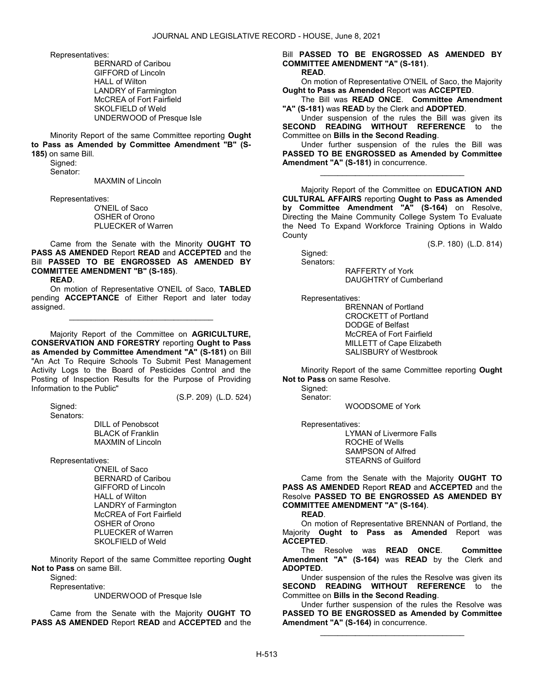Representatives:

 BERNARD of Caribou GIFFORD of Lincoln HALL of Wilton LANDRY of Farmington McCREA of Fort Fairfield SKOLFIELD of Weld UNDERWOOD of Presque Isle

 Minority Report of the same Committee reporting Ought to Pass as Amended by Committee Amendment "B" (S-185) on same Bill.

Signed:

Senator:

MAXMIN of Lincoln

Representatives:

 O'NEIL of Saco OSHER of Orono PLUECKER of Warren

 Came from the Senate with the Minority OUGHT TO PASS AS AMENDED Report READ and ACCEPTED and the Bill PASSED TO BE ENGROSSED AS AMENDED BY COMMITTEE AMENDMENT "B" (S-185). READ.

 On motion of Representative O'NEIL of Saco, TABLED pending **ACCEPTANCE** of Either Report and later today assigned.

\_\_\_\_\_\_\_\_\_\_\_\_\_\_\_\_\_\_\_\_\_\_\_\_\_\_\_\_\_\_\_\_\_

 Majority Report of the Committee on AGRICULTURE, CONSERVATION AND FORESTRY reporting Ought to Pass as Amended by Committee Amendment "A" (S-181) on Bill "An Act To Require Schools To Submit Pest Management Activity Logs to the Board of Pesticides Control and the Posting of Inspection Results for the Purpose of Providing Information to the Public"

(S.P. 209) (L.D. 524)

 Signed: Senators:

 DILL of Penobscot BLACK of Franklin MAXMIN of Lincoln

Representatives:

 O'NEIL of Saco BERNARD of Caribou GIFFORD of Lincoln HALL of Wilton LANDRY of Farmington McCREA of Fort Fairfield OSHER of Orono PLUECKER of Warren SKOLFIELD of Weld

 Minority Report of the same Committee reporting Ought Not to Pass on same Bill.

Signed:

Representative:

UNDERWOOD of Presque Isle

 Came from the Senate with the Majority OUGHT TO PASS AS AMENDED Report READ and ACCEPTED and the Bill PASSED TO BE ENGROSSED AS AMENDED BY COMMITTEE AMENDMENT "A" (S-181). READ.

 On motion of Representative O'NEIL of Saco, the Majority Ought to Pass as Amended Report was ACCEPTED.

 The Bill was READ ONCE. Committee Amendment "A" (S-181) was READ by the Clerk and ADOPTED.

 Under suspension of the rules the Bill was given its SECOND READING WITHOUT REFERENCE to the Committee on Bills in the Second Reading.

 Under further suspension of the rules the Bill was PASSED TO BE ENGROSSED as Amended by Committee Amendment "A" (S-181) in concurrence.

\_\_\_\_\_\_\_\_\_\_\_\_\_\_\_\_\_\_\_\_\_\_\_\_\_\_\_\_\_\_\_\_\_

 Majority Report of the Committee on EDUCATION AND CULTURAL AFFAIRS reporting Ought to Pass as Amended by Committee Amendment "A" (S-164) on Resolve, Directing the Maine Community College System To Evaluate the Need To Expand Workforce Training Options in Waldo **County** 

(S.P. 180) (L.D. 814)

 Signed: Senators:

 RAFFERTY of York DAUGHTRY of Cumberland

Representatives:

 BRENNAN of Portland CROCKETT of Portland DODGE of Belfast McCREA of Fort Fairfield MILLETT of Cape Elizabeth SALISBURY of Westbrook

 Minority Report of the same Committee reporting Ought Not to Pass on same Resolve.

 Signed: Senator:

WOODSOME of York

Representatives:

 LYMAN of Livermore Falls ROCHE of Wells SAMPSON of Alfred STEARNS of Guilford

 Came from the Senate with the Majority OUGHT TO PASS AS AMENDED Report READ and ACCEPTED and the Resolve PASSED TO BE ENGROSSED AS AMENDED BY COMMITTEE AMENDMENT "A" (S-164).

READ.

 On motion of Representative BRENNAN of Portland, the Majority Ought to Pass as Amended Report was ACCEPTED.

 The Resolve was READ ONCE. Committee Amendment "A" (S-164) was READ by the Clerk and ADOPTED.

 Under suspension of the rules the Resolve was given its SECOND READING WITHOUT REFERENCE to the Committee on Bills in the Second Reading.

 Under further suspension of the rules the Resolve was PASSED TO BE ENGROSSED as Amended by Committee Amendment "A" (S-164) in concurrence.

\_\_\_\_\_\_\_\_\_\_\_\_\_\_\_\_\_\_\_\_\_\_\_\_\_\_\_\_\_\_\_\_\_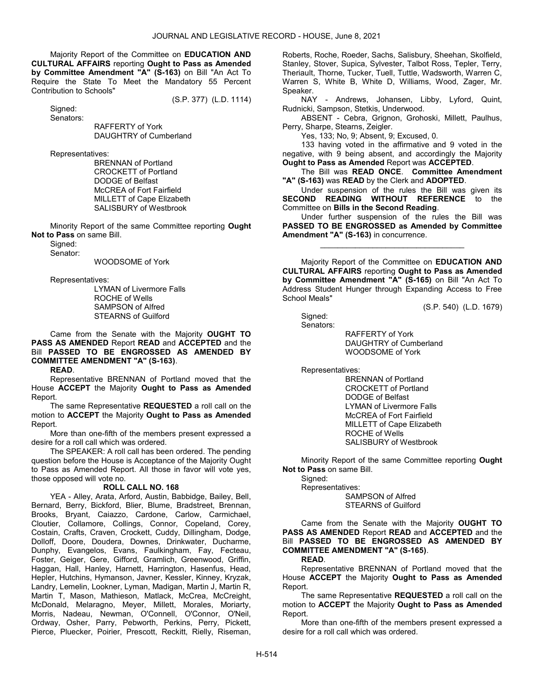Majority Report of the Committee on EDUCATION AND CULTURAL AFFAIRS reporting Ought to Pass as Amended by Committee Amendment "A" (S-163) on Bill "An Act To Require the State To Meet the Mandatory 55 Percent Contribution to Schools"

(S.P. 377) (L.D. 1114)

 Signed: Senators:

 RAFFERTY of York DAUGHTRY of Cumberland

Representatives:

 BRENNAN of Portland CROCKETT of Portland DODGE of Belfast McCREA of Fort Fairfield MILLETT of Cape Elizabeth SALISBURY of Westbrook

 Minority Report of the same Committee reporting Ought Not to Pass on same Bill.

 Signed: Senator:

WOODSOME of York

Representatives:

 LYMAN of Livermore Falls ROCHE of Wells SAMPSON of Alfred STEARNS of Guilford

 Came from the Senate with the Majority OUGHT TO PASS AS AMENDED Report READ and ACCEPTED and the Bill PASSED TO BE ENGROSSED AS AMENDED BY COMMITTEE AMENDMENT "A" (S-163).

READ.

 Representative BRENNAN of Portland moved that the House ACCEPT the Majority Ought to Pass as Amended Report.

 The same Representative REQUESTED a roll call on the motion to ACCEPT the Majority Ought to Pass as Amended Report.

 More than one-fifth of the members present expressed a desire for a roll call which was ordered.

 The SPEAKER: A roll call has been ordered. The pending question before the House is Acceptance of the Majority Ought to Pass as Amended Report. All those in favor will vote yes, those opposed will vote no.

### ROLL CALL NO. 168

 YEA - Alley, Arata, Arford, Austin, Babbidge, Bailey, Bell, Bernard, Berry, Bickford, Blier, Blume, Bradstreet, Brennan, Brooks, Bryant, Caiazzo, Cardone, Carlow, Carmichael, Cloutier, Collamore, Collings, Connor, Copeland, Corey, Costain, Crafts, Craven, Crockett, Cuddy, Dillingham, Dodge, Dolloff, Doore, Doudera, Downes, Drinkwater, Ducharme, Dunphy, Evangelos, Evans, Faulkingham, Fay, Fecteau, Foster, Geiger, Gere, Gifford, Gramlich, Greenwood, Griffin, Haggan, Hall, Hanley, Harnett, Harrington, Hasenfus, Head, Hepler, Hutchins, Hymanson, Javner, Kessler, Kinney, Kryzak, Landry, Lemelin, Lookner, Lyman, Madigan, Martin J, Martin R, Martin T. Mason, Mathieson, Matlack, McCrea, McCreight, McDonald, Melaragno, Meyer, Millett, Morales, Moriarty, Morris, Nadeau, Newman, O'Connell, O'Connor, O'Neil, Ordway, Osher, Parry, Pebworth, Perkins, Perry, Pickett, Pierce, Pluecker, Poirier, Prescott, Reckitt, Rielly, Riseman, Roberts, Roche, Roeder, Sachs, Salisbury, Sheehan, Skolfield, Stanley, Stover, Supica, Sylvester, Talbot Ross, Tepler, Terry, Theriault, Thorne, Tucker, Tuell, Tuttle, Wadsworth, Warren C, Warren S, White B, White D, Williams, Wood, Zager, Mr. Speaker.

 NAY - Andrews, Johansen, Libby, Lyford, Quint, Rudnicki, Sampson, Stetkis, Underwood.

 ABSENT - Cebra, Grignon, Grohoski, Millett, Paulhus, Perry, Sharpe, Stearns, Zeigler.

Yes, 133; No, 9; Absent, 9; Excused, 0.

 133 having voted in the affirmative and 9 voted in the negative, with 9 being absent, and accordingly the Majority Ought to Pass as Amended Report was ACCEPTED.

 The Bill was READ ONCE. Committee Amendment "A" (S-163) was READ by the Clerk and ADOPTED.

 Under suspension of the rules the Bill was given its SECOND READING WITHOUT REFERENCE to the Committee on Bills in the Second Reading.

 Under further suspension of the rules the Bill was PASSED TO BE ENGROSSED as Amended by Committee Amendment "A" (S-163) in concurrence.

\_\_\_\_\_\_\_\_\_\_\_\_\_\_\_\_\_\_\_\_\_\_\_\_\_\_\_\_\_\_\_\_\_

 Majority Report of the Committee on EDUCATION AND CULTURAL AFFAIRS reporting Ought to Pass as Amended by Committee Amendment "A" (S-165) on Bill "An Act To Address Student Hunger through Expanding Access to Free School Meals"

(S.P. 540) (L.D. 1679)

 Signed: Senators:

> RAFFERTY of York DAUGHTRY of Cumberland WOODSOME of York

Representatives:

 BRENNAN of Portland CROCKETT of Portland DODGE of Belfast LYMAN of Livermore Falls McCREA of Fort Fairfield MILLETT of Cape Elizabeth ROCHE of Wells SALISBURY of Westbrook

 Minority Report of the same Committee reporting Ought Not to Pass on same Bill.

Signed:

 Representatives: SAMPSON of Alfred STEARNS of Guilford

 Came from the Senate with the Majority OUGHT TO PASS AS AMENDED Report READ and ACCEPTED and the Bill PASSED TO BE ENGROSSED AS AMENDED BY COMMITTEE AMENDMENT "A" (S-165).

### READ.

 Representative BRENNAN of Portland moved that the House ACCEPT the Majority Ought to Pass as Amended Report.

 The same Representative REQUESTED a roll call on the motion to ACCEPT the Majority Ought to Pass as Amended Report.

 More than one-fifth of the members present expressed a desire for a roll call which was ordered.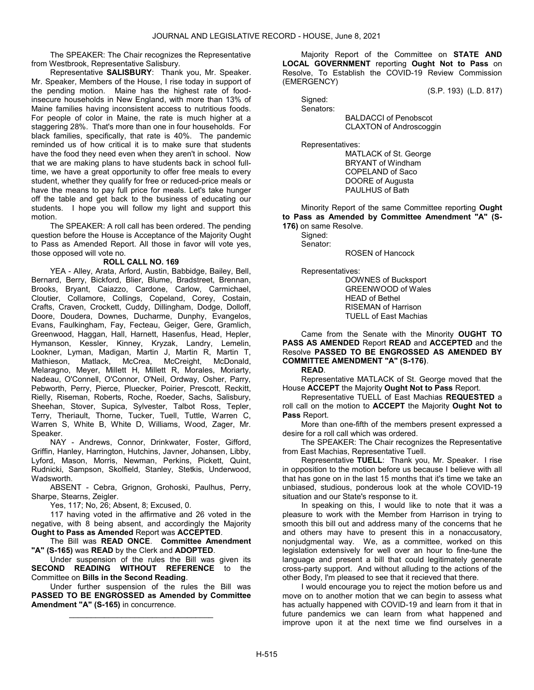The SPEAKER: The Chair recognizes the Representative from Westbrook, Representative Salisbury.

 Representative SALISBURY: Thank you, Mr. Speaker. Mr. Speaker, Members of the House, I rise today in support of the pending motion. Maine has the highest rate of foodinsecure households in New England, with more than 13% of Maine families having inconsistent access to nutritious foods. For people of color in Maine, the rate is much higher at a staggering 28%. That's more than one in four households. For black families, specifically, that rate is 40%. The pandemic reminded us of how critical it is to make sure that students have the food they need even when they aren't in school. Now that we are making plans to have students back in school fulltime, we have a great opportunity to offer free meals to every student, whether they qualify for free or reduced-price meals or have the means to pay full price for meals. Let's take hunger off the table and get back to the business of educating our students. I hope you will follow my light and support this motion.

 The SPEAKER: A roll call has been ordered. The pending question before the House is Acceptance of the Majority Ought to Pass as Amended Report. All those in favor will vote yes, those opposed will vote no.

### ROLL CALL NO. 169

 YEA - Alley, Arata, Arford, Austin, Babbidge, Bailey, Bell, Bernard, Berry, Bickford, Blier, Blume, Bradstreet, Brennan, Brooks, Bryant, Caiazzo, Cardone, Carlow, Carmichael, Cloutier, Collamore, Collings, Copeland, Corey, Costain, Crafts, Craven, Crockett, Cuddy, Dillingham, Dodge, Dolloff, Doore, Doudera, Downes, Ducharme, Dunphy, Evangelos, Evans, Faulkingham, Fay, Fecteau, Geiger, Gere, Gramlich, Greenwood, Haggan, Hall, Harnett, Hasenfus, Head, Hepler, Hymanson, Kessler, Kinney, Kryzak, Landry, Lemelin, Lookner, Lyman, Madigan, Martin J, Martin R, Martin T, Mathieson, Matlack, McCrea, McCreight, McDonald, Melaragno, Meyer, Millett H, Millett R, Morales, Moriarty, Nadeau, O'Connell, O'Connor, O'Neil, Ordway, Osher, Parry, Pebworth, Perry, Pierce, Pluecker, Poirier, Prescott, Reckitt, Rielly, Riseman, Roberts, Roche, Roeder, Sachs, Salisbury, Sheehan, Stover, Supica, Sylvester, Talbot Ross, Tepler, Terry, Theriault, Thorne, Tucker, Tuell, Tuttle, Warren C, Warren S, White B, White D, Williams, Wood, Zager, Mr. Speaker.

 NAY - Andrews, Connor, Drinkwater, Foster, Gifford, Griffin, Hanley, Harrington, Hutchins, Javner, Johansen, Libby, Lyford, Mason, Morris, Newman, Perkins, Pickett, Quint, Rudnicki, Sampson, Skolfield, Stanley, Stetkis, Underwood, Wadsworth.

 ABSENT - Cebra, Grignon, Grohoski, Paulhus, Perry, Sharpe, Stearns, Zeigler.

Yes, 117; No, 26; Absent, 8; Excused, 0.

 117 having voted in the affirmative and 26 voted in the negative, with 8 being absent, and accordingly the Majority Ought to Pass as Amended Report was ACCEPTED.

 The Bill was READ ONCE. Committee Amendment "A" (S-165) was READ by the Clerk and ADOPTED.

 Under suspension of the rules the Bill was given its SECOND READING WITHOUT REFERENCE to the Committee on Bills in the Second Reading.

 Under further suspension of the rules the Bill was PASSED TO BE ENGROSSED as Amended by Committee Amendment "A" (S-165) in concurrence.

\_\_\_\_\_\_\_\_\_\_\_\_\_\_\_\_\_\_\_\_\_\_\_\_\_\_\_\_\_\_\_\_\_

 Majority Report of the Committee on STATE AND LOCAL GOVERNMENT reporting Ought Not to Pass on Resolve, To Establish the COVID-19 Review Commission (EMERGENCY)

(S.P. 193) (L.D. 817)

 Signed: Senators:

 BALDACCI of Penobscot CLAXTON of Androscoggin

Representatives:

 MATLACK of St. George BRYANT of Windham COPELAND of Saco DOORE of Augusta PAULHUS of Bath

 Minority Report of the same Committee reporting Ought to Pass as Amended by Committee Amendment "A" (S-176) on same Resolve.

Signed:

Senator:

ROSEN of Hancock

Representatives:

 DOWNES of Bucksport GREENWOOD of Wales HEAD of Bethel RISEMAN of Harrison TUELL of East Machias

 Came from the Senate with the Minority OUGHT TO PASS AS AMENDED Report READ and ACCEPTED and the Resolve PASSED TO BE ENGROSSED AS AMENDED BY COMMITTEE AMENDMENT "A" (S-176).

READ.

 Representative MATLACK of St. George moved that the House ACCEPT the Majority Ought Not to Pass Report.

 Representative TUELL of East Machias REQUESTED a roll call on the motion to ACCEPT the Majority Ought Not to Pass Report.

 More than one-fifth of the members present expressed a desire for a roll call which was ordered.

 The SPEAKER: The Chair recognizes the Representative from East Machias, Representative Tuell.

Representative TUELL: Thank you, Mr. Speaker. I rise in opposition to the motion before us because I believe with all that has gone on in the last 15 months that it's time we take an unbiased, studious, ponderous look at the whole COVID-19 situation and our State's response to it.

In speaking on this, I would like to note that it was a pleasure to work with the Member from Harrison in trying to smooth this bill out and address many of the concerns that he and others may have to present this in a nonaccusatory, nonjudgmental way. We, as a committee, worked on this legislation extensively for well over an hour to fine-tune the language and present a bill that could legitimately generate cross-party support. And without alluding to the actions of the other Body, I'm pleased to see that it recieved that there.

I would encourage you to reject the motion before us and move on to another motion that we can begin to assess what has actually happened with COVID-19 and learn from it that in future pandemics we can learn from what happened and improve upon it at the next time we find ourselves in a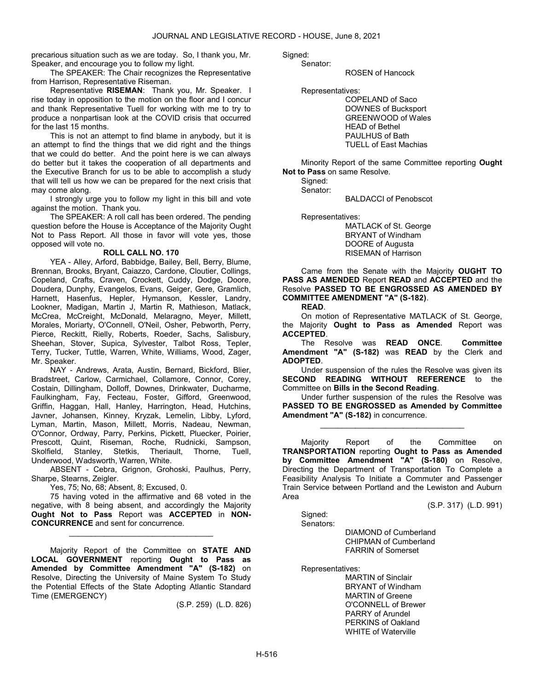precarious situation such as we are today. So, I thank you, Mr. Speaker, and encourage you to follow my light.

 The SPEAKER: The Chair recognizes the Representative from Harrison, Representative Riseman.

Representative RISEMAN: Thank you, Mr. Speaker. I rise today in opposition to the motion on the floor and I concur and thank Representative Tuell for working with me to try to produce a nonpartisan look at the COVID crisis that occurred for the last 15 months.

This is not an attempt to find blame in anybody, but it is an attempt to find the things that we did right and the things that we could do better. And the point here is we can always do better but it takes the cooperation of all departments and the Executive Branch for us to be able to accomplish a study that will tell us how we can be prepared for the next crisis that may come along.

I strongly urge you to follow my light in this bill and vote against the motion. Thank you.

 The SPEAKER: A roll call has been ordered. The pending question before the House is Acceptance of the Majority Ought Not to Pass Report. All those in favor will vote yes, those opposed will vote no.

### ROLL CALL NO. 170

 YEA - Alley, Arford, Babbidge, Bailey, Bell, Berry, Blume, Brennan, Brooks, Bryant, Caiazzo, Cardone, Cloutier, Collings, Copeland, Crafts, Craven, Crockett, Cuddy, Dodge, Doore, Doudera, Dunphy, Evangelos, Evans, Geiger, Gere, Gramlich, Harnett, Hasenfus, Hepler, Hymanson, Kessler, Landry, Lookner, Madigan, Martin J, Martin R, Mathieson, Matlack, McCrea, McCreight, McDonald, Melaragno, Meyer, Millett, Morales, Moriarty, O'Connell, O'Neil, Osher, Pebworth, Perry, Pierce, Reckitt, Rielly, Roberts, Roeder, Sachs, Salisbury, Sheehan, Stover, Supica, Sylvester, Talbot Ross, Tepler, Terry, Tucker, Tuttle, Warren, White, Williams, Wood, Zager, Mr. Speaker.

 NAY - Andrews, Arata, Austin, Bernard, Bickford, Blier, Bradstreet, Carlow, Carmichael, Collamore, Connor, Corey, Costain, Dillingham, Dolloff, Downes, Drinkwater, Ducharme, Faulkingham, Fay, Fecteau, Foster, Gifford, Greenwood, Griffin, Haggan, Hall, Hanley, Harrington, Head, Hutchins, Javner, Johansen, Kinney, Kryzak, Lemelin, Libby, Lyford, Lyman, Martin, Mason, Millett, Morris, Nadeau, Newman, O'Connor, Ordway, Parry, Perkins, Pickett, Pluecker, Poirier, Prescott, Quint, Riseman, Roche, Rudnicki, Sampson,<br>Skolfield, Stanley, Stetkis, Theriault, Thorne, Tuell, Stanley, Stetkis, Theriault, Thorne, Tuell, Underwood, Wadsworth, Warren, White.

 ABSENT - Cebra, Grignon, Grohoski, Paulhus, Perry, Sharpe, Stearns, Zeigler.

Yes, 75; No, 68; Absent, 8; Excused, 0.

 75 having voted in the affirmative and 68 voted in the negative, with 8 being absent, and accordingly the Majority Ought Not to Pass Report was ACCEPTED in NON-CONCURRENCE and sent for concurrence.

\_\_\_\_\_\_\_\_\_\_\_\_\_\_\_\_\_\_\_\_\_\_\_\_\_\_\_\_\_\_\_\_\_

 Majority Report of the Committee on STATE AND LOCAL GOVERNMENT reporting Ought to Pass as Amended by Committee Amendment "A" (S-182) on Resolve, Directing the University of Maine System To Study the Potential Effects of the State Adopting Atlantic Standard Time (EMERGENCY)

(S.P. 259) (L.D. 826)

Sianed:

Senator:

ROSEN of Hancock

Representatives:

 COPELAND of Saco DOWNES of Bucksport GREENWOOD of Wales HEAD of Bethel PAULHUS of Bath TUELL of East Machias

 Minority Report of the same Committee reporting Ought Not to Pass on same Resolve.

 Signed: Senator:

BALDACCI of Penobscot

Representatives:

 MATLACK of St. George BRYANT of Windham DOORE of Augusta RISEMAN of Harrison

 Came from the Senate with the Majority OUGHT TO PASS AS AMENDED Report READ and ACCEPTED and the Resolve PASSED TO BE ENGROSSED AS AMENDED BY COMMITTEE AMENDMENT "A" (S-182).

READ.

 On motion of Representative MATLACK of St. George, the Majority Ought to Pass as Amended Report was ACCEPTED.

 The Resolve was READ ONCE. Committee Amendment "A" (S-182) was READ by the Clerk and ADOPTED.

 Under suspension of the rules the Resolve was given its SECOND READING WITHOUT REFERENCE to the Committee on Bills in the Second Reading.

 Under further suspension of the rules the Resolve was PASSED TO BE ENGROSSED as Amended by Committee Amendment "A" (S-182) in concurrence.

\_\_\_\_\_\_\_\_\_\_\_\_\_\_\_\_\_\_\_\_\_\_\_\_\_\_\_\_\_\_\_\_\_

 Majority Report of the Committee on TRANSPORTATION reporting Ought to Pass as Amended by Committee Amendment "A" (S-180) on Resolve, Directing the Department of Transportation To Complete a Feasibility Analysis To Initiate a Commuter and Passenger Train Service between Portland and the Lewiston and Auburn Area

Signed:

(S.P. 317) (L.D. 991)

Senators:

 DIAMOND of Cumberland CHIPMAN of Cumberland FARRIN of Somerset

Representatives:

 MARTIN of Sinclair BRYANT of Windham MARTIN of Greene O'CONNELL of Brewer PARRY of Arundel PERKINS of Oakland WHITE of Waterville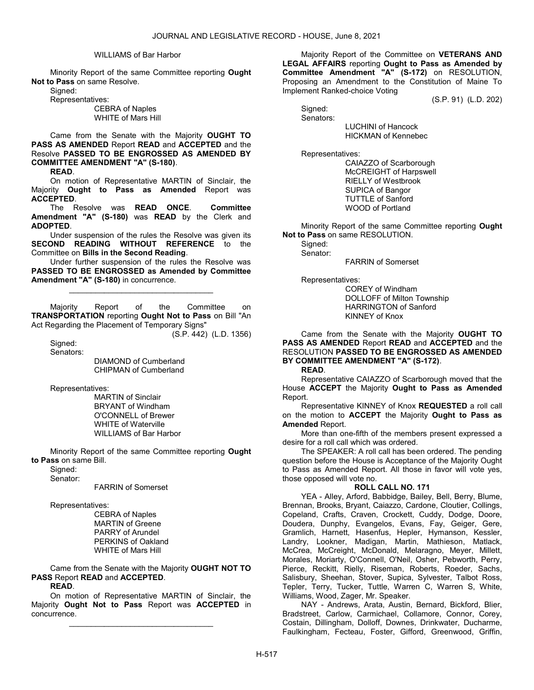### WILLIAMS of Bar Harbor

 Minority Report of the same Committee reporting Ought Not to Pass on same Resolve.

Signed:

Representatives:

 CEBRA of Naples WHITE of Mars Hill

 Came from the Senate with the Majority OUGHT TO PASS AS AMENDED Report READ and ACCEPTED and the Resolve PASSED TO BE ENGROSSED AS AMENDED BY COMMITTEE AMENDMENT "A" (S-180).

READ.

 On motion of Representative MARTIN of Sinclair, the Majority Ought to Pass as Amended Report was ACCEPTED.

 The Resolve was READ ONCE. Committee Amendment "A" (S-180) was READ by the Clerk and ADOPTED.

 Under suspension of the rules the Resolve was given its SECOND READING WITHOUT REFERENCE to the Committee on Bills in the Second Reading.

 Under further suspension of the rules the Resolve was PASSED TO BE ENGROSSED as Amended by Committee Amendment "A" (S-180) in concurrence.

\_\_\_\_\_\_\_\_\_\_\_\_\_\_\_\_\_\_\_\_\_\_\_\_\_\_\_\_\_\_\_\_\_

 Majority Report of the Committee on TRANSPORTATION reporting Ought Not to Pass on Bill "An Act Regarding the Placement of Temporary Signs"

(S.P. 442) (L.D. 1356)

 Signed: Senators:

> DIAMOND of Cumberland CHIPMAN of Cumberland

Representatives:

 MARTIN of Sinclair BRYANT of Windham O'CONNELL of Brewer WHITE of Waterville WILLIAMS of Bar Harbor

 Minority Report of the same Committee reporting Ought to Pass on same Bill.

 Signed: Senator:

FARRIN of Somerset

Representatives:

 CEBRA of Naples MARTIN of Greene PARRY of Arundel PERKINS of Oakland WHITE of Mars Hill

 Came from the Senate with the Majority OUGHT NOT TO PASS Report READ and ACCEPTED.

READ.

 On motion of Representative MARTIN of Sinclair, the Majority Ought Not to Pass Report was ACCEPTED in concurrence.

\_\_\_\_\_\_\_\_\_\_\_\_\_\_\_\_\_\_\_\_\_\_\_\_\_\_\_\_\_\_\_\_\_

 Majority Report of the Committee on VETERANS AND LEGAL AFFAIRS reporting Ought to Pass as Amended by Committee Amendment "A" (S-172) on RESOLUTION, Proposing an Amendment to the Constitution of Maine To Implement Ranked-choice Voting

(S.P. 91) (L.D. 202)

 Signed: Senators:

 LUCHINI of Hancock HICKMAN of Kennebec

Representatives:

 CAIAZZO of Scarborough McCREIGHT of Harpswell RIELLY of Westbrook SUPICA of Bangor TUTTLE of Sanford WOOD of Portland

 Minority Report of the same Committee reporting Ought Not to Pass on same RESOLUTION.

Signed: Senator:

FARRIN of Somerset

Representatives:

 COREY of Windham DOLLOFF of Milton Township HARRINGTON of Sanford KINNEY of Knox

 Came from the Senate with the Majority OUGHT TO PASS AS AMENDED Report READ and ACCEPTED and the RESOLUTION PASSED TO BE ENGROSSED AS AMENDED BY COMMITTEE AMENDMENT "A" (S-172).

READ.

 Representative CAIAZZO of Scarborough moved that the House ACCEPT the Majority Ought to Pass as Amended Report.

 Representative KINNEY of Knox REQUESTED a roll call on the motion to ACCEPT the Majority Ought to Pass as Amended Report.

 More than one-fifth of the members present expressed a desire for a roll call which was ordered.

 The SPEAKER: A roll call has been ordered. The pending question before the House is Acceptance of the Majority Ought to Pass as Amended Report. All those in favor will vote yes, those opposed will vote no.

#### ROLL CALL NO. 171

 YEA - Alley, Arford, Babbidge, Bailey, Bell, Berry, Blume, Brennan, Brooks, Bryant, Caiazzo, Cardone, Cloutier, Collings, Copeland, Crafts, Craven, Crockett, Cuddy, Dodge, Doore, Doudera, Dunphy, Evangelos, Evans, Fay, Geiger, Gere, Gramlich, Harnett, Hasenfus, Hepler, Hymanson, Kessler, Landry, Lookner, Madigan, Martin, Mathieson, Matlack, McCrea, McCreight, McDonald, Melaragno, Meyer, Millett, Morales, Moriarty, O'Connell, O'Neil, Osher, Pebworth, Perry, Pierce, Reckitt, Rielly, Riseman, Roberts, Roeder, Sachs, Salisbury, Sheehan, Stover, Supica, Sylvester, Talbot Ross, Tepler, Terry, Tucker, Tuttle, Warren C, Warren S, White, Williams, Wood, Zager, Mr. Speaker.

 NAY - Andrews, Arata, Austin, Bernard, Bickford, Blier, Bradstreet, Carlow, Carmichael, Collamore, Connor, Corey, Costain, Dillingham, Dolloff, Downes, Drinkwater, Ducharme, Faulkingham, Fecteau, Foster, Gifford, Greenwood, Griffin,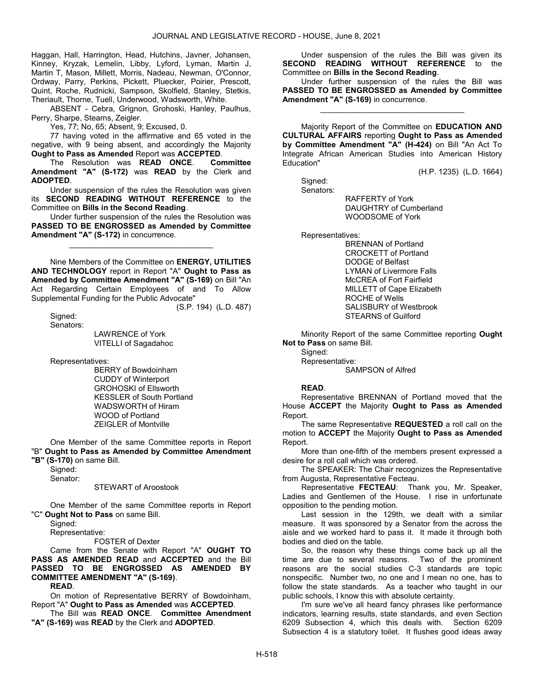Haggan, Hall, Harrington, Head, Hutchins, Javner, Johansen, Kinney, Kryzak, Lemelin, Libby, Lyford, Lyman, Martin J, Martin T, Mason, Millett, Morris, Nadeau, Newman, O'Connor, Ordway, Parry, Perkins, Pickett, Pluecker, Poirier, Prescott, Quint, Roche, Rudnicki, Sampson, Skolfield, Stanley, Stetkis, Theriault, Thorne, Tuell, Underwood, Wadsworth, White.

 ABSENT - Cebra, Grignon, Grohoski, Hanley, Paulhus, Perry, Sharpe, Stearns, Zeigler.

Yes, 77; No, 65; Absent, 9; Excused, 0.

 77 having voted in the affirmative and 65 voted in the negative, with 9 being absent, and accordingly the Majority Ought to Pass as Amended Report was ACCEPTED.

The Resolution was READ ONCE. Committee Amendment "A" (S-172) was READ by the Clerk and ADOPTED.

 Under suspension of the rules the Resolution was given its **SECOND READING WITHOUT REFERENCE** to the Committee on Bills in the Second Reading.

 Under further suspension of the rules the Resolution was PASSED TO BE ENGROSSED as Amended by Committee Amendment "A" (S-172) in concurrence.

\_\_\_\_\_\_\_\_\_\_\_\_\_\_\_\_\_\_\_\_\_\_\_\_\_\_\_\_\_\_\_\_\_

 Nine Members of the Committee on ENERGY, UTILITIES AND TECHNOLOGY report in Report "A" Ought to Pass as Amended by Committee Amendment "A" (S-169) on Bill "An Act Regarding Certain Employees of and To Allow Supplemental Funding for the Public Advocate" (S.P. 194) (L.D. 487)

 Signed: Senators:

> LAWRENCE of York VITELLI of Sagadahoc

Representatives:

 BERRY of Bowdoinham CUDDY of Winterport GROHOSKI of Ellsworth KESSLER of South Portland WADSWORTH of Hiram WOOD of Portland ZEIGLER of Montville

 One Member of the same Committee reports in Report "B" Ought to Pass as Amended by Committee Amendment

"B" (S-170) on same Bill.

 Signed: Senator:

#### STEWART of Aroostook

 One Member of the same Committee reports in Report "C" Ought Not to Pass on same Bill.

Signed:

Representative:

FOSTER of Dexter

 Came from the Senate with Report "A" OUGHT TO PASS AS AMENDED READ and ACCEPTED and the Bill PASSED TO BE ENGROSSED AS AMENDED BY COMMITTEE AMENDMENT "A" (S-169).

READ.

 On motion of Representative BERRY of Bowdoinham, Report "A" Ought to Pass as Amended was ACCEPTED.

 The Bill was READ ONCE. Committee Amendment "A" (S-169) was READ by the Clerk and ADOPTED.

 Under suspension of the rules the Bill was given its SECOND READING WITHOUT REFERENCE to the Committee on Bills in the Second Reading.

 Under further suspension of the rules the Bill was PASSED TO BE ENGROSSED as Amended by Committee Amendment "A" (S-169) in concurrence.

\_\_\_\_\_\_\_\_\_\_\_\_\_\_\_\_\_\_\_\_\_\_\_\_\_\_\_\_\_\_\_\_\_

 Majority Report of the Committee on EDUCATION AND CULTURAL AFFAIRS reporting Ought to Pass as Amended by Committee Amendment "A" (H-424) on Bill "An Act To Integrate African American Studies into American History Education"

(H.P. 1235) (L.D. 1664)

 Signed: Senators:

 RAFFERTY of York DAUGHTRY of Cumberland WOODSOME of York

Representatives:

 BRENNAN of Portland CROCKETT of Portland DODGE of Belfast LYMAN of Livermore Falls McCREA of Fort Fairfield MILLETT of Cape Elizabeth ROCHE of Wells SALISBURY of Westbrook STEARNS of Guilford

 Minority Report of the same Committee reporting Ought Not to Pass on same Bill.

Signed:

 Representative: SAMPSON of Alfred

### READ.

 Representative BRENNAN of Portland moved that the House ACCEPT the Majority Ought to Pass as Amended Report.

 The same Representative REQUESTED a roll call on the motion to ACCEPT the Majority Ought to Pass as Amended Report.

 More than one-fifth of the members present expressed a desire for a roll call which was ordered.

 The SPEAKER: The Chair recognizes the Representative from Augusta, Representative Fecteau.

Representative FECTEAU: Thank you, Mr. Speaker, Ladies and Gentlemen of the House. I rise in unfortunate opposition to the pending motion.

Last session in the 129th, we dealt with a similar measure. It was sponsored by a Senator from the across the aisle and we worked hard to pass it. It made it through both bodies and died on the table.

So, the reason why these things come back up all the time are due to several reasons. Two of the prominent reasons are the social studies C-3 standards are topic nonspecific. Number two, no one and I mean no one, has to follow the state standards. As a teacher who taught in our public schools, I know this with absolute certainty.

I'm sure we've all heard fancy phrases like performance indicators, learning results, state standards, and even Section 6209 Subsection 4, which this deals with. Section 6209 Subsection 4 is a statutory toilet. It flushes good ideas away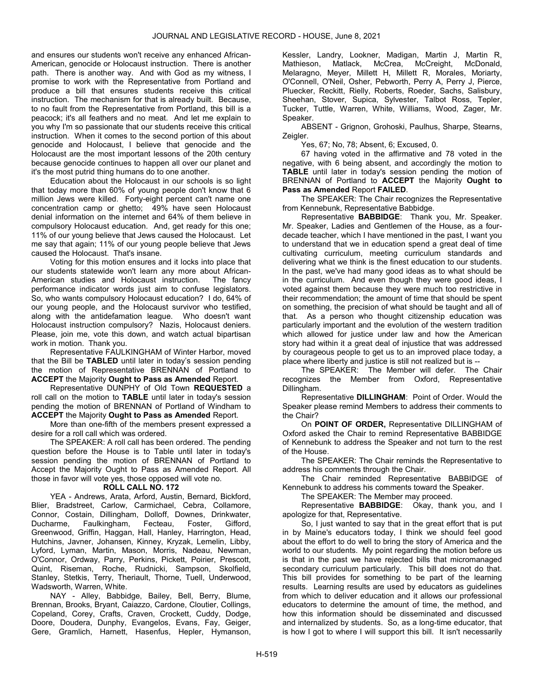and ensures our students won't receive any enhanced African-American, genocide or Holocaust instruction. There is another path. There is another way. And with God as my witness, I promise to work with the Representative from Portland and produce a bill that ensures students receive this critical instruction. The mechanism for that is already built. Because, to no fault from the Representative from Portland, this bill is a peacock; it's all feathers and no meat. And let me explain to you why I'm so passionate that our students receive this critical instruction. When it comes to the second portion of this about genocide and Holocaust, I believe that genocide and the Holocaust are the most important lessons of the 20th century because genocide continues to happen all over our planet and it's the most putrid thing humans do to one another.

Education about the Holocaust in our schools is so light that today more than 60% of young people don't know that 6 million Jews were killed. Forty-eight percent can't name one concentration camp or ghetto; 49% have seen Holocaust denial information on the internet and 64% of them believe in compulsory Holocaust education. And, get ready for this one; 11% of our young believe that Jews caused the Holocaust. Let me say that again; 11% of our young people believe that Jews caused the Holocaust. That's insane.

Voting for this motion ensures and it locks into place that our students statewide won't learn any more about African-American studies and Holocaust instruction. The fancy performance indicator words just aim to confuse legislators. So, who wants compulsory Holocaust education? I do, 64% of our young people, and the Holocaust survivor who testified, along with the antidefamation league. Who doesn't want Holocaust instruction compulsory? Nazis, Holocaust deniers. Please, join me, vote this down, and watch actual bipartisan work in motion. Thank you.

 Representative FAULKINGHAM of Winter Harbor, moved that the Bill be TABLED until later in today's session pending the motion of Representative BRENNAN of Portland to ACCEPT the Majority Ought to Pass as Amended Report.

 Representative DUNPHY of Old Town REQUESTED a roll call on the motion to TABLE until later in today's session pending the motion of BRENNAN of Portland of Windham to ACCEPT the Majority Ought to Pass as Amended Report.

 More than one-fifth of the members present expressed a desire for a roll call which was ordered.

 The SPEAKER: A roll call has been ordered. The pending question before the House is to Table until later in today's session pending the motion of BRENNAN of Portland to Accept the Majority Ought to Pass as Amended Report. All those in favor will vote yes, those opposed will vote no.

### ROLL CALL NO. 172

 YEA - Andrews, Arata, Arford, Austin, Bernard, Bickford, Blier, Bradstreet, Carlow, Carmichael, Cebra, Collamore, Connor, Costain, Dillingham, Dolloff, Downes, Drinkwater, Ducharme, Faulkingham, Fecteau, Foster, Gifford, Greenwood, Griffin, Haggan, Hall, Hanley, Harrington, Head, Hutchins, Javner, Johansen, Kinney, Kryzak, Lemelin, Libby, Lyford, Lyman, Martin, Mason, Morris, Nadeau, Newman, O'Connor, Ordway, Parry, Perkins, Pickett, Poirier, Prescott, Quint, Riseman, Roche, Rudnicki, Sampson, Skolfield, Stanley, Stetkis, Terry, Theriault, Thorne, Tuell, Underwood, Wadsworth, Warren, White.

NAY - Alley, Babbidge, Bailey, Bell, Berry, Blume, Brennan, Brooks, Bryant, Caiazzo, Cardone, Cloutier, Collings, Copeland, Corey, Crafts, Craven, Crockett, Cuddy, Dodge, Doore, Doudera, Dunphy, Evangelos, Evans, Fay, Geiger, Gere, Gramlich, Harnett, Hasenfus, Hepler, Hymanson,

Kessler, Landry, Lookner, Madigan, Martin J, Martin R, Mathieson, Matlack, McCrea, McCreight, McDonald, Melaragno, Meyer, Millett H, Millett R, Morales, Moriarty, O'Connell, O'Neil, Osher, Pebworth, Perry A, Perry J, Pierce, Pluecker, Reckitt, Rielly, Roberts, Roeder, Sachs, Salisbury, Sheehan, Stover, Supica, Sylvester, Talbot Ross, Tepler, Tucker, Tuttle, Warren, White, Williams, Wood, Zager, Mr. Speaker.

 ABSENT - Grignon, Grohoski, Paulhus, Sharpe, Stearns, Zeigler.

Yes, 67; No, 78; Absent, 6; Excused, 0.

 67 having voted in the affirmative and 78 voted in the negative, with 6 being absent, and accordingly the motion to TABLE until later in today's session pending the motion of BRENNAN of Portland to **ACCEPT** the Majority Ought to Pass as Amended Report FAILED.

 The SPEAKER: The Chair recognizes the Representative from Kennebunk, Representative Babbidge.

Representative BABBIDGE: Thank you, Mr. Speaker. Mr. Speaker, Ladies and Gentlemen of the House, as a fourdecade teacher, which I have mentioned in the past, I want you to understand that we in education spend a great deal of time cultivating curriculum, meeting curriculum standards and delivering what we think is the finest education to our students. In the past, we've had many good ideas as to what should be in the curriculum. And even though they were good ideas, I voted against them because they were much too restrictive in their recommendation; the amount of time that should be spent on something, the precision of what should be taught and all of that. As a person who thought citizenship education was particularly important and the evolution of the western tradition which allowed for justice under law and how the American story had within it a great deal of injustice that was addressed by courageous people to get us to an improved place today, a place where liberty and justice is still not realized but is --

The SPEAKER: The Member will defer. The Chair recognizes the Member from Oxford, Representative Dillingham.

Representative DILLINGHAM: Point of Order. Would the Speaker please remind Members to address their comments to the Chair?

 On POINT OF ORDER, Representative DILLINGHAM of Oxford asked the Chair to remind Representative BABBIDGE of Kennebunk to address the Speaker and not turn to the rest of the House.

 The SPEAKER: The Chair reminds the Representative to address his comments through the Chair.

 The Chair reminded Representative BABBIDGE of Kennebunk to address his comments toward the Speaker.

The SPEAKER: The Member may proceed.

Representative BABBIDGE: Okay, thank you, and I apologize for that, Representative.

So, I just wanted to say that in the great effort that is put in by Maine's educators today, I think we should feel good about the effort to do well to bring the story of America and the world to our students. My point regarding the motion before us is that in the past we have rejected bills that micromanaged secondary curriculum particularly. This bill does not do that. This bill provides for something to be part of the learning results. Learning results are used by educators as guidelines from which to deliver education and it allows our professional educators to determine the amount of time, the method, and how this information should be disseminated and discussed and internalized by students. So, as a long-time educator, that is how I got to where I will support this bill. It isn't necessarily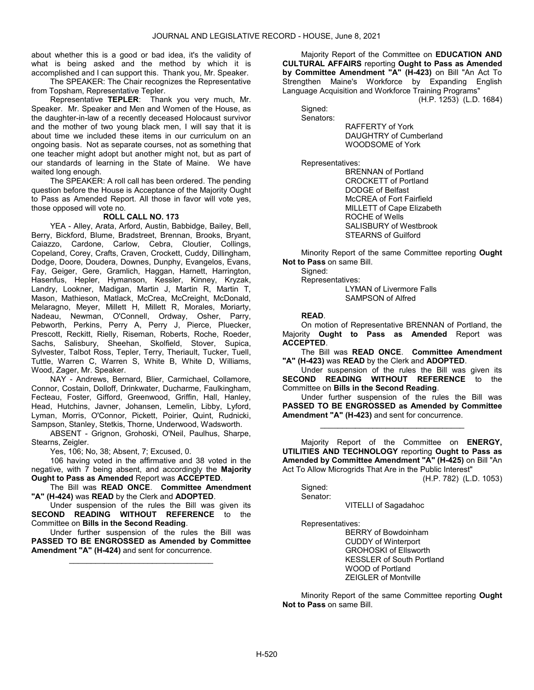about whether this is a good or bad idea, it's the validity of what is being asked and the method by which it is accomplished and I can support this. Thank you, Mr. Speaker.

 The SPEAKER: The Chair recognizes the Representative from Topsham, Representative Tepler.

Representative TEPLER: Thank you very much, Mr. Speaker. Mr. Speaker and Men and Women of the House, as the daughter-in-law of a recently deceased Holocaust survivor and the mother of two young black men, I will say that it is about time we included these items in our curriculum on an ongoing basis. Not as separate courses, not as something that one teacher might adopt but another might not, but as part of our standards of learning in the State of Maine. We have waited long enough.

 The SPEAKER: A roll call has been ordered. The pending question before the House is Acceptance of the Majority Ought to Pass as Amended Report. All those in favor will vote yes, those opposed will vote no.

#### ROLL CALL NO. 173

 YEA - Alley, Arata, Arford, Austin, Babbidge, Bailey, Bell, Berry, Bickford, Blume, Bradstreet, Brennan, Brooks, Bryant, Caiazzo, Cardone, Carlow, Cebra, Cloutier, Collings, Copeland, Corey, Crafts, Craven, Crockett, Cuddy, Dillingham, Dodge, Doore, Doudera, Downes, Dunphy, Evangelos, Evans, Fay, Geiger, Gere, Gramlich, Haggan, Harnett, Harrington, Hasenfus, Hepler, Hymanson, Kessler, Kinney, Kryzak, Landry, Lookner, Madigan, Martin J, Martin R, Martin T, Mason, Mathieson, Matlack, McCrea, McCreight, McDonald, Melaragno, Meyer, Millett H, Millett R, Morales, Moriarty, Nadeau, Newman, O'Connell, Ordway, Osher, Parry, Pebworth, Perkins, Perry A, Perry J, Pierce, Pluecker, Prescott, Reckitt, Rielly, Riseman, Roberts, Roche, Roeder, Sachs, Salisbury, Sheehan, Skolfield, Stover, Supica, Sylvester, Talbot Ross, Tepler, Terry, Theriault, Tucker, Tuell, Tuttle, Warren C, Warren S, White B, White D, Williams, Wood, Zager, Mr. Speaker.

 NAY - Andrews, Bernard, Blier, Carmichael, Collamore, Connor, Costain, Dolloff, Drinkwater, Ducharme, Faulkingham, Fecteau, Foster, Gifford, Greenwood, Griffin, Hall, Hanley, Head, Hutchins, Javner, Johansen, Lemelin, Libby, Lyford, Lyman, Morris, O'Connor, Pickett, Poirier, Quint, Rudnicki, Sampson, Stanley, Stetkis, Thorne, Underwood, Wadsworth.

 ABSENT - Grignon, Grohoski, O'Neil, Paulhus, Sharpe, Stearns, Zeigler.

Yes, 106; No, 38; Absent, 7; Excused, 0.

 106 having voted in the affirmative and 38 voted in the negative, with  $\overline{7}$  being absent, and accordingly the **Majority** Ought to Pass as Amended Report was ACCEPTED.

 The Bill was READ ONCE. Committee Amendment "A" (H-424) was READ by the Clerk and ADOPTED.

 Under suspension of the rules the Bill was given its SECOND READING WITHOUT REFERENCE to the Committee on Bills in the Second Reading.

 Under further suspension of the rules the Bill was PASSED TO BE ENGROSSED as Amended by Committee Amendment "A" (H-424) and sent for concurrence.

\_\_\_\_\_\_\_\_\_\_\_\_\_\_\_\_\_\_\_\_\_\_\_\_\_\_\_\_\_\_\_\_\_

 Majority Report of the Committee on EDUCATION AND CULTURAL AFFAIRS reporting Ought to Pass as Amended by Committee Amendment "A" (H-423) on Bill "An Act To Strengthen Maine's Workforce by Expanding English Language Acquisition and Workforce Training Programs"

(H.P. 1253) (L.D. 1684)

 Signed: Senators:

 RAFFERTY of York DAUGHTRY of Cumberland WOODSOME of York

Representatives:

 BRENNAN of Portland CROCKETT of Portland DODGE of Belfast McCREA of Fort Fairfield MILLETT of Cape Elizabeth ROCHE of Wells SALISBURY of Westbrook STEARNS of Guilford

 Minority Report of the same Committee reporting Ought Not to Pass on same Bill.

Signed:

Representatives:

 LYMAN of Livermore Falls SAMPSON of Alfred

READ.

 On motion of Representative BRENNAN of Portland, the Majority Ought to Pass as Amended Report was ACCEPTED.

 The Bill was READ ONCE. Committee Amendment "A" (H-423) was READ by the Clerk and ADOPTED.

 Under suspension of the rules the Bill was given its SECOND READING WITHOUT REFERENCE to the Committee on Bills in the Second Reading.

 Under further suspension of the rules the Bill was PASSED TO BE ENGROSSED as Amended by Committee Amendment "A" (H-423) and sent for concurrence.

\_\_\_\_\_\_\_\_\_\_\_\_\_\_\_\_\_\_\_\_\_\_\_\_\_\_\_\_\_\_\_\_\_

 Majority Report of the Committee on ENERGY, UTILITIES AND TECHNOLOGY reporting Ought to Pass as Amended by Committee Amendment "A" (H-425) on Bill "An Act To Allow Microgrids That Are in the Public Interest"

(H.P. 782) (L.D. 1053)

 Signed: Senator:

VITELLI of Sagadahoc

Representatives:

 BERRY of Bowdoinham CUDDY of Winterport GROHOSKI of Ellsworth KESSLER of South Portland WOOD of Portland ZEIGLER of Montville

 Minority Report of the same Committee reporting Ought Not to Pass on same Bill.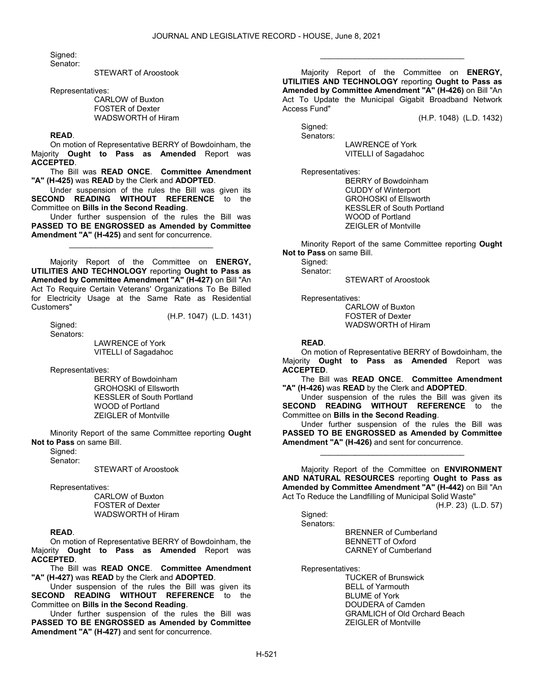Signed: Senator:

STEWART of Aroostook

Representatives:

 CARLOW of Buxton FOSTER of Dexter WADSWORTH of Hiram

READ.

 On motion of Representative BERRY of Bowdoinham, the Majority Ought to Pass as Amended Report was ACCEPTED.

The Bill was READ ONCE. Committee Amendment "A" (H-425) was READ by the Clerk and ADOPTED.

 Under suspension of the rules the Bill was given its SECOND READING WITHOUT REFERENCE to the Committee on Bills in the Second Reading.

 Under further suspension of the rules the Bill was PASSED TO BE ENGROSSED as Amended by Committee Amendment "A" (H-425) and sent for concurrence.

\_\_\_\_\_\_\_\_\_\_\_\_\_\_\_\_\_\_\_\_\_\_\_\_\_\_\_\_\_\_\_\_\_

 Majority Report of the Committee on ENERGY, UTILITIES AND TECHNOLOGY reporting Ought to Pass as Amended by Committee Amendment "A" (H-427) on Bill "An Act To Require Certain Veterans' Organizations To Be Billed for Electricity Usage at the Same Rate as Residential Customers" (H.P. 1047) (L.D. 1431)

 Signed: Senators:

 LAWRENCE of York VITELLI of Sagadahoc

Representatives:

 BERRY of Bowdoinham GROHOSKI of Ellsworth KESSLER of South Portland WOOD of Portland ZEIGLER of Montville

 Minority Report of the same Committee reporting Ought Not to Pass on same Bill.

Signed:

Senator:

STEWART of Aroostook

Representatives:

 CARLOW of Buxton FOSTER of Dexter WADSWORTH of Hiram

### READ.

 On motion of Representative BERRY of Bowdoinham, the Majority Ought to Pass as Amended Report was ACCEPTED.

 The Bill was READ ONCE. Committee Amendment "A" (H-427) was READ by the Clerk and ADOPTED.

 Under suspension of the rules the Bill was given its SECOND READING WITHOUT REFERENCE to the Committee on Bills in the Second Reading.

 Under further suspension of the rules the Bill was PASSED TO BE ENGROSSED as Amended by Committee Amendment "A" (H-427) and sent for concurrence.

 Majority Report of the Committee on ENERGY, UTILITIES AND TECHNOLOGY reporting Ought to Pass as Amended by Committee Amendment "A" (H-426) on Bill "An Act To Update the Municipal Gigabit Broadband Network Access Fund"

\_\_\_\_\_\_\_\_\_\_\_\_\_\_\_\_\_\_\_\_\_\_\_\_\_\_\_\_\_\_\_\_\_

(H.P. 1048) (L.D. 1432)

Signed: Senators:

 LAWRENCE of York VITELLI of Sagadahoc

Representatives:

 BERRY of Bowdoinham CUDDY of Winterport GROHOSKI of Ellsworth KESSLER of South Portland WOOD of Portland ZEIGLER of Montville

 Minority Report of the same Committee reporting Ought Not to Pass on same Bill.

Signed:

Senator:

STEWART of Aroostook

Representatives:

 CARLOW of Buxton FOSTER of Dexter WADSWORTH of Hiram

#### READ.

 On motion of Representative BERRY of Bowdoinham, the Majority Ought to Pass as Amended Report was ACCEPTED.

 The Bill was READ ONCE. Committee Amendment "A" (H-426) was READ by the Clerk and ADOPTED.

 Under suspension of the rules the Bill was given its SECOND READING WITHOUT REFERENCE to the Committee on Bills in the Second Reading.

 Under further suspension of the rules the Bill was PASSED TO BE ENGROSSED as Amended by Committee Amendment "A" (H-426) and sent for concurrence.

\_\_\_\_\_\_\_\_\_\_\_\_\_\_\_\_\_\_\_\_\_\_\_\_\_\_\_\_\_\_\_\_\_

 Majority Report of the Committee on ENVIRONMENT AND NATURAL RESOURCES reporting Ought to Pass as Amended by Committee Amendment "A" (H-442) on Bill "An Act To Reduce the Landfilling of Municipal Solid Waste"

(H.P. 23) (L.D. 57)

Signed:

Senators:

 BRENNER of Cumberland BENNETT of Oxford CARNEY of Cumberland

Representatives:

 TUCKER of Brunswick BELL of Yarmouth BLUME of York DOUDERA of Camden GRAMLICH of Old Orchard Beach ZEIGLER of Montville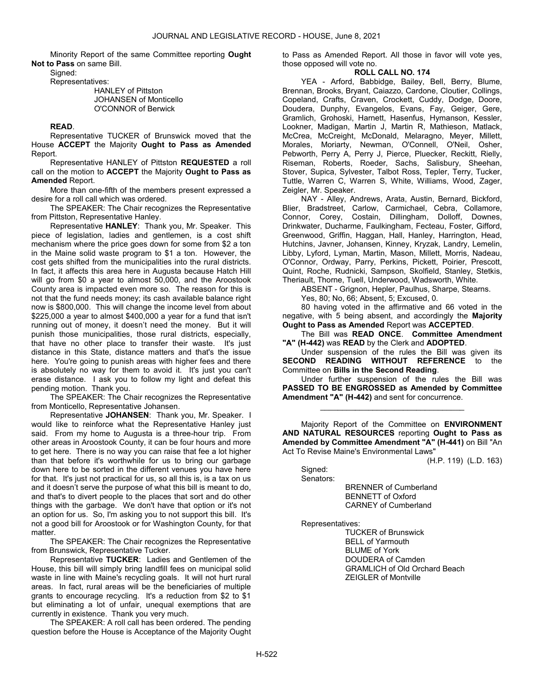Minority Report of the same Committee reporting Ought Not to Pass on same Bill.

Signed:

Representatives:

 HANLEY of Pittston JOHANSEN of Monticello O'CONNOR of Berwick

#### READ.

 Representative TUCKER of Brunswick moved that the House ACCEPT the Majority Ought to Pass as Amended Report.

 Representative HANLEY of Pittston REQUESTED a roll call on the motion to ACCEPT the Majority Ought to Pass as Amended Report.

 More than one-fifth of the members present expressed a desire for a roll call which was ordered.

 The SPEAKER: The Chair recognizes the Representative from Pittston, Representative Hanley.

Representative HANLEY: Thank you, Mr. Speaker. This piece of legislation, ladies and gentlemen, is a cost shift mechanism where the price goes down for some from \$2 a ton in the Maine solid waste program to \$1 a ton. However, the cost gets shifted from the municipalities into the rural districts. In fact, it affects this area here in Augusta because Hatch Hill will go from \$0 a year to almost 50,000, and the Aroostook County area is impacted even more so. The reason for this is not that the fund needs money; its cash available balance right now is \$800,000. This will change the income level from about \$225,000 a year to almost \$400,000 a year for a fund that isn't running out of money, it doesn't need the money. But it will punish those municipalities, those rural districts, especially, that have no other place to transfer their waste. It's just distance in this State, distance matters and that's the issue here. You're going to punish areas with higher fees and there is absolutely no way for them to avoid it. It's just you can't erase distance. I ask you to follow my light and defeat this pending motion. Thank you.

 The SPEAKER: The Chair recognizes the Representative from Monticello, Representative Johansen.

Representative JOHANSEN: Thank you, Mr. Speaker. I would like to reinforce what the Representative Hanley just said. From my home to Augusta is a three-hour trip. From other areas in Aroostook County, it can be four hours and more to get here. There is no way you can raise that fee a lot higher than that before it's worthwhile for us to bring our garbage down here to be sorted in the different venues you have here for that. It's just not practical for us, so all this is, is a tax on us and it doesn't serve the purpose of what this bill is meant to do, and that's to divert people to the places that sort and do other things with the garbage. We don't have that option or it's not an option for us. So, I'm asking you to not support this bill. It's not a good bill for Aroostook or for Washington County, for that matter.

 The SPEAKER: The Chair recognizes the Representative from Brunswick, Representative Tucker.

Representative TUCKER: Ladies and Gentlemen of the House, this bill will simply bring landfill fees on municipal solid waste in line with Maine's recycling goals. It will not hurt rural areas. In fact, rural areas will be the beneficiaries of multiple grants to encourage recycling. It's a reduction from \$2 to \$1 but eliminating a lot of unfair, unequal exemptions that are currently in existence. Thank you very much.

 The SPEAKER: A roll call has been ordered. The pending question before the House is Acceptance of the Majority Ought to Pass as Amended Report. All those in favor will vote yes, those opposed will vote no.

## ROLL CALL NO. 174

 YEA - Arford, Babbidge, Bailey, Bell, Berry, Blume, Brennan, Brooks, Bryant, Caiazzo, Cardone, Cloutier, Collings, Copeland, Crafts, Craven, Crockett, Cuddy, Dodge, Doore, Doudera, Dunphy, Evangelos, Evans, Fay, Geiger, Gere, Gramlich, Grohoski, Harnett, Hasenfus, Hymanson, Kessler, Lookner, Madigan, Martin J, Martin R, Mathieson, Matlack, McCrea, McCreight, McDonald, Melaragno, Meyer, Millett, Morales, Moriarty, Newman, O'Connell, O'Neil, Osher, Pebworth, Perry A, Perry J, Pierce, Pluecker, Reckitt, Rielly, Riseman, Roberts, Roeder, Sachs, Salisbury, Sheehan, Stover, Supica, Sylvester, Talbot Ross, Tepler, Terry, Tucker, Tuttle, Warren C, Warren S, White, Williams, Wood, Zager, Zeigler, Mr. Speaker.

 NAY - Alley, Andrews, Arata, Austin, Bernard, Bickford, Blier, Bradstreet, Carlow, Carmichael, Cebra, Collamore, Connor, Corey, Costain, Dillingham, Dolloff, Downes, Drinkwater, Ducharme, Faulkingham, Fecteau, Foster, Gifford, Greenwood, Griffin, Haggan, Hall, Hanley, Harrington, Head, Hutchins, Javner, Johansen, Kinney, Kryzak, Landry, Lemelin, Libby, Lyford, Lyman, Martin, Mason, Millett, Morris, Nadeau, O'Connor, Ordway, Parry, Perkins, Pickett, Poirier, Prescott, Quint, Roche, Rudnicki, Sampson, Skolfield, Stanley, Stetkis, Theriault, Thorne, Tuell, Underwood, Wadsworth, White.

ABSENT - Grignon, Hepler, Paulhus, Sharpe, Stearns.

Yes, 80; No, 66; Absent, 5; Excused, 0.

 80 having voted in the affirmative and 66 voted in the negative, with 5 being absent, and accordingly the Majority Ought to Pass as Amended Report was ACCEPTED.

 The Bill was READ ONCE. Committee Amendment "A" (H-442) was READ by the Clerk and ADOPTED.

 Under suspension of the rules the Bill was given its SECOND READING WITHOUT REFERENCE to the Committee on Bills in the Second Reading.

 Under further suspension of the rules the Bill was PASSED TO BE ENGROSSED as Amended by Committee Amendment "A" (H-442) and sent for concurrence.

\_\_\_\_\_\_\_\_\_\_\_\_\_\_\_\_\_\_\_\_\_\_\_\_\_\_\_\_\_\_\_\_\_

 Majority Report of the Committee on ENVIRONMENT AND NATURAL RESOURCES reporting Ought to Pass as Amended by Committee Amendment "A" (H-441) on Bill "An Act To Revise Maine's Environmental Laws"

(H.P. 119) (L.D. 163)

 Signed: Senators:

 BRENNER of Cumberland BENNETT of Oxford CARNEY of Cumberland

Representatives:

 TUCKER of Brunswick BELL of Yarmouth BLUME of York DOUDERA of Camden GRAMLICH of Old Orchard Beach ZEIGLER of Montville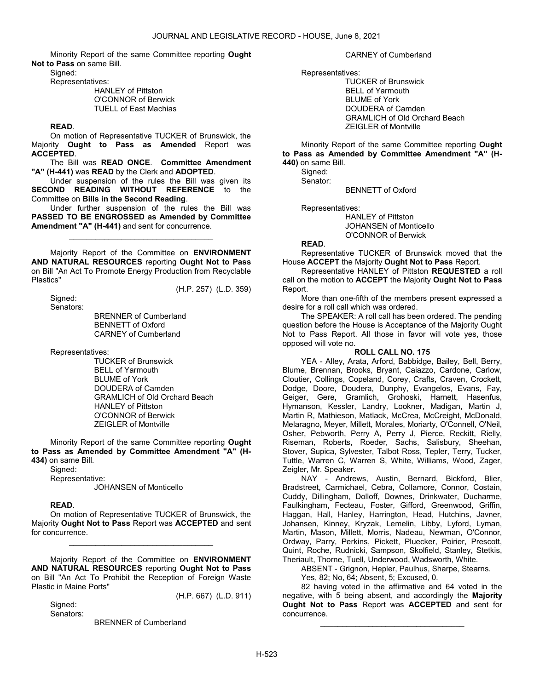Minority Report of the same Committee reporting Ought Not to Pass on same Bill.

Signed:

Representatives:

### HANLEY of Pittston O'CONNOR of Berwick TUELL of East Machias

### READ.

 On motion of Representative TUCKER of Brunswick, the Majority Ought to Pass as Amended Report was ACCEPTED.

The Bill was READ ONCE. Committee Amendment "A" (H-441) was READ by the Clerk and ADOPTED.

 Under suspension of the rules the Bill was given its SECOND READING WITHOUT REFERENCE to the Committee on Bills in the Second Reading.

 Under further suspension of the rules the Bill was PASSED TO BE ENGROSSED as Amended by Committee Amendment "A" (H-441) and sent for concurrence.

\_\_\_\_\_\_\_\_\_\_\_\_\_\_\_\_\_\_\_\_\_\_\_\_\_\_\_\_\_\_\_\_\_

 Majority Report of the Committee on ENVIRONMENT AND NATURAL RESOURCES reporting Ought Not to Pass on Bill "An Act To Promote Energy Production from Recyclable Plastics"

 Signed: Senators:

 BRENNER of Cumberland BENNETT of Oxford CARNEY of Cumberland

Representatives:

 TUCKER of Brunswick BELL of Yarmouth BLUME of York DOUDERA of Camden GRAMLICH of Old Orchard Beach HANLEY of Pittston O'CONNOR of Berwick ZEIGLER of Montville

 Minority Report of the same Committee reporting Ought to Pass as Amended by Committee Amendment "A" (H-434) on same Bill.

 Signed: Representative:

JOHANSEN of Monticello

## READ.

 On motion of Representative TUCKER of Brunswick, the Majority Ought Not to Pass Report was ACCEPTED and sent for concurrence.

\_\_\_\_\_\_\_\_\_\_\_\_\_\_\_\_\_\_\_\_\_\_\_\_\_\_\_\_\_\_\_\_\_

 Majority Report of the Committee on ENVIRONMENT AND NATURAL RESOURCES reporting Ought Not to Pass on Bill "An Act To Prohibit the Reception of Foreign Waste Plastic in Maine Ports"

(H.P. 667) (L.D. 911)

(H.P. 257) (L.D. 359)

 Signed: Senators:

BRENNER of Cumberland

CARNEY of Cumberland

Representatives:

 TUCKER of Brunswick BELL of Yarmouth BLUME of York DOUDERA of Camden GRAMLICH of Old Orchard Beach ZEIGLER of Montville

 Minority Report of the same Committee reporting Ought to Pass as Amended by Committee Amendment "A" (H-440) on same Bill.

 Signed: Senator:

BENNETT of Oxford

Representatives:

 HANLEY of Pittston JOHANSEN of Monticello O'CONNOR of Berwick

READ.

 Representative TUCKER of Brunswick moved that the House ACCEPT the Majority Ought Not to Pass Report.

 Representative HANLEY of Pittston REQUESTED a roll call on the motion to ACCEPT the Majority Ought Not to Pass Report.

 More than one-fifth of the members present expressed a desire for a roll call which was ordered.

 The SPEAKER: A roll call has been ordered. The pending question before the House is Acceptance of the Majority Ought Not to Pass Report. All those in favor will vote yes, those opposed will vote no.

### ROLL CALL NO. 175

 YEA - Alley, Arata, Arford, Babbidge, Bailey, Bell, Berry, Blume, Brennan, Brooks, Bryant, Caiazzo, Cardone, Carlow, Cloutier, Collings, Copeland, Corey, Crafts, Craven, Crockett, Dodge, Doore, Doudera, Dunphy, Evangelos, Evans, Fay, Geiger, Gere, Gramlich, Grohoski, Harnett, Hasenfus, Hymanson, Kessler, Landry, Lookner, Madigan, Martin J, Martin R, Mathieson, Matlack, McCrea, McCreight, McDonald, Melaragno, Meyer, Millett, Morales, Moriarty, O'Connell, O'Neil, Osher, Pebworth, Perry A, Perry J, Pierce, Reckitt, Rielly, Riseman, Roberts, Roeder, Sachs, Salisbury, Sheehan, Stover, Supica, Sylvester, Talbot Ross, Tepler, Terry, Tucker, Tuttle, Warren C, Warren S, White, Williams, Wood, Zager, Zeigler, Mr. Speaker.

 NAY - Andrews, Austin, Bernard, Bickford, Blier, Bradstreet, Carmichael, Cebra, Collamore, Connor, Costain, Cuddy, Dillingham, Dolloff, Downes, Drinkwater, Ducharme, Faulkingham, Fecteau, Foster, Gifford, Greenwood, Griffin, Haggan, Hall, Hanley, Harrington, Head, Hutchins, Javner, Johansen, Kinney, Kryzak, Lemelin, Libby, Lyford, Lyman, Martin, Mason, Millett, Morris, Nadeau, Newman, O'Connor, Ordway, Parry, Perkins, Pickett, Pluecker, Poirier, Prescott, Quint, Roche, Rudnicki, Sampson, Skolfield, Stanley, Stetkis, Theriault, Thorne, Tuell, Underwood, Wadsworth, White.

ABSENT - Grignon, Hepler, Paulhus, Sharpe, Stearns.

Yes, 82; No, 64; Absent, 5; Excused, 0.

 82 having voted in the affirmative and 64 voted in the negative, with 5 being absent, and accordingly the Majority Ought Not to Pass Report was ACCEPTED and sent for concurrence.

\_\_\_\_\_\_\_\_\_\_\_\_\_\_\_\_\_\_\_\_\_\_\_\_\_\_\_\_\_\_\_\_\_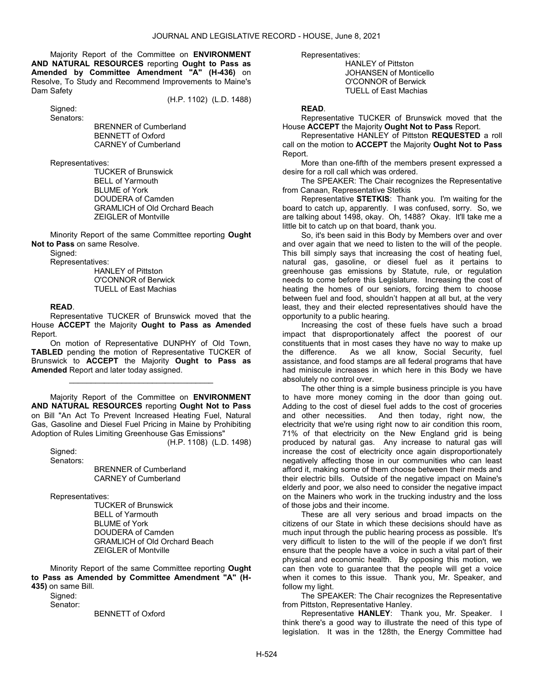Majority Report of the Committee on ENVIRONMENT AND NATURAL RESOURCES reporting Ought to Pass as Amended by Committee Amendment "A" (H-436) on Resolve, To Study and Recommend Improvements to Maine's Dam Safety

(H.P. 1102) (L.D. 1488)

 Signed: Senators:

 BRENNER of Cumberland BENNETT of Oxford CARNEY of Cumberland

Representatives:

 TUCKER of Brunswick BELL of Yarmouth BLUME of York DOUDERA of Camden GRAMLICH of Old Orchard Beach ZEIGLER of Montville

 Minority Report of the same Committee reporting Ought Not to Pass on same Resolve.

Signed:

Representatives:

 HANLEY of Pittston O'CONNOR of Berwick TUELL of East Machias

### READ.

 Representative TUCKER of Brunswick moved that the House ACCEPT the Majority Ought to Pass as Amended Report.

 On motion of Representative DUNPHY of Old Town, TABLED pending the motion of Representative TUCKER of Brunswick to ACCEPT the Majority Ought to Pass as Amended Report and later today assigned.

\_\_\_\_\_\_\_\_\_\_\_\_\_\_\_\_\_\_\_\_\_\_\_\_\_\_\_\_\_\_\_\_\_

 Majority Report of the Committee on ENVIRONMENT AND NATURAL RESOURCES reporting Ought Not to Pass on Bill "An Act To Prevent Increased Heating Fuel, Natural Gas, Gasoline and Diesel Fuel Pricing in Maine by Prohibiting Adoption of Rules Limiting Greenhouse Gas Emissions"

(H.P. 1108) (L.D. 1498)

Signed: Senators:

> BRENNER of Cumberland CARNEY of Cumberland

Representatives:

 TUCKER of Brunswick BELL of Yarmouth BLUME of York DOUDERA of Camden GRAMLICH of Old Orchard Beach ZEIGLER of Montville

 Minority Report of the same Committee reporting Ought to Pass as Amended by Committee Amendment "A" (H-435) on same Bill.

Sianed: Senator:

BENNETT of Oxford

Representatives:

 HANLEY of Pittston JOHANSEN of Monticello O'CONNOR of Berwick TUELL of East Machias

#### READ.

 Representative TUCKER of Brunswick moved that the House ACCEPT the Majority Ought Not to Pass Report.

 Representative HANLEY of Pittston REQUESTED a roll call on the motion to ACCEPT the Majority Ought Not to Pass Report.

 More than one-fifth of the members present expressed a desire for a roll call which was ordered.

 The SPEAKER: The Chair recognizes the Representative from Canaan, Representative Stetkis

Representative STETKIS: Thank you. I'm waiting for the board to catch up, apparently. I was confused, sorry. So, we are talking about 1498, okay. Oh, 1488? Okay. It'll take me a little bit to catch up on that board, thank you.

So, it's been said in this Body by Members over and over and over again that we need to listen to the will of the people. This bill simply says that increasing the cost of heating fuel, natural gas, gasoline, or diesel fuel as it pertains to greenhouse gas emissions by Statute, rule, or regulation needs to come before this Legislature. Increasing the cost of heating the homes of our seniors, forcing them to choose between fuel and food, shouldn't happen at all but, at the very least, they and their elected representatives should have the opportunity to a public hearing.

Increasing the cost of these fuels have such a broad impact that disproportionately affect the poorest of our constituents that in most cases they have no way to make up the difference. As we all know, Social Security, fuel assistance, and food stamps are all federal programs that have had miniscule increases in which here in this Body we have absolutely no control over.

The other thing is a simple business principle is you have to have more money coming in the door than going out. Adding to the cost of diesel fuel adds to the cost of groceries and other necessities. And then today, right now, the electricity that we're using right now to air condition this room, 71% of that electricity on the New England grid is being produced by natural gas. Any increase to natural gas will increase the cost of electricity once again disproportionately negatively affecting those in our communities who can least afford it, making some of them choose between their meds and their electric bills. Outside of the negative impact on Maine's elderly and poor, we also need to consider the negative impact on the Mainers who work in the trucking industry and the loss of those jobs and their income.

These are all very serious and broad impacts on the citizens of our State in which these decisions should have as much input through the public hearing process as possible. It's very difficult to listen to the will of the people if we don't first ensure that the people have a voice in such a vital part of their physical and economic health. By opposing this motion, we can then vote to guarantee that the people will get a voice when it comes to this issue. Thank you, Mr. Speaker, and follow my light.

 The SPEAKER: The Chair recognizes the Representative from Pittston, Representative Hanley.

Representative HANLEY: Thank you, Mr. Speaker. I think there's a good way to illustrate the need of this type of legislation. It was in the 128th, the Energy Committee had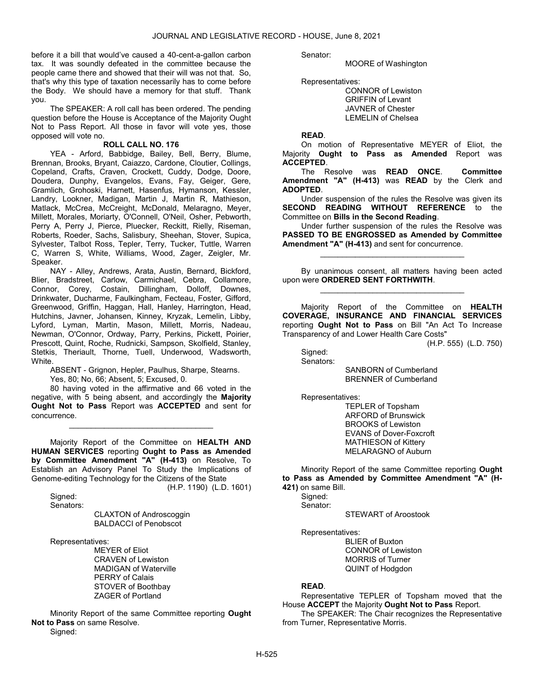before it a bill that would've caused a 40-cent-a-gallon carbon tax. It was soundly defeated in the committee because the people came there and showed that their will was not that. So, that's why this type of taxation necessarily has to come before the Body. We should have a memory for that stuff. Thank you.

 The SPEAKER: A roll call has been ordered. The pending question before the House is Acceptance of the Majority Ought Not to Pass Report. All those in favor will vote yes, those opposed will vote no.

#### ROLL CALL NO. 176

 YEA - Arford, Babbidge, Bailey, Bell, Berry, Blume, Brennan, Brooks, Bryant, Caiazzo, Cardone, Cloutier, Collings, Copeland, Crafts, Craven, Crockett, Cuddy, Dodge, Doore, Doudera, Dunphy, Evangelos, Evans, Fay, Geiger, Gere, Gramlich, Grohoski, Harnett, Hasenfus, Hymanson, Kessler, Landry, Lookner, Madigan, Martin J, Martin R, Mathieson, Matlack, McCrea, McCreight, McDonald, Melaragno, Meyer, Millett, Morales, Moriarty, O'Connell, O'Neil, Osher, Pebworth, Perry A, Perry J, Pierce, Pluecker, Reckitt, Rielly, Riseman, Roberts, Roeder, Sachs, Salisbury, Sheehan, Stover, Supica, Sylvester, Talbot Ross, Tepler, Terry, Tucker, Tuttle, Warren C, Warren S, White, Williams, Wood, Zager, Zeigler, Mr. Speaker.

 NAY - Alley, Andrews, Arata, Austin, Bernard, Bickford, Blier, Bradstreet, Carlow, Carmichael, Cebra, Collamore, Connor, Corey, Costain, Dillingham, Dolloff, Downes, Drinkwater, Ducharme, Faulkingham, Fecteau, Foster, Gifford, Greenwood, Griffin, Haggan, Hall, Hanley, Harrington, Head, Hutchins, Javner, Johansen, Kinney, Kryzak, Lemelin, Libby, Lyford, Lyman, Martin, Mason, Millett, Morris, Nadeau, Newman, O'Connor, Ordway, Parry, Perkins, Pickett, Poirier, Prescott, Quint, Roche, Rudnicki, Sampson, Skolfield, Stanley, Stetkis, Theriault, Thorne, Tuell, Underwood, Wadsworth, White.

 ABSENT - Grignon, Hepler, Paulhus, Sharpe, Stearns. Yes, 80; No, 66; Absent, 5; Excused, 0.

 80 having voted in the affirmative and 66 voted in the negative, with 5 being absent, and accordingly the Majority Ought Not to Pass Report was ACCEPTED and sent for concurrence.

\_\_\_\_\_\_\_\_\_\_\_\_\_\_\_\_\_\_\_\_\_\_\_\_\_\_\_\_\_\_\_\_\_

 Majority Report of the Committee on HEALTH AND HUMAN SERVICES reporting Ought to Pass as Amended by Committee Amendment "A" (H-413) on Resolve, To Establish an Advisory Panel To Study the Implications of Genome-editing Technology for the Citizens of the State (H.P. 1190) (L.D. 1601)

Signed:

Senators:

 CLAXTON of Androscoggin BALDACCI of Penobscot

Representatives:

 MEYER of Eliot CRAVEN of Lewiston MADIGAN of Waterville PERRY of Calais STOVER of Boothbay ZAGER of Portland

 Minority Report of the same Committee reporting Ought Not to Pass on same Resolve. Signed:

Senator:

MOORE of Washington

Representatives:

 CONNOR of Lewiston GRIFFIN of Levant JAVNER of Chester LEMELIN of Chelsea

### READ.

 On motion of Representative MEYER of Eliot, the Majority Ought to Pass as Amended Report was ACCEPTED.

 The Resolve was READ ONCE. Committee Amendment "A" (H-413) was READ by the Clerk and ADOPTED.

 Under suspension of the rules the Resolve was given its SECOND READING WITHOUT REFERENCE to the Committee on Bills in the Second Reading.

 Under further suspension of the rules the Resolve was PASSED TO BE ENGROSSED as Amended by Committee Amendment "A" (H-413) and sent for concurrence.

\_\_\_\_\_\_\_\_\_\_\_\_\_\_\_\_\_\_\_\_\_\_\_\_\_\_\_\_\_\_\_\_\_

 By unanimous consent, all matters having been acted upon were ORDERED SENT FORTHWITH. \_\_\_\_\_\_\_\_\_\_\_\_\_\_\_\_\_\_\_\_\_\_\_\_\_\_\_\_\_\_\_\_\_

 Majority Report of the Committee on HEALTH COVERAGE, INSURANCE AND FINANCIAL SERVICES reporting Ought Not to Pass on Bill "An Act To Increase Transparency of and Lower Health Care Costs"

(H.P. 555) (L.D. 750)

Signed:

Senators:

 SANBORN of Cumberland BRENNER of Cumberland

Representatives:

 TEPLER of Topsham ARFORD of Brunswick BROOKS of Lewiston EVANS of Dover-Foxcroft MATHIESON of Kittery MELARAGNO of Auburn

 Minority Report of the same Committee reporting Ought to Pass as Amended by Committee Amendment "A" (H-421) on same Bill.

Signed:

Senator:

STEWART of Aroostook

Representatives:

 BLIER of Buxton CONNOR of Lewiston MORRIS of Turner QUINT of Hodgdon

#### READ.

 Representative TEPLER of Topsham moved that the House ACCEPT the Majority Ought Not to Pass Report.

 The SPEAKER: The Chair recognizes the Representative from Turner, Representative Morris.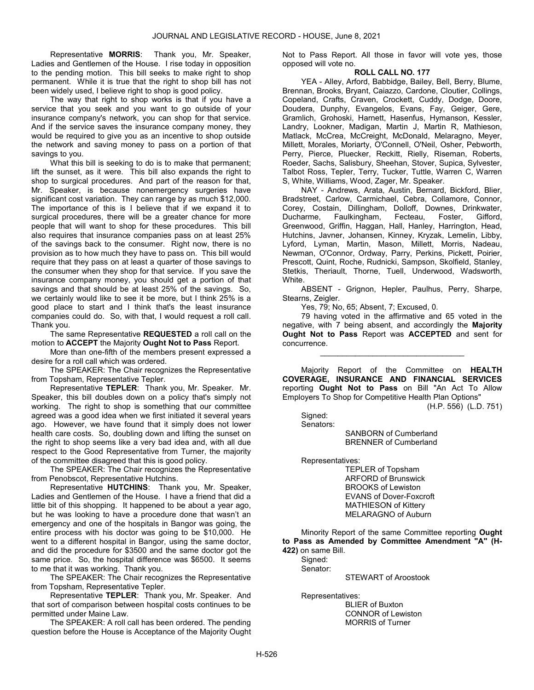Representative MORRIS: Thank you, Mr. Speaker, Ladies and Gentlemen of the House. I rise today in opposition to the pending motion. This bill seeks to make right to shop permanent. While it is true that the right to shop bill has not been widely used, I believe right to shop is good policy.

The way that right to shop works is that if you have a service that you seek and you want to go outside of your insurance company's network, you can shop for that service. And if the service saves the insurance company money, they would be required to give you as an incentive to shop outside the network and saving money to pass on a portion of that savings to you.

What this bill is seeking to do is to make that permanent; lift the sunset, as it were. This bill also expands the right to shop to surgical procedures. And part of the reason for that, Mr. Speaker, is because nonemergency surgeries have significant cost variation. They can range by as much \$12,000. The importance of this is I believe that if we expand it to surgical procedures, there will be a greater chance for more people that will want to shop for these procedures. This bill also requires that insurance companies pass on at least 25% of the savings back to the consumer. Right now, there is no provision as to how much they have to pass on. This bill would require that they pass on at least a quarter of those savings to the consumer when they shop for that service. If you save the insurance company money, you should get a portion of that savings and that should be at least 25% of the savings. So, we certainly would like to see it be more, but I think 25% is a good place to start and I think that's the least insurance companies could do. So, with that, I would request a roll call. Thank you.

The same Representative REQUESTED a roll call on the motion to ACCEPT the Majority Ought Not to Pass Report.

 More than one-fifth of the members present expressed a desire for a roll call which was ordered.

 The SPEAKER: The Chair recognizes the Representative from Topsham, Representative Tepler.

Representative TEPLER: Thank you, Mr. Speaker. Mr. Speaker, this bill doubles down on a policy that's simply not working. The right to shop is something that our committee agreed was a good idea when we first initiated it several years ago. However, we have found that it simply does not lower health care costs. So, doubling down and lifting the sunset on the right to shop seems like a very bad idea and, with all due respect to the Good Representative from Turner, the majority of the committee disagreed that this is good policy.

 The SPEAKER: The Chair recognizes the Representative from Penobscot, Representative Hutchins.

Representative HUTCHINS: Thank you, Mr. Speaker, Ladies and Gentlemen of the House. I have a friend that did a little bit of this shopping. It happened to be about a year ago, but he was looking to have a procedure done that wasn't an emergency and one of the hospitals in Bangor was going, the entire process with his doctor was going to be \$10,000. He went to a different hospital in Bangor, using the same doctor, and did the procedure for \$3500 and the same doctor got the same price. So, the hospital difference was \$6500. It seems to me that it was working. Thank you.

 The SPEAKER: The Chair recognizes the Representative from Topsham, Representative Tepler.

Representative TEPLER: Thank you, Mr. Speaker. And that sort of comparison between hospital costs continues to be permitted under Maine Law.

 The SPEAKER: A roll call has been ordered. The pending question before the House is Acceptance of the Majority Ought Not to Pass Report. All those in favor will vote yes, those opposed will vote no.

## ROLL CALL NO. 177

 YEA - Alley, Arford, Babbidge, Bailey, Bell, Berry, Blume, Brennan, Brooks, Bryant, Caiazzo, Cardone, Cloutier, Collings, Copeland, Crafts, Craven, Crockett, Cuddy, Dodge, Doore, Doudera, Dunphy, Evangelos, Evans, Fay, Geiger, Gere, Gramlich, Grohoski, Harnett, Hasenfus, Hymanson, Kessler, Landry, Lookner, Madigan, Martin J, Martin R, Mathieson, Matlack, McCrea, McCreight, McDonald, Melaragno, Meyer, Millett, Morales, Moriarty, O'Connell, O'Neil, Osher, Pebworth, Perry, Pierce, Pluecker, Reckitt, Rielly, Riseman, Roberts, Roeder, Sachs, Salisbury, Sheehan, Stover, Supica, Sylvester, Talbot Ross, Tepler, Terry, Tucker, Tuttle, Warren C, Warren S, White, Williams, Wood, Zager, Mr. Speaker.

 NAY - Andrews, Arata, Austin, Bernard, Bickford, Blier, Bradstreet, Carlow, Carmichael, Cebra, Collamore, Connor, Corey, Costain, Dillingham, Dolloff, Downes, Drinkwater, Ducharme, Faulkingham, Fecteau, Foster, Gifford, Greenwood, Griffin, Haggan, Hall, Hanley, Harrington, Head, Hutchins, Javner, Johansen, Kinney, Kryzak, Lemelin, Libby, Lyford, Lyman, Martin, Mason, Millett, Morris, Nadeau, Newman, O'Connor, Ordway, Parry, Perkins, Pickett, Poirier, Prescott, Quint, Roche, Rudnicki, Sampson, Skolfield, Stanley, Stetkis, Theriault, Thorne, Tuell, Underwood, Wadsworth, White.

 ABSENT - Grignon, Hepler, Paulhus, Perry, Sharpe, Stearns, Zeigler.

Yes, 79; No, 65; Absent, 7; Excused, 0.

 79 having voted in the affirmative and 65 voted in the negative, with 7 being absent, and accordingly the Majority Ought Not to Pass Report was ACCEPTED and sent for concurrence.

\_\_\_\_\_\_\_\_\_\_\_\_\_\_\_\_\_\_\_\_\_\_\_\_\_\_\_\_\_\_\_\_\_

 Majority Report of the Committee on HEALTH COVERAGE, INSURANCE AND FINANCIAL SERVICES reporting Ought Not to Pass on Bill "An Act To Allow Employers To Shop for Competitive Health Plan Options"

(H.P. 556) (L.D. 751)

 Signed: Senators:

 SANBORN of Cumberland BRENNER of Cumberland

Representatives:

 TEPLER of Topsham ARFORD of Brunswick BROOKS of Lewiston EVANS of Dover-Foxcroft MATHIESON of Kittery MELARAGNO of Auburn

 Minority Report of the same Committee reporting Ought to Pass as Amended by Committee Amendment "A" (H-422) on same Bill.

Signed: Senator:

STEWART of Aroostook

 Representatives: BLIER of Buxton CONNOR of Lewiston MORRIS of Turner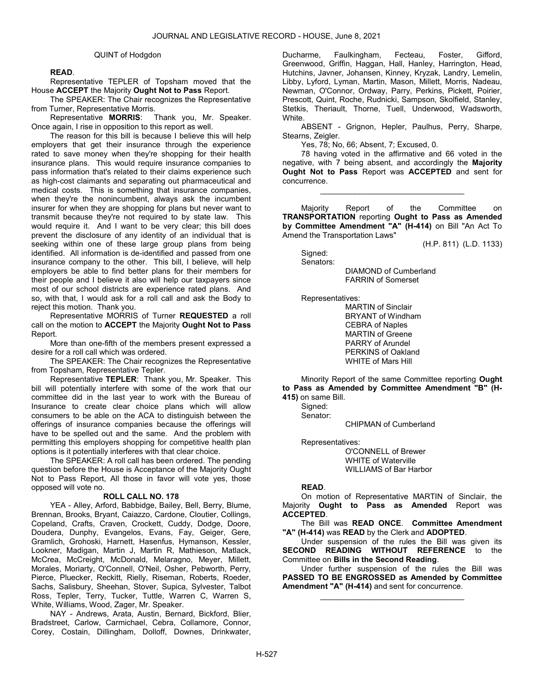#### QUINT of Hodgdon

### READ.

 Representative TEPLER of Topsham moved that the House ACCEPT the Majority Ought Not to Pass Report.

 The SPEAKER: The Chair recognizes the Representative from Turner, Representative Morris.

Representative MORRIS: Thank you, Mr. Speaker. Once again, I rise in opposition to this report as well.

The reason for this bill is because I believe this will help employers that get their insurance through the experience rated to save money when they're shopping for their health insurance plans. This would require insurance companies to pass information that's related to their claims experience such as high-cost claimants and separating out pharmaceutical and medical costs. This is something that insurance companies, when they're the nonincumbent, always ask the incumbent insurer for when they are shopping for plans but never want to transmit because they're not required to by state law. This would require it. And I want to be very clear; this bill does prevent the disclosure of any identity of an individual that is seeking within one of these large group plans from being identified. All information is de-identified and passed from one insurance company to the other. This bill, I believe, will help employers be able to find better plans for their members for their people and I believe it also will help our taxpayers since most of our school districts are experience rated plans. And so, with that, I would ask for a roll call and ask the Body to reject this motion. Thank you.

 Representative MORRIS of Turner REQUESTED a roll call on the motion to ACCEPT the Majority Ought Not to Pass Report.

 More than one-fifth of the members present expressed a desire for a roll call which was ordered.

 The SPEAKER: The Chair recognizes the Representative from Topsham, Representative Tepler.

Representative TEPLER: Thank you, Mr. Speaker. This bill will potentially interfere with some of the work that our committee did in the last year to work with the Bureau of Insurance to create clear choice plans which will allow consumers to be able on the ACA to distinguish between the offerings of insurance companies because the offerings will have to be spelled out and the same. And the problem with permitting this employers shopping for competitive health plan options is it potentially interferes with that clear choice.

 The SPEAKER: A roll call has been ordered. The pending question before the House is Acceptance of the Majority Ought Not to Pass Report, All those in favor will vote yes, those opposed will vote no.

#### ROLL CALL NO. 178

 YEA - Alley, Arford, Babbidge, Bailey, Bell, Berry, Blume, Brennan, Brooks, Bryant, Caiazzo, Cardone, Cloutier, Collings, Copeland, Crafts, Craven, Crockett, Cuddy, Dodge, Doore, Doudera, Dunphy, Evangelos, Evans, Fay, Geiger, Gere, Gramlich, Grohoski, Harnett, Hasenfus, Hymanson, Kessler, Lookner, Madigan, Martin J, Martin R, Mathieson, Matlack, McCrea, McCreight, McDonald, Melaragno, Meyer, Millett, Morales, Moriarty, O'Connell, O'Neil, Osher, Pebworth, Perry, Pierce, Pluecker, Reckitt, Rielly, Riseman, Roberts, Roeder, Sachs, Salisbury, Sheehan, Stover, Supica, Sylvester, Talbot Ross, Tepler, Terry, Tucker, Tuttle, Warren C, Warren S, White, Williams, Wood, Zager, Mr. Speaker.

 NAY - Andrews, Arata, Austin, Bernard, Bickford, Blier, Bradstreet, Carlow, Carmichael, Cebra, Collamore, Connor, Corey, Costain, Dillingham, Dolloff, Downes, Drinkwater, Ducharme, Faulkingham, Fecteau, Foster, Gifford, Greenwood, Griffin, Haggan, Hall, Hanley, Harrington, Head, Hutchins, Javner, Johansen, Kinney, Kryzak, Landry, Lemelin, Libby, Lyford, Lyman, Martin, Mason, Millett, Morris, Nadeau, Newman, O'Connor, Ordway, Parry, Perkins, Pickett, Poirier, Prescott, Quint, Roche, Rudnicki, Sampson, Skolfield, Stanley, Stetkis, Theriault, Thorne, Tuell, Underwood, Wadsworth, White.

 ABSENT - Grignon, Hepler, Paulhus, Perry, Sharpe, Stearns, Zeigler.

Yes, 78; No, 66; Absent, 7; Excused, 0.

 78 having voted in the affirmative and 66 voted in the negative, with 7 being absent, and accordingly the Majority Ought Not to Pass Report was ACCEPTED and sent for concurrence.

\_\_\_\_\_\_\_\_\_\_\_\_\_\_\_\_\_\_\_\_\_\_\_\_\_\_\_\_\_\_\_\_\_

 Majority Report of the Committee on TRANSPORTATION reporting Ought to Pass as Amended by Committee Amendment "A" (H-414) on Bill "An Act To Amend the Transportation Laws"

(H.P. 811) (L.D. 1133)

 Signed: Senators:

 DIAMOND of Cumberland FARRIN of Somerset

Representatives:

 MARTIN of Sinclair BRYANT of Windham CEBRA of Naples MARTIN of Greene PARRY of Arundel PERKINS of Oakland WHITE of Mars Hill

 Minority Report of the same Committee reporting Ought to Pass as Amended by Committee Amendment "B" (H-415) on same Bill.

Signed:

Senator:

CHIPMAN of Cumberland

Representatives:

 O'CONNELL of Brewer WHITE of Waterville WILLIAMS of Bar Harbor

#### READ.

 On motion of Representative MARTIN of Sinclair, the Majority Ought to Pass as Amended Report was ACCEPTED.

 The Bill was READ ONCE. Committee Amendment "A" (H-414) was READ by the Clerk and ADOPTED.

 Under suspension of the rules the Bill was given its SECOND READING WITHOUT REFERENCE to the Committee on Bills in the Second Reading.

 Under further suspension of the rules the Bill was PASSED TO BE ENGROSSED as Amended by Committee Amendment "A" (H-414) and sent for concurrence.

\_\_\_\_\_\_\_\_\_\_\_\_\_\_\_\_\_\_\_\_\_\_\_\_\_\_\_\_\_\_\_\_\_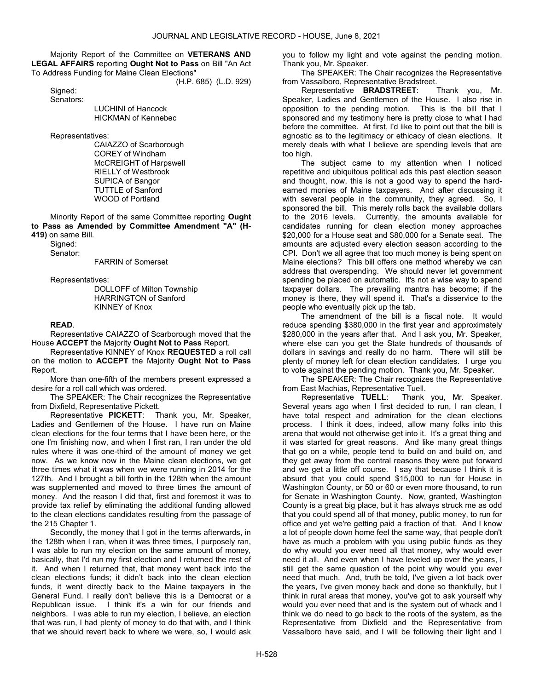Majority Report of the Committee on VETERANS AND LEGAL AFFAIRS reporting Ought Not to Pass on Bill "An Act To Address Funding for Maine Clean Elections"

(H.P. 685) (L.D. 929)

 Signed: Senators:

 LUCHINI of Hancock HICKMAN of Kennebec

Representatives:

 CAIAZZO of Scarborough COREY of Windham McCREIGHT of Harpswell RIELLY of Westbrook SUPICA of Bangor TUTTLE of Sanford WOOD of Portland

 Minority Report of the same Committee reporting Ought to Pass as Amended by Committee Amendment "A" (H-419) on same Bill.

 Signed: Senator:

FARRIN of Somerset

Representatives:

 DOLLOFF of Milton Township HARRINGTON of Sanford KINNEY of Knox

### READ.

 Representative CAIAZZO of Scarborough moved that the House ACCEPT the Majority Ought Not to Pass Report.

 Representative KINNEY of Knox REQUESTED a roll call on the motion to ACCEPT the Majority Ought Not to Pass Report.

 More than one-fifth of the members present expressed a desire for a roll call which was ordered.

 The SPEAKER: The Chair recognizes the Representative from Dixfield, Representative Pickett.

Representative PICKETT: Thank you, Mr. Speaker, Ladies and Gentlemen of the House. I have run on Maine clean elections for the four terms that I have been here, or the one I'm finishing now, and when I first ran, I ran under the old rules where it was one-third of the amount of money we get now. As we know now in the Maine clean elections, we get three times what it was when we were running in 2014 for the 127th. And I brought a bill forth in the 128th when the amount was supplemented and moved to three times the amount of money. And the reason I did that, first and foremost it was to provide tax relief by eliminating the additional funding allowed to the clean elections candidates resulting from the passage of the 215 Chapter 1.

Secondly, the money that I got in the terms afterwards, in the 128th when I ran, when it was three times, I purposely ran, I was able to run my election on the same amount of money, basically, that I'd run my first election and I returned the rest of it. And when I returned that, that money went back into the clean elections funds; it didn't back into the clean election funds, it went directly back to the Maine taxpayers in the General Fund. I really don't believe this is a Democrat or a Republican issue. I think it's a win for our friends and neighbors. I was able to run my election, I believe, an election that was run, I had plenty of money to do that with, and I think that we should revert back to where we were, so, I would ask you to follow my light and vote against the pending motion. Thank you, Mr. Speaker.

 The SPEAKER: The Chair recognizes the Representative from Vassalboro, Representative Bradstreet.

Representative BRADSTREET: Thank you, Mr. Speaker, Ladies and Gentlemen of the House. I also rise in opposition to the pending motion. This is the bill that I sponsored and my testimony here is pretty close to what I had before the committee. At first, I'd like to point out that the bill is agnostic as to the legitimacy or ethicacy of clean elections. It merely deals with what I believe are spending levels that are too high.

The subject came to my attention when I noticed repetitive and ubiquitous political ads this past election season and thought, now, this is not a good way to spend the hardearned monies of Maine taxpayers. And after discussing it with several people in the community, they agreed. So, I sponsored the bill. This merely rolls back the available dollars to the 2016 levels. Currently, the amounts available for candidates running for clean election money approaches \$20,000 for a House seat and \$80,000 for a Senate seat. The amounts are adjusted every election season according to the CPI. Don't we all agree that too much money is being spent on Maine elections? This bill offers one method whereby we can address that overspending. We should never let government spending be placed on automatic. It's not a wise way to spend taxpayer dollars. The prevailing mantra has become; if the money is there, they will spend it. That's a disservice to the people who eventually pick up the tab.

The amendment of the bill is a fiscal note. It would reduce spending \$380,000 in the first year and approximately \$280,000 in the years after that. And I ask you, Mr. Speaker, where else can you get the State hundreds of thousands of dollars in savings and really do no harm. There will still be plenty of money left for clean election candidates. I urge you to vote against the pending motion. Thank you, Mr. Speaker.

 The SPEAKER: The Chair recognizes the Representative from East Machias, Representative Tuell.

Representative TUELL: Thank you, Mr. Speaker. Several years ago when I first decided to run, I ran clean, I have total respect and admiration for the clean elections process. I think it does, indeed, allow many folks into this arena that would not otherwise get into it. It's a great thing and it was started for great reasons. And like many great things that go on a while, people tend to build on and build on, and they get away from the central reasons they were put forward and we get a little off course. I say that because I think it is absurd that you could spend \$15,000 to run for House in Washington County, or 50 or 60 or even more thousand, to run for Senate in Washington County. Now, granted, Washington County is a great big place, but it has always struck me as odd that you could spend all of that money, public money, to run for office and yet we're getting paid a fraction of that. And I know a lot of people down home feel the same way, that people don't have as much a problem with you using public funds as they do why would you ever need all that money, why would ever need it all. And even when I have leveled up over the years, I still get the same question of the point why would you ever need that much. And, truth be told, I've given a lot back over the years, I've given money back and done so thankfully, but I think in rural areas that money, you've got to ask yourself why would you ever need that and is the system out of whack and I think we do need to go back to the roots of the system, as the Representative from Dixfield and the Representative from Vassalboro have said, and I will be following their light and I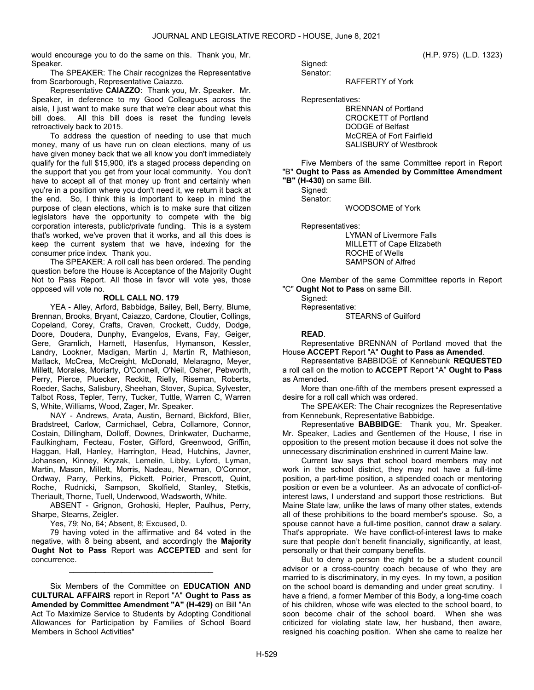would encourage you to do the same on this. Thank you, Mr. Speaker.

 The SPEAKER: The Chair recognizes the Representative from Scarborough, Representative Caiazzo.

Representative CAIAZZO: Thank you, Mr. Speaker. Mr. Speaker, in deference to my Good Colleagues across the aisle, I just want to make sure that we're clear about what this bill does. All this bill does is reset the funding levels retroactively back to 2015.

To address the question of needing to use that much money, many of us have run on clean elections, many of us have given money back that we all know you don't immediately qualify for the full \$15,900, it's a staged process depending on the support that you get from your local community. You don't have to accept all of that money up front and certainly when you're in a position where you don't need it, we return it back at the end. So, I think this is important to keep in mind the purpose of clean elections, which is to make sure that citizen legislators have the opportunity to compete with the big corporation interests, public/private funding. This is a system that's worked, we've proven that it works, and all this does is keep the current system that we have, indexing for the consumer price index. Thank you.

 The SPEAKER: A roll call has been ordered. The pending question before the House is Acceptance of the Majority Ought Not to Pass Report. All those in favor will vote yes, those opposed will vote no.

#### ROLL CALL NO. 179

 YEA - Alley, Arford, Babbidge, Bailey, Bell, Berry, Blume, Brennan, Brooks, Bryant, Caiazzo, Cardone, Cloutier, Collings, Copeland, Corey, Crafts, Craven, Crockett, Cuddy, Dodge, Doore, Doudera, Dunphy, Evangelos, Evans, Fay, Geiger, Gere, Gramlich, Harnett, Hasenfus, Hymanson, Kessler, Landry, Lookner, Madigan, Martin J, Martin R, Mathieson, Matlack, McCrea, McCreight, McDonald, Melaragno, Meyer, Millett, Morales, Moriarty, O'Connell, O'Neil, Osher, Pebworth, Perry, Pierce, Pluecker, Reckitt, Rielly, Riseman, Roberts, Roeder, Sachs, Salisbury, Sheehan, Stover, Supica, Sylvester, Talbot Ross, Tepler, Terry, Tucker, Tuttle, Warren C, Warren S, White, Williams, Wood, Zager, Mr. Speaker.

 NAY - Andrews, Arata, Austin, Bernard, Bickford, Blier, Bradstreet, Carlow, Carmichael, Cebra, Collamore, Connor, Costain, Dillingham, Dolloff, Downes, Drinkwater, Ducharme, Faulkingham, Fecteau, Foster, Gifford, Greenwood, Griffin, Haggan, Hall, Hanley, Harrington, Head, Hutchins, Javner, Johansen, Kinney, Kryzak, Lemelin, Libby, Lyford, Lyman, Martin, Mason, Millett, Morris, Nadeau, Newman, O'Connor, Ordway, Parry, Perkins, Pickett, Poirier, Prescott, Quint, Roche, Rudnicki, Sampson, Skolfield, Stanley, Stetkis, Theriault, Thorne, Tuell, Underwood, Wadsworth, White.

 ABSENT - Grignon, Grohoski, Hepler, Paulhus, Perry, Sharpe, Stearns, Zeigler.

Yes, 79; No, 64; Absent, 8; Excused, 0.

 79 having voted in the affirmative and 64 voted in the negative, with 8 being absent, and accordingly the Majority Ought Not to Pass Report was ACCEPTED and sent for concurrence.

\_\_\_\_\_\_\_\_\_\_\_\_\_\_\_\_\_\_\_\_\_\_\_\_\_\_\_\_\_\_\_\_\_

 Six Members of the Committee on EDUCATION AND CULTURAL AFFAIRS report in Report "A" Ought to Pass as Amended by Committee Amendment "A" (H-429) on Bill "An Act To Maximize Service to Students by Adopting Conditional Allowances for Participation by Families of School Board Members in School Activities"

 Signed: Senator:

RAFFERTY of York

Representatives:

 BRENNAN of Portland CROCKETT of Portland DODGE of Belfast McCREA of Fort Fairfield SALISBURY of Westbrook

 Five Members of the same Committee report in Report "B" Ought to Pass as Amended by Committee Amendment "B" (H-430) on same Bill.

 Signed: Senator:

WOODSOME of York

Representatives:

 LYMAN of Livermore Falls MILLETT of Cape Elizabeth ROCHE of Wells SAMPSON of Alfred

 One Member of the same Committee reports in Report "C" Ought Not to Pass on same Bill.

 Signed: Representative: STEARNS of Guilford

### READ.

 Representative BRENNAN of Portland moved that the House ACCEPT Report "A" Ought to Pass as Amended.

 Representative BABBIDGE of Kennebunk REQUESTED a roll call on the motion to ACCEPT Report "A" Ought to Pass as Amended.

 More than one-fifth of the members present expressed a desire for a roll call which was ordered.

 The SPEAKER: The Chair recognizes the Representative from Kennebunk, Representative Babbidge.

Representative BABBIDGE: Thank you, Mr. Speaker. Mr. Speaker, Ladies and Gentlemen of the House, I rise in opposition to the present motion because it does not solve the unnecessary discrimination enshrined in current Maine law.

Current law says that school board members may not work in the school district, they may not have a full-time position, a part-time position, a stipended coach or mentoring position or even be a volunteer. As an advocate of conflict-ofinterest laws, I understand and support those restrictions. But Maine State law, unlike the laws of many other states, extends all of these prohibitions to the board member's spouse. So, a spouse cannot have a full-time position, cannot draw a salary. That's appropriate. We have conflict-of-interest laws to make sure that people don't benefit financially, significantly, at least, personally or that their company benefits.

But to deny a person the right to be a student council advisor or a cross-country coach because of who they are married to is discriminatory, in my eyes. In my town, a position on the school board is demanding and under great scrutiny. I have a friend, a former Member of this Body, a long-time coach of his children, whose wife was elected to the school board, to soon become chair of the school board. When she was criticized for violating state law, her husband, then aware, resigned his coaching position. When she came to realize her

(H.P. 975) (L.D. 1323)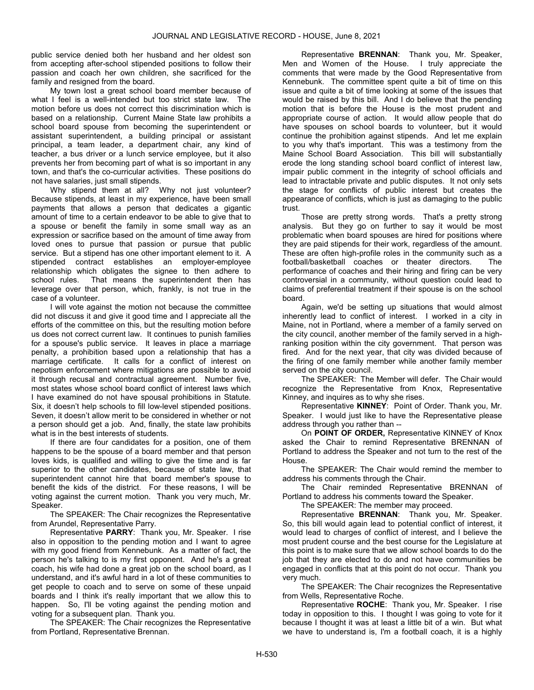public service denied both her husband and her oldest son from accepting after-school stipended positions to follow their passion and coach her own children, she sacrificed for the family and resigned from the board.

My town lost a great school board member because of what I feel is a well-intended but too strict state law. The motion before us does not correct this discrimination which is based on a relationship. Current Maine State law prohibits a school board spouse from becoming the superintendent or assistant superintendent, a building principal or assistant principal, a team leader, a department chair, any kind of teacher, a bus driver or a lunch service employee, but it also prevents her from becoming part of what is so important in any town, and that's the co-curricular activities. These positions do not have salaries, just small stipends.

Why stipend them at all? Why not just volunteer? Because stipends, at least in my experience, have been small payments that allows a person that dedicates a gigantic amount of time to a certain endeavor to be able to give that to a spouse or benefit the family in some small way as an expression or sacrifice based on the amount of time away from loved ones to pursue that passion or pursue that public service. But a stipend has one other important element to it. A stipended contract establishes an employer-employee relationship which obligates the signee to then adhere to school rules. That means the superintendent then has leverage over that person, which, frankly, is not true in the case of a volunteer.

I will vote against the motion not because the committee did not discuss it and give it good time and I appreciate all the efforts of the committee on this, but the resulting motion before us does not correct current law. It continues to punish families for a spouse's public service. It leaves in place a marriage penalty, a prohibition based upon a relationship that has a marriage certificate. It calls for a conflict of interest on nepotism enforcement where mitigations are possible to avoid it through recusal and contractual agreement. Number five, most states whose school board conflict of interest laws which I have examined do not have spousal prohibitions in Statute. Six, it doesn't help schools to fill low-level stipended positions. Seven, it doesn't allow merit to be considered in whether or not a person should get a job. And, finally, the state law prohibits what is in the best interests of students.

If there are four candidates for a position, one of them happens to be the spouse of a board member and that person loves kids, is qualified and willing to give the time and is far superior to the other candidates, because of state law, that superintendent cannot hire that board member's spouse to benefit the kids of the district. For these reasons, I will be voting against the current motion. Thank you very much, Mr. Speaker.

 The SPEAKER: The Chair recognizes the Representative from Arundel, Representative Parry.

Representative PARRY: Thank you, Mr. Speaker. I rise also in opposition to the pending motion and I want to agree with my good friend from Kennebunk. As a matter of fact, the person he's talking to is my first opponent. And he's a great coach, his wife had done a great job on the school board, as I understand, and it's awful hard in a lot of these communities to get people to coach and to serve on some of these unpaid boards and I think it's really important that we allow this to happen. So, I'll be voting against the pending motion and voting for a subsequent plan. Thank you.

 The SPEAKER: The Chair recognizes the Representative from Portland, Representative Brennan.

Representative BRENNAN: Thank you, Mr. Speaker, Men and Women of the House. I truly appreciate the comments that were made by the Good Representative from Kennebunk. The committee spent quite a bit of time on this issue and quite a bit of time looking at some of the issues that would be raised by this bill. And I do believe that the pending motion that is before the House is the most prudent and appropriate course of action. It would allow people that do have spouses on school boards to volunteer, but it would continue the prohibition against stipends. And let me explain to you why that's important. This was a testimony from the Maine School Board Association. This bill will substantially erode the long standing school board conflict of interest law, impair public comment in the integrity of school officials and lead to intractable private and public disputes. It not only sets the stage for conflicts of public interest but creates the appearance of conflicts, which is just as damaging to the public trust.

Those are pretty strong words. That's a pretty strong analysis. But they go on further to say it would be most problematic when board spouses are hired for positions where they are paid stipends for their work, regardless of the amount. These are often high-profile roles in the community such as a football/basketball coaches or theater directors. The performance of coaches and their hiring and firing can be very controversial in a community, without question could lead to claims of preferential treatment if their spouse is on the school board.

Again, we'd be setting up situations that would almost inherently lead to conflict of interest. I worked in a city in Maine, not in Portland, where a member of a family served on the city council, another member of the family served in a highranking position within the city government. That person was fired. And for the next year, that city was divided because of the firing of one family member while another family member served on the city council.

The SPEAKER: The Member will defer. The Chair would recognize the Representative from Knox, Representative Kinney, and inquires as to why she rises.

Representative KINNEY: Point of Order. Thank you, Mr. Speaker. I would just like to have the Representative please address through you rather than --

 On POINT OF ORDER, Representative KINNEY of Knox asked the Chair to remind Representative BRENNAN of Portland to address the Speaker and not turn to the rest of the House.

 The SPEAKER: The Chair would remind the member to address his comments through the Chair.

 The Chair reminded Representative BRENNAN of Portland to address his comments toward the Speaker.

The SPEAKER: The member may proceed.

Representative BRENNAN: Thank you, Mr. Speaker. So, this bill would again lead to potential conflict of interest, it would lead to charges of conflict of interest, and I believe the most prudent course and the best course for the Legislature at this point is to make sure that we allow school boards to do the job that they are elected to do and not have communities be engaged in conflicts that at this point do not occur. Thank you very much.

 The SPEAKER: The Chair recognizes the Representative from Wells, Representative Roche.

Representative ROCHE: Thank you, Mr. Speaker. I rise today in opposition to this. I thought I was going to vote for it because I thought it was at least a little bit of a win. But what we have to understand is, I'm a football coach, it is a highly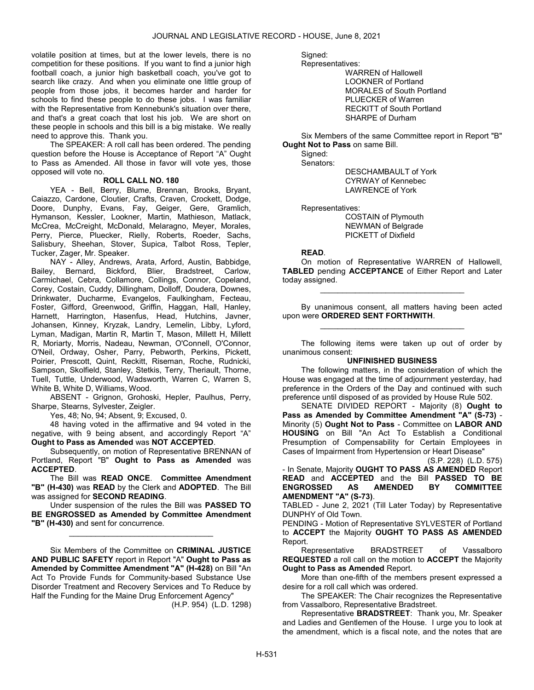volatile position at times, but at the lower levels, there is no competition for these positions. If you want to find a junior high football coach, a junior high basketball coach, you've got to search like crazy. And when you eliminate one little group of people from those jobs, it becomes harder and harder for schools to find these people to do these jobs. I was familiar with the Representative from Kennebunk's situation over there, and that's a great coach that lost his job. We are short on these people in schools and this bill is a big mistake. We really need to approve this. Thank you.

 The SPEAKER: A roll call has been ordered. The pending question before the House is Acceptance of Report "A" Ought to Pass as Amended. All those in favor will vote yes, those opposed will vote no.

### ROLL CALL NO. 180

 YEA - Bell, Berry, Blume, Brennan, Brooks, Bryant, Caiazzo, Cardone, Cloutier, Crafts, Craven, Crockett, Dodge, Doore, Dunphy, Evans, Fay, Geiger, Gere, Gramlich, Hymanson, Kessler, Lookner, Martin, Mathieson, Matlack, McCrea, McCreight, McDonald, Melaragno, Meyer, Morales, Perry, Pierce, Pluecker, Rielly, Roberts, Roeder, Sachs, Salisbury, Sheehan, Stover, Supica, Talbot Ross, Tepler, Tucker, Zager, Mr. Speaker.

 NAY - Alley, Andrews, Arata, Arford, Austin, Babbidge, Bailey, Bernard, Bickford, Blier, Bradstreet, Carlow, Carmichael, Cebra, Collamore, Collings, Connor, Copeland, Corey, Costain, Cuddy, Dillingham, Dolloff, Doudera, Downes, Drinkwater, Ducharme, Evangelos, Faulkingham, Fecteau, Foster, Gifford, Greenwood, Griffin, Haggan, Hall, Hanley, Harnett, Harrington, Hasenfus, Head, Hutchins, Javner, Johansen, Kinney, Kryzak, Landry, Lemelin, Libby, Lyford, Lyman, Madigan, Martin R, Martin T, Mason, Millett H, Millett R, Moriarty, Morris, Nadeau, Newman, O'Connell, O'Connor, O'Neil, Ordway, Osher, Parry, Pebworth, Perkins, Pickett, Poirier, Prescott, Quint, Reckitt, Riseman, Roche, Rudnicki, Sampson, Skolfield, Stanley, Stetkis, Terry, Theriault, Thorne, Tuell, Tuttle, Underwood, Wadsworth, Warren C, Warren S, White B, White D, Williams, Wood.

 ABSENT - Grignon, Grohoski, Hepler, Paulhus, Perry, Sharpe, Stearns, Sylvester, Zeigler.

Yes, 48; No, 94; Absent, 9; Excused, 0.

 48 having voted in the affirmative and 94 voted in the negative, with 9 being absent, and accordingly Report "A" Ought to Pass as Amended was NOT ACCEPTED.

 Subsequently, on motion of Representative BRENNAN of Portland, Report "B" Ought to Pass as Amended was ACCEPTED.

 The Bill was READ ONCE. Committee Amendment "B" (H-430) was READ by the Clerk and ADOPTED. The Bill was assigned for SECOND READING.

 Under suspension of the rules the Bill was PASSED TO BE ENGROSSED as Amended by Committee Amendment "B" (H-430) and sent for concurrence.

\_\_\_\_\_\_\_\_\_\_\_\_\_\_\_\_\_\_\_\_\_\_\_\_\_\_\_\_\_\_\_\_\_

 Six Members of the Committee on CRIMINAL JUSTICE AND PUBLIC SAFETY report in Report "A" Ought to Pass as Amended by Committee Amendment "A" (H-428) on Bill "An Act To Provide Funds for Community-based Substance Use Disorder Treatment and Recovery Services and To Reduce by Half the Funding for the Maine Drug Enforcement Agency"

(H.P. 954) (L.D. 1298)

Signed:

Representatives:

 WARREN of Hallowell LOOKNER of Portland MORALES of South Portland PLUECKER of Warren RECKITT of South Portland SHARPE of Durham

 Six Members of the same Committee report in Report "B" Ought Not to Pass on same Bill.

 Signed: Senators:

 DESCHAMBAULT of York CYRWAY of Kennebec LAWRENCE of York

Representatives:

 COSTAIN of Plymouth NEWMAN of Belgrade PICKETT of Dixfield

#### READ.

 On motion of Representative WARREN of Hallowell, TABLED pending ACCEPTANCE of Either Report and Later today assigned.

\_\_\_\_\_\_\_\_\_\_\_\_\_\_\_\_\_\_\_\_\_\_\_\_\_\_\_\_\_\_\_\_\_

 By unanimous consent, all matters having been acted upon were ORDERED SENT FORTHWITH. \_\_\_\_\_\_\_\_\_\_\_\_\_\_\_\_\_\_\_\_\_\_\_\_\_\_\_\_\_\_\_\_\_

 The following items were taken up out of order by unanimous consent:

#### UNFINISHED BUSINESS

 The following matters, in the consideration of which the House was engaged at the time of adjournment yesterday, had preference in the Orders of the Day and continued with such preference until disposed of as provided by House Rule 502.

SENATE DIVIDED REPORT - Majority (8) Ought to Pass as Amended by Committee Amendment "A" (S-73) - Minority (5) Ought Not to Pass - Committee on LABOR AND HOUSING on Bill "An Act To Establish a Conditional Presumption of Compensability for Certain Employees in Cases of Impairment from Hypertension or Heart Disease"

(S.P. 228) (L.D. 575) - In Senate, Majority OUGHT TO PASS AS AMENDED Report READ and ACCEPTED and the Bill PASSED TO BE ENGROSSED AS AMENDED BY COMMITTEE AMENDMENT "A" (S-73).

TABLED - June 2, 2021 (Till Later Today) by Representative DUNPHY of Old Town.

PENDING - Motion of Representative SYLVESTER of Portland to ACCEPT the Majority OUGHT TO PASS AS AMENDED Report.

 Representative BRADSTREET of Vassalboro REQUESTED a roll call on the motion to ACCEPT the Majority Ought to Pass as Amended Report.

 More than one-fifth of the members present expressed a desire for a roll call which was ordered.

 The SPEAKER: The Chair recognizes the Representative from Vassalboro, Representative Bradstreet.

Representative BRADSTREET: Thank you, Mr. Speaker and Ladies and Gentlemen of the House. I urge you to look at the amendment, which is a fiscal note, and the notes that are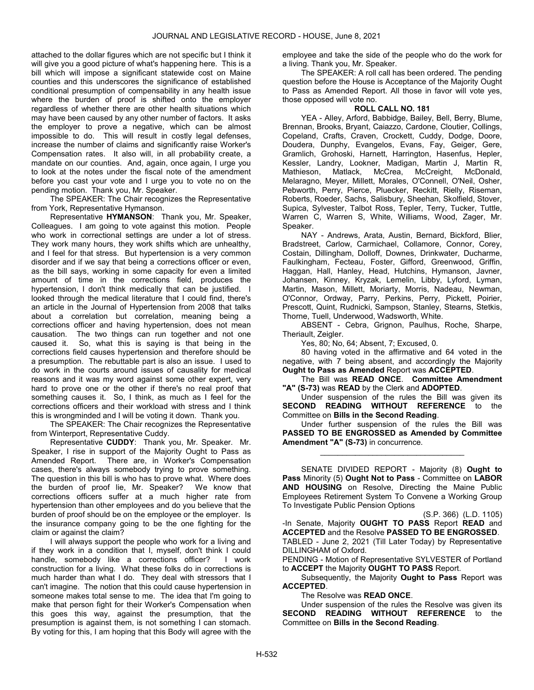attached to the dollar figures which are not specific but I think it will give you a good picture of what's happening here. This is a bill which will impose a significant statewide cost on Maine counties and this underscores the significance of established conditional presumption of compensability in any health issue where the burden of proof is shifted onto the employer regardless of whether there are other health situations which may have been caused by any other number of factors. It asks the employer to prove a negative, which can be almost impossible to do. This will result in costly legal defenses, increase the number of claims and significantly raise Worker's Compensation rates. It also will, in all probability create, a mandate on our counties. And, again, once again, I urge you to look at the notes under the fiscal note of the amendment before you cast your vote and I urge you to vote no on the pending motion. Thank you, Mr. Speaker.

 The SPEAKER: The Chair recognizes the Representative from York, Representative Hymanson.

Representative HYMANSON: Thank you, Mr. Speaker, Colleagues. I am going to vote against this motion. People who work in correctional settings are under a lot of stress. They work many hours, they work shifts which are unhealthy, and I feel for that stress. But hypertension is a very common disorder and if we say that being a corrections officer or even, as the bill says, working in some capacity for even a limited amount of time in the corrections field, produces the hypertension, I don't think medically that can be justified. I looked through the medical literature that I could find, there's an article in the Journal of Hypertension from 2008 that talks about a correlation but correlation, meaning being a corrections officer and having hypertension, does not mean causation. The two things can run together and not one caused it. So, what this is saying is that being in the corrections field causes hypertension and therefore should be a presumption. The rebuttable part is also an issue. I used to do work in the courts around issues of causality for medical reasons and it was my word against some other expert, very hard to prove one or the other if there's no real proof that something causes it. So, I think, as much as I feel for the corrections officers and their workload with stress and I think this is wrongminded and I will be voting it down. Thank you.

 The SPEAKER: The Chair recognizes the Representative from Winterport, Representative Cuddy.

Representative CUDDY: Thank you, Mr. Speaker. Mr. Speaker, I rise in support of the Majority Ought to Pass as Amended Report. There are, in Worker's Compensation cases, there's always somebody trying to prove something. The question in this bill is who has to prove what. Where does the burden of proof lie, Mr. Speaker? We know that corrections officers suffer at a much higher rate from hypertension than other employees and do you believe that the burden of proof should be on the employee or the employer. Is the insurance company going to be the one fighting for the claim or against the claim?

I will always support the people who work for a living and if they work in a condition that I, myself, don't think I could handle, somebody like a corrections officer? construction for a living. What these folks do in corrections is much harder than what I do. They deal with stressors that I can't imagine. The notion that this could cause hypertension in someone makes total sense to me. The idea that I'm going to make that person fight for their Worker's Compensation when this goes this way, against the presumption, that the presumption is against them, is not something I can stomach. By voting for this, I am hoping that this Body will agree with the

employee and take the side of the people who do the work for a living. Thank you, Mr. Speaker.

 The SPEAKER: A roll call has been ordered. The pending question before the House is Acceptance of the Majority Ought to Pass as Amended Report. All those in favor will vote yes, those opposed will vote no.

### ROLL CALL NO. 181

 YEA - Alley, Arford, Babbidge, Bailey, Bell, Berry, Blume, Brennan, Brooks, Bryant, Caiazzo, Cardone, Cloutier, Collings, Copeland, Crafts, Craven, Crockett, Cuddy, Dodge, Doore, Doudera, Dunphy, Evangelos, Evans, Fay, Geiger, Gere, Gramlich, Grohoski, Harnett, Harrington, Hasenfus, Hepler, Kessler, Landry, Lookner, Madigan, Martin J, Martin R, Mathieson, Matlack, McCrea, McCreight, McDonald, Melaragno, Meyer, Millett, Morales, O'Connell, O'Neil, Osher, Pebworth, Perry, Pierce, Pluecker, Reckitt, Rielly, Riseman, Roberts, Roeder, Sachs, Salisbury, Sheehan, Skolfield, Stover, Supica, Sylvester, Talbot Ross, Tepler, Terry, Tucker, Tuttle, Warren C, Warren S, White, Williams, Wood, Zager, Mr. Speaker.

 NAY - Andrews, Arata, Austin, Bernard, Bickford, Blier, Bradstreet, Carlow, Carmichael, Collamore, Connor, Corey, Costain, Dillingham, Dolloff, Downes, Drinkwater, Ducharme, Faulkingham, Fecteau, Foster, Gifford, Greenwood, Griffin, Haggan, Hall, Hanley, Head, Hutchins, Hymanson, Javner, Johansen, Kinney, Kryzak, Lemelin, Libby, Lyford, Lyman, Martin, Mason, Millett, Moriarty, Morris, Nadeau, Newman, O'Connor, Ordway, Parry, Perkins, Perry, Pickett, Poirier, Prescott, Quint, Rudnicki, Sampson, Stanley, Stearns, Stetkis, Thorne, Tuell, Underwood, Wadsworth, White.

 ABSENT - Cebra, Grignon, Paulhus, Roche, Sharpe, Theriault, Zeigler.

Yes, 80; No, 64; Absent, 7; Excused, 0.

 80 having voted in the affirmative and 64 voted in the negative, with 7 being absent, and accordingly the Majority Ought to Pass as Amended Report was ACCEPTED.

 The Bill was READ ONCE. Committee Amendment "A" (S-73) was READ by the Clerk and ADOPTED.

 Under suspension of the rules the Bill was given its SECOND READING WITHOUT REFERENCE to the Committee on Bills in the Second Reading.

 Under further suspension of the rules the Bill was PASSED TO BE ENGROSSED as Amended by Committee Amendment "A" (S-73) in concurrence.

\_\_\_\_\_\_\_\_\_\_\_\_\_\_\_\_\_\_\_\_\_\_\_\_\_\_\_\_\_\_\_\_\_

SENATE DIVIDED REPORT - Majority (8) Ought to Pass Minority (5) Ought Not to Pass - Committee on LABOR AND HOUSING on Resolve, Directing the Maine Public Employees Retirement System To Convene a Working Group To Investigate Public Pension Options

(S.P. 366) (L.D. 1105) -In Senate, Majority OUGHT TO PASS Report READ and ACCEPTED and the Resolve PASSED TO BE ENGROSSED. TABLED - June 2, 2021 (Till Later Today) by Representative DILLINGHAM of Oxford.

PENDING - Motion of Representative SYLVESTER of Portland to ACCEPT the Majority OUGHT TO PASS Report.

 Subsequently, the Majority Ought to Pass Report was ACCEPTED.

The Resolve was READ ONCE.

 Under suspension of the rules the Resolve was given its SECOND READING WITHOUT REFERENCE to the Committee on Bills in the Second Reading.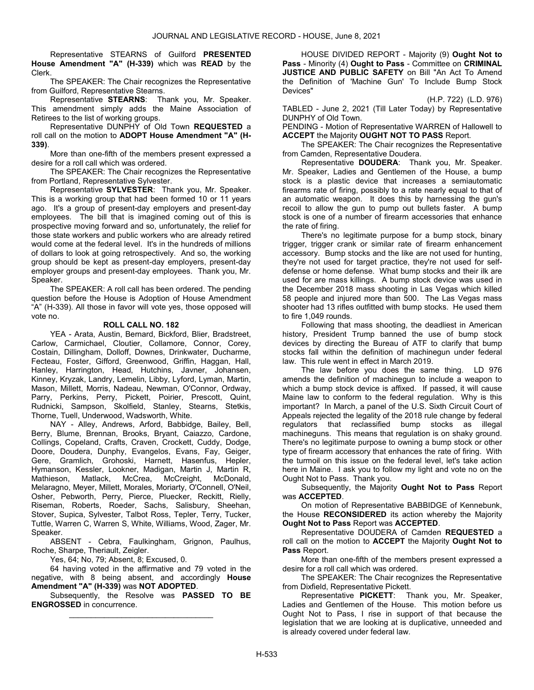Representative STEARNS of Guilford PRESENTED House Amendment "A" (H-339) which was READ by the Clerk.

 The SPEAKER: The Chair recognizes the Representative from Guilford, Representative Stearns.

Representative STEARNS: Thank you, Mr. Speaker. This amendment simply adds the Maine Association of Retirees to the list of working groups.

 Representative DUNPHY of Old Town REQUESTED a roll call on the motion to ADOPT House Amendment "A" (H-339).

 More than one-fifth of the members present expressed a desire for a roll call which was ordered.

 The SPEAKER: The Chair recognizes the Representative from Portland, Representative Sylvester.

Representative SYLVESTER: Thank you, Mr. Speaker. This is a working group that had been formed 10 or 11 years ago. It's a group of present-day employers and present-day employees. The bill that is imagined coming out of this is prospective moving forward and so, unfortunately, the relief for those state workers and public workers who are already retired would come at the federal level. It's in the hundreds of millions of dollars to look at going retrospectively. And so, the working group should be kept as present-day employers, present-day employer groups and present-day employees. Thank you, Mr. Speaker.

 The SPEAKER: A roll call has been ordered. The pending question before the House is Adoption of House Amendment "A" (H-339). All those in favor will vote yes, those opposed will vote no.

### ROLL CALL NO. 182

 YEA - Arata, Austin, Bernard, Bickford, Blier, Bradstreet, Carlow, Carmichael, Cloutier, Collamore, Connor, Corey, Costain, Dillingham, Dolloff, Downes, Drinkwater, Ducharme, Fecteau, Foster, Gifford, Greenwood, Griffin, Haggan, Hall, Hanley, Harrington, Head, Hutchins, Javner, Johansen, Kinney, Kryzak, Landry, Lemelin, Libby, Lyford, Lyman, Martin, Mason, Millett, Morris, Nadeau, Newman, O'Connor, Ordway, Parry, Perkins, Perry, Pickett, Poirier, Prescott, Quint, Rudnicki, Sampson, Skolfield, Stanley, Stearns, Stetkis, Thorne, Tuell, Underwood, Wadsworth, White.

 NAY - Alley, Andrews, Arford, Babbidge, Bailey, Bell, Berry, Blume, Brennan, Brooks, Bryant, Caiazzo, Cardone, Collings, Copeland, Crafts, Craven, Crockett, Cuddy, Dodge, Doore, Doudera, Dunphy, Evangelos, Evans, Fay, Geiger, Gere, Gramlich, Grohoski, Harnett, Hasenfus, Hepler, Hymanson, Kessler, Lookner, Madigan, Martin J, Martin R, Mathieson, Matlack, McCrea, McCreight, McDonald, Melaragno, Meyer, Millett, Morales, Moriarty, O'Connell, O'Neil, Osher, Pebworth, Perry, Pierce, Pluecker, Reckitt, Rielly, Riseman, Roberts, Roeder, Sachs, Salisbury, Sheehan, Stover, Supica, Sylvester, Talbot Ross, Tepler, Terry, Tucker, Tuttle, Warren C, Warren S, White, Williams, Wood, Zager, Mr. Speaker.

 ABSENT - Cebra, Faulkingham, Grignon, Paulhus, Roche, Sharpe, Theriault, Zeigler.

Yes, 64; No, 79; Absent, 8; Excused, 0.

 64 having voted in the affirmative and 79 voted in the negative, with 8 being absent, and accordingly House Amendment "A" (H-339) was NOT ADOPTED.

 Subsequently, the Resolve was PASSED TO BE ENGROSSED in concurrence. \_\_\_\_\_\_\_\_\_\_\_\_\_\_\_\_\_\_\_\_\_\_\_\_\_\_\_\_\_\_\_\_\_

 HOUSE DIVIDED REPORT - Majority (9) Ought Not to Pass - Minority (4) Ought to Pass - Committee on CRIMINAL JUSTICE AND PUBLIC SAFETY on Bill "An Act To Amend the Definition of 'Machine Gun' To Include Bump Stock Devices"

(H.P. 722) (L.D. 976)

TABLED - June 2, 2021 (Till Later Today) by Representative DUNPHY of Old Town.

PENDING - Motion of Representative WARREN of Hallowell to ACCEPT the Majority OUGHT NOT TO PASS Report.

 The SPEAKER: The Chair recognizes the Representative from Camden, Representative Doudera.

Representative DOUDERA: Thank you, Mr. Speaker. Mr. Speaker, Ladies and Gentlemen of the House, a bump stock is a plastic device that increases a semiautomatic firearms rate of firing, possibly to a rate nearly equal to that of an automatic weapon. It does this by harnessing the gun's recoil to allow the gun to pump out bullets faster. A bump stock is one of a number of firearm accessories that enhance the rate of firing.

There's no legitimate purpose for a bump stock, binary trigger, trigger crank or similar rate of firearm enhancement accessory. Bump stocks and the like are not used for hunting, they're not used for target practice, they're not used for selfdefense or home defense. What bump stocks and their ilk are used for are mass killings. A bump stock device was used in the December 2018 mass shooting in Las Vegas which killed 58 people and injured more than 500. The Las Vegas mass shooter had 13 rifles outfitted with bump stocks. He used them to fire 1,049 rounds.

Following that mass shooting, the deadliest in American history, President Trump banned the use of bump stock devices by directing the Bureau of ATF to clarify that bump stocks fall within the definition of machinegun under federal law. This rule went in effect in March 2019.

The law before you does the same thing. LD 976 amends the definition of machinegun to include a weapon to which a bump stock device is affixed. If passed, it will cause Maine law to conform to the federal regulation. Why is this important? In March, a panel of the U.S. Sixth Circuit Court of Appeals rejected the legality of the 2018 rule change by federal regulators that reclassified bump stocks as illegal machineguns. This means that regulation is on shaky ground. There's no legitimate purpose to owning a bump stock or other type of firearm accessory that enhances the rate of firing. With the turmoil on this issue on the federal level, let's take action here in Maine. I ask you to follow my light and vote no on the Ought Not to Pass. Thank you.

 Subsequently, the Majority Ought Not to Pass Report was ACCEPTED.

 On motion of Representative BABBIDGE of Kennebunk, the House RECONSIDERED its action whereby the Majority Ought Not to Pass Report was ACCEPTED.

 Representative DOUDERA of Camden REQUESTED a roll call on the motion to ACCEPT the Majority Ought Not to Pass Report.

 More than one-fifth of the members present expressed a desire for a roll call which was ordered.

 The SPEAKER: The Chair recognizes the Representative from Dixfield, Representative Pickett.

Representative PICKETT: Thank you, Mr. Speaker, Ladies and Gentlemen of the House. This motion before us Ought Not to Pass, I rise in support of that because the legislation that we are looking at is duplicative, unneeded and is already covered under federal law.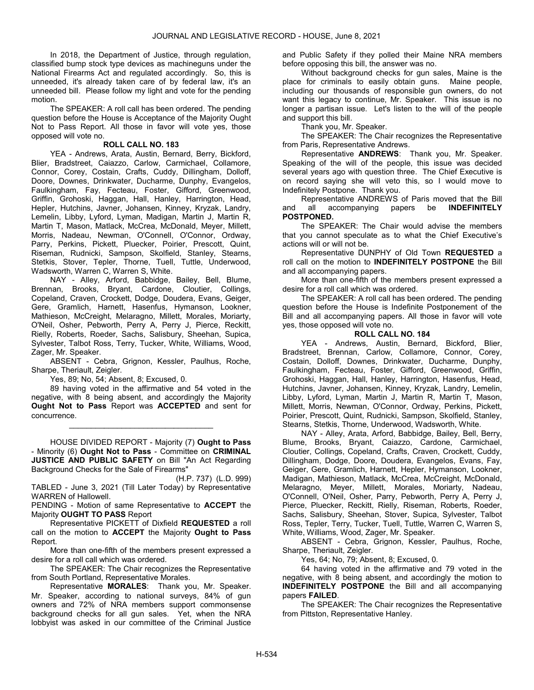In 2018, the Department of Justice, through regulation, classified bump stock type devices as machineguns under the National Firearms Act and regulated accordingly. So, this is unneeded, it's already taken care of by federal law, it's an unneeded bill. Please follow my light and vote for the pending motion.

 The SPEAKER: A roll call has been ordered. The pending question before the House is Acceptance of the Majority Ought Not to Pass Report. All those in favor will vote yes, those opposed will vote no.

### ROLL CALL NO. 183

 YEA - Andrews, Arata, Austin, Bernard, Berry, Bickford, Blier, Bradstreet, Caiazzo, Carlow, Carmichael, Collamore, Connor, Corey, Costain, Crafts, Cuddy, Dillingham, Dolloff, Doore, Downes, Drinkwater, Ducharme, Dunphy, Evangelos, Faulkingham, Fay, Fecteau, Foster, Gifford, Greenwood, Griffin, Grohoski, Haggan, Hall, Hanley, Harrington, Head, Hepler, Hutchins, Javner, Johansen, Kinney, Kryzak, Landry, Lemelin, Libby, Lyford, Lyman, Madigan, Martin J, Martin R, Martin T, Mason, Matlack, McCrea, McDonald, Meyer, Millett, Morris, Nadeau, Newman, O'Connell, O'Connor, Ordway, Parry, Perkins, Pickett, Pluecker, Poirier, Prescott, Quint, Riseman, Rudnicki, Sampson, Skolfield, Stanley, Stearns, Stetkis, Stover, Tepler, Thorne, Tuell, Tuttle, Underwood, Wadsworth, Warren C, Warren S, White.

 NAY - Alley, Arford, Babbidge, Bailey, Bell, Blume, Brennan, Brooks, Bryant, Cardone, Cloutier, Collings, Copeland, Craven, Crockett, Dodge, Doudera, Evans, Geiger, Gere, Gramlich, Harnett, Hasenfus, Hymanson, Lookner, Mathieson, McCreight, Melaragno, Millett, Morales, Moriarty, O'Neil, Osher, Pebworth, Perry A, Perry J, Pierce, Reckitt, Rielly, Roberts, Roeder, Sachs, Salisbury, Sheehan, Supica, Sylvester, Talbot Ross, Terry, Tucker, White, Williams, Wood, Zager, Mr. Speaker.

 ABSENT - Cebra, Grignon, Kessler, Paulhus, Roche, Sharpe, Theriault, Zeigler.

Yes, 89; No, 54; Absent, 8; Excused, 0.

 89 having voted in the affirmative and 54 voted in the negative, with 8 being absent, and accordingly the Majority Ought Not to Pass Report was ACCEPTED and sent for concurrence.

\_\_\_\_\_\_\_\_\_\_\_\_\_\_\_\_\_\_\_\_\_\_\_\_\_\_\_\_\_\_\_\_\_

 HOUSE DIVIDED REPORT - Majority (7) Ought to Pass - Minority (6) Ought Not to Pass - Committee on CRIMINAL JUSTICE AND PUBLIC SAFETY on Bill "An Act Regarding Background Checks for the Sale of Firearms"

(H.P. 737) (L.D. 999) TABLED - June 3, 2021 (Till Later Today) by Representative WARREN of Hallowell.

PENDING - Motion of same Representative to ACCEPT the Majority OUGHT TO PASS Report

 Representative PICKETT of Dixfield REQUESTED a roll call on the motion to ACCEPT the Majority Ought to Pass Report.

 More than one-fifth of the members present expressed a desire for a roll call which was ordered.

 The SPEAKER: The Chair recognizes the Representative from South Portland, Representative Morales.

Representative MORALES: Thank you, Mr. Speaker. Mr. Speaker, according to national surveys, 84% of gun owners and 72% of NRA members support commonsense background checks for all gun sales. Yet, when the NRA lobbyist was asked in our committee of the Criminal Justice and Public Safety if they polled their Maine NRA members before opposing this bill, the answer was no.

Without background checks for gun sales, Maine is the place for criminals to easily obtain guns. Maine people, including our thousands of responsible gun owners, do not want this legacy to continue, Mr. Speaker. This issue is no longer a partisan issue. Let's listen to the will of the people and support this bill.

Thank you, Mr. Speaker.

 The SPEAKER: The Chair recognizes the Representative from Paris, Representative Andrews.

Representative ANDREWS: Thank you, Mr. Speaker. Speaking of the will of the people, this issue was decided several years ago with question three. The Chief Executive is on record saying she will veto this, so I would move to Indefinitely Postpone. Thank you.

Representative ANDREWS of Paris moved that the Bill<br>and all accompanying papers be **INDEFINITELY** accompanying papers be INDEFINITELY POSTPONED.

 The SPEAKER: The Chair would advise the members that you cannot speculate as to what the Chief Executive's actions will or will not be.

 Representative DUNPHY of Old Town REQUESTED a roll call on the motion to **INDEFINITELY POSTPONE** the Bill and all accompanying papers.

 More than one-fifth of the members present expressed a desire for a roll call which was ordered.

 The SPEAKER: A roll call has been ordered. The pending question before the House is Indefinite Postponement of the Bill and all accompanying papers. All those in favor will vote yes, those opposed will vote no.

### ROLL CALL NO. 184

 YEA - Andrews, Austin, Bernard, Bickford, Blier, Bradstreet, Brennan, Carlow, Collamore, Connor, Corey, Costain, Dolloff, Downes, Drinkwater, Ducharme, Dunphy, Faulkingham, Fecteau, Foster, Gifford, Greenwood, Griffin, Grohoski, Haggan, Hall, Hanley, Harrington, Hasenfus, Head, Hutchins, Javner, Johansen, Kinney, Kryzak, Landry, Lemelin, Libby, Lyford, Lyman, Martin J, Martin R, Martin T, Mason, Millett, Morris, Newman, O'Connor, Ordway, Perkins, Pickett, Poirier, Prescott, Quint, Rudnicki, Sampson, Skolfield, Stanley, Stearns, Stetkis, Thorne, Underwood, Wadsworth, White.

 NAY - Alley, Arata, Arford, Babbidge, Bailey, Bell, Berry, Blume, Brooks, Bryant, Caiazzo, Cardone, Carmichael, Cloutier, Collings, Copeland, Crafts, Craven, Crockett, Cuddy, Dillingham, Dodge, Doore, Doudera, Evangelos, Evans, Fay, Geiger, Gere, Gramlich, Harnett, Hepler, Hymanson, Lookner, Madigan, Mathieson, Matlack, McCrea, McCreight, McDonald, Melaragno, Meyer, Millett, Morales, Moriarty, Nadeau, O'Connell, O'Neil, Osher, Parry, Pebworth, Perry A, Perry J, Pierce, Pluecker, Reckitt, Rielly, Riseman, Roberts, Roeder, Sachs, Salisbury, Sheehan, Stover, Supica, Sylvester, Talbot Ross, Tepler, Terry, Tucker, Tuell, Tuttle, Warren C, Warren S, White, Williams, Wood, Zager, Mr. Speaker.

 ABSENT - Cebra, Grignon, Kessler, Paulhus, Roche, Sharpe, Theriault, Zeigler.

Yes, 64; No, 79; Absent, 8; Excused, 0.

 64 having voted in the affirmative and 79 voted in the negative, with 8 being absent, and accordingly the motion to INDEFINITELY POSTPONE the Bill and all accompanying papers FAILED.

 The SPEAKER: The Chair recognizes the Representative from Pittston, Representative Hanley.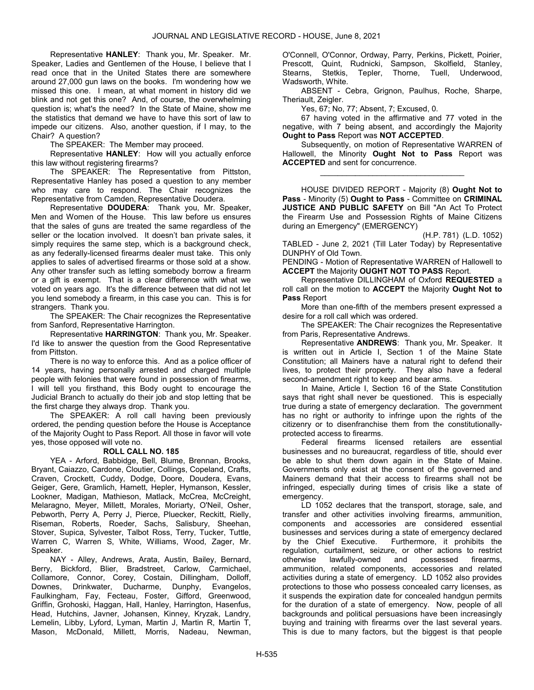Representative HANLEY: Thank you, Mr. Speaker. Mr. Speaker, Ladies and Gentlemen of the House, I believe that I read once that in the United States there are somewhere around 27,000 gun laws on the books. I'm wondering how we missed this one. I mean, at what moment in history did we blink and not get this one? And, of course, the overwhelming question is; what's the need? In the State of Maine, show me the statistics that demand we have to have this sort of law to impede our citizens. Also, another question, if I may, to the Chair? A question?

The SPEAKER: The Member may proceed.

Representative HANLEY: How will you actually enforce this law without registering firearms?

 The SPEAKER: The Representative from Pittston, Representative Hanley has posed a question to any member who may care to respond. The Chair recognizes the Representative from Camden, Representative Doudera.

Representative DOUDERA: Thank you, Mr. Speaker, Men and Women of the House. This law before us ensures that the sales of guns are treated the same regardless of the seller or the location involved. It doesn't ban private sales, it simply requires the same step, which is a background check, as any federally-licensed firearms dealer must take. This only applies to sales of advertised firearms or those sold at a show. Any other transfer such as letting somebody borrow a firearm or a gift is exempt. That is a clear difference with what we voted on years ago. It's the difference between that did not let you lend somebody a firearm, in this case you can. This is for strangers. Thank you.

 The SPEAKER: The Chair recognizes the Representative from Sanford, Representative Harrington.

Representative HARRINGTON: Thank you, Mr. Speaker. I'd like to answer the question from the Good Representative from Pittston.

There is no way to enforce this. And as a police officer of 14 years, having personally arrested and charged multiple people with felonies that were found in possession of firearms, I will tell you firsthand, this Body ought to encourage the Judicial Branch to actually do their job and stop letting that be the first charge they always drop. Thank you.

 The SPEAKER: A roll call having been previously ordered, the pending question before the House is Acceptance of the Majority Ought to Pass Report. All those in favor will vote yes, those opposed will vote no.

### ROLL CALL NO. 185

 YEA - Arford, Babbidge, Bell, Blume, Brennan, Brooks, Bryant, Caiazzo, Cardone, Cloutier, Collings, Copeland, Crafts, Craven, Crockett, Cuddy, Dodge, Doore, Doudera, Evans, Geiger, Gere, Gramlich, Harnett, Hepler, Hymanson, Kessler, Lookner, Madigan, Mathieson, Matlack, McCrea, McCreight, Melaragno, Meyer, Millett, Morales, Moriarty, O'Neil, Osher, Pebworth, Perry A, Perry J, Pierce, Pluecker, Reckitt, Rielly, Riseman, Roberts, Roeder, Sachs, Salisbury, Sheehan, Stover, Supica, Sylvester, Talbot Ross, Terry, Tucker, Tuttle, Warren C, Warren S, White, Williams, Wood, Zager, Mr. Speaker.

 NAY - Alley, Andrews, Arata, Austin, Bailey, Bernard, Berry, Bickford, Blier, Bradstreet, Carlow, Carmichael, Collamore, Connor, Corey, Costain, Dillingham, Dolloff, Downes, Drinkwater, Ducharme, Dunphy, Evangelos, Faulkingham, Fay, Fecteau, Foster, Gifford, Greenwood, Griffin, Grohoski, Haggan, Hall, Hanley, Harrington, Hasenfus, Head, Hutchins, Javner, Johansen, Kinney, Kryzak, Landry, Lemelin, Libby, Lyford, Lyman, Martin J, Martin R, Martin T, Mason, McDonald, Millett, Morris, Nadeau, Newman, O'Connell, O'Connor, Ordway, Parry, Perkins, Pickett, Poirier, Prescott, Quint, Rudnicki, Sampson, Skolfield, Stanley, Stearns, Stetkis, Tepler, Thorne, Tuell, Underwood, Wadsworth, White.

 ABSENT - Cebra, Grignon, Paulhus, Roche, Sharpe, Theriault, Zeigler.

Yes, 67; No, 77; Absent, 7; Excused, 0.

 67 having voted in the affirmative and 77 voted in the negative, with 7 being absent, and accordingly the Majority Ought to Pass Report was NOT ACCEPTED.

 Subsequently, on motion of Representative WARREN of Hallowell, the Minority Ought Not to Pass Report was ACCEPTED and sent for concurrence.

\_\_\_\_\_\_\_\_\_\_\_\_\_\_\_\_\_\_\_\_\_\_\_\_\_\_\_\_\_\_\_\_\_

 HOUSE DIVIDED REPORT - Majority (8) Ought Not to Pass - Minority (5) Ought to Pass - Committee on CRIMINAL JUSTICE AND PUBLIC SAFETY on Bill "An Act To Protect the Firearm Use and Possession Rights of Maine Citizens during an Emergency" (EMERGENCY)

(H.P. 781) (L.D. 1052) TABLED - June 2, 2021 (Till Later Today) by Representative DUNPHY of Old Town.

PENDING - Motion of Representative WARREN of Hallowell to **ACCEPT** the Majority **OUGHT NOT TO PASS** Report.

 Representative DILLINGHAM of Oxford REQUESTED a roll call on the motion to **ACCEPT** the Majority **Ought Not to** Pass Report

 More than one-fifth of the members present expressed a desire for a roll call which was ordered.

 The SPEAKER: The Chair recognizes the Representative from Paris, Representative Andrews.

Representative ANDREWS: Thank you, Mr. Speaker. It is written out in Article I, Section 1 of the Maine State Constitution; all Mainers have a natural right to defend their lives, to protect their property. They also have a federal second-amendment right to keep and bear arms.

In Maine, Article I, Section 16 of the State Constitution says that right shall never be questioned. This is especially true during a state of emergency declaration. The government has no right or authority to infringe upon the rights of the citizenry or to disenfranchise them from the constitutionallyprotected access to firearms.

Federal firearms licensed retailers are essential businesses and no bureaucrat, regardless of title, should ever be able to shut them down again in the State of Maine. Governments only exist at the consent of the governed and Mainers demand that their access to firearms shall not be infringed, especially during times of crisis like a state of emergency.

LD 1052 declares that the transport, storage, sale, and transfer and other activities involving firearms, ammunition, components and accessories are considered essential businesses and services during a state of emergency declared by the Chief Executive. Furthermore, it prohibits the regulation, curtailment, seizure, or other actions to restrict otherwise lawfully-owned and possessed firearms, ammunition, related components, accessories and related activities during a state of emergency. LD 1052 also provides protections to those who possess concealed carry licenses, as it suspends the expiration date for concealed handgun permits for the duration of a state of emergency. Now, people of all backgrounds and political persuasions have been increasingly buying and training with firearms over the last several years. This is due to many factors, but the biggest is that people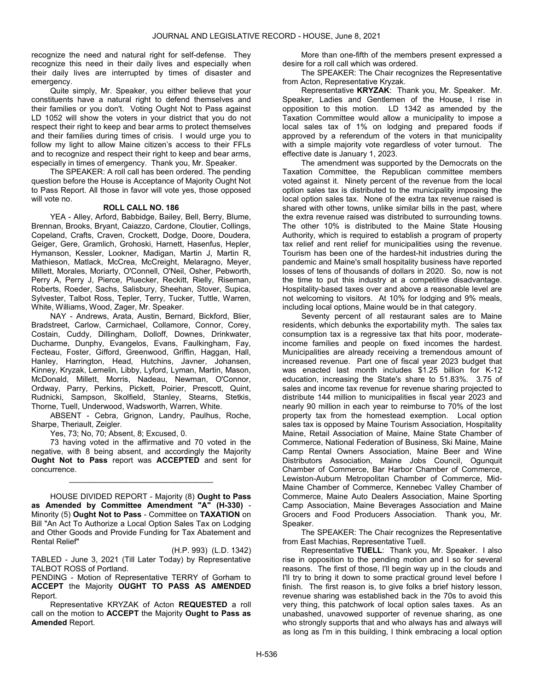recognize the need and natural right for self-defense. They recognize this need in their daily lives and especially when their daily lives are interrupted by times of disaster and emergency.

Quite simply, Mr. Speaker, you either believe that your constituents have a natural right to defend themselves and their families or you don't. Voting Ought Not to Pass against LD 1052 will show the voters in your district that you do not respect their right to keep and bear arms to protect themselves and their families during times of crisis. I would urge you to follow my light to allow Maine citizen's access to their FFLs and to recognize and respect their right to keep and bear arms, especially in times of emergency. Thank you, Mr. Speaker.

 The SPEAKER: A roll call has been ordered. The pending question before the House is Acceptance of Majority Ought Not to Pass Report. All those in favor will vote yes, those opposed will vote no.

### ROLL CALL NO. 186

 YEA - Alley, Arford, Babbidge, Bailey, Bell, Berry, Blume, Brennan, Brooks, Bryant, Caiazzo, Cardone, Cloutier, Collings, Copeland, Crafts, Craven, Crockett, Dodge, Doore, Doudera, Geiger, Gere, Gramlich, Grohoski, Harnett, Hasenfus, Hepler, Hymanson, Kessler, Lookner, Madigan, Martin J, Martin R, Mathieson, Matlack, McCrea, McCreight, Melaragno, Meyer, Millett, Morales, Moriarty, O'Connell, O'Neil, Osher, Pebworth, Perry A, Perry J, Pierce, Pluecker, Reckitt, Rielly, Riseman, Roberts, Roeder, Sachs, Salisbury, Sheehan, Stover, Supica, Sylvester, Talbot Ross, Tepler, Terry, Tucker, Tuttle, Warren, White, Williams, Wood, Zager, Mr. Speaker.

 NAY - Andrews, Arata, Austin, Bernard, Bickford, Blier, Bradstreet, Carlow, Carmichael, Collamore, Connor, Corey, Costain, Cuddy, Dillingham, Dolloff, Downes, Drinkwater, Ducharme, Dunphy, Evangelos, Evans, Faulkingham, Fay, Fecteau, Foster, Gifford, Greenwood, Griffin, Haggan, Hall, Hanley, Harrington, Head, Hutchins, Javner, Johansen, Kinney, Kryzak, Lemelin, Libby, Lyford, Lyman, Martin, Mason, McDonald, Millett, Morris, Nadeau, Newman, O'Connor, Ordway, Parry, Perkins, Pickett, Poirier, Prescott, Quint, Rudnicki, Sampson, Skolfield, Stanley, Stearns, Stetkis, Thorne, Tuell, Underwood, Wadsworth, Warren, White.

 ABSENT - Cebra, Grignon, Landry, Paulhus, Roche, Sharpe, Theriault, Zeigler.

Yes, 73; No, 70; Absent, 8; Excused, 0.

 73 having voted in the affirmative and 70 voted in the negative, with 8 being absent, and accordingly the Majority Ought Not to Pass report was ACCEPTED and sent for concurrence.

\_\_\_\_\_\_\_\_\_\_\_\_\_\_\_\_\_\_\_\_\_\_\_\_\_\_\_\_\_\_\_\_\_

 HOUSE DIVIDED REPORT - Majority (8) Ought to Pass as Amended by Committee Amendment "A" (H-330) - Minority (5) Ought Not to Pass - Committee on TAXATION on Bill "An Act To Authorize a Local Option Sales Tax on Lodging and Other Goods and Provide Funding for Tax Abatement and Rental Relief"

(H.P. 993) (L.D. 1342) TABLED - June 3, 2021 (Till Later Today) by Representative TALBOT ROSS of Portland.

PENDING - Motion of Representative TERRY of Gorham to ACCEPT the Majority OUGHT TO PASS AS AMENDED Report.

 Representative KRYZAK of Acton REQUESTED a roll call on the motion to ACCEPT the Majority Ought to Pass as Amended Report.

 More than one-fifth of the members present expressed a desire for a roll call which was ordered.

 The SPEAKER: The Chair recognizes the Representative from Acton, Representative Kryzak.

Representative KRYZAK: Thank you, Mr. Speaker. Mr. Speaker, Ladies and Gentlemen of the House, I rise in opposition to this motion. LD 1342 as amended by the Taxation Committee would allow a municipality to impose a local sales tax of 1% on lodging and prepared foods if approved by a referendum of the voters in that municipality with a simple majority vote regardless of voter turnout. The effective date is January 1, 2023.

The amendment was supported by the Democrats on the Taxation Committee, the Republican committee members voted against it. Ninety percent of the revenue from the local option sales tax is distributed to the municipality imposing the local option sales tax. None of the extra tax revenue raised is shared with other towns, unlike similar bills in the past, where the extra revenue raised was distributed to surrounding towns. The other 10% is distributed to the Maine State Housing Authority, which is required to establish a program of property tax relief and rent relief for municipalities using the revenue. Tourism has been one of the hardest-hit industries during the pandemic and Maine's small hospitality business have reported losses of tens of thousands of dollars in 2020. So, now is not the time to put this industry at a competitive disadvantage. Hospitality-based taxes over and above a reasonable level are not welcoming to visitors. At 10% for lodging and 9% meals, including local options, Maine would be in that category.

Seventy percent of all restaurant sales are to Maine residents, which debunks the exportability myth. The sales tax consumption tax is a regressive tax that hits poor, moderateincome families and people on fixed incomes the hardest. Municipalities are already receiving a tremendous amount of increased revenue. Part one of fiscal year 2023 budget that was enacted last month includes \$1.25 billion for K-12 education, increasing the State's share to 51.83%. 3.75 of sales and income tax revenue for revenue sharing projected to distribute 144 million to municipalities in fiscal year 2023 and nearly 90 million in each year to reimburse to 70% of the lost property tax from the homestead exemption. Local option sales tax is opposed by Maine Tourism Association, Hospitality Maine, Retail Association of Maine, Maine State Chamber of Commerce, National Federation of Business, Ski Maine, Maine Camp Rental Owners Association, Maine Beer and Wine Distributors Association, Maine Jobs Council, Ogunquit Chamber of Commerce, Bar Harbor Chamber of Commerce, Lewiston-Auburn Metropolitan Chamber of Commerce, Mid-Maine Chamber of Commerce, Kennebec Valley Chamber of Commerce, Maine Auto Dealers Association, Maine Sporting Camp Association, Maine Beverages Association and Maine Grocers and Food Producers Association. Thank you, Mr. Speaker.

 The SPEAKER: The Chair recognizes the Representative from East Machias, Representative Tuell.

Representative TUELL: Thank you, Mr. Speaker. I also rise in opposition to the pending motion and I so for several reasons. The first of those, I'll begin way up in the clouds and I'll try to bring it down to some practical ground level before I finish. The first reason is, to give folks a brief history lesson, revenue sharing was established back in the 70s to avoid this very thing, this patchwork of local option sales taxes. As an unabashed, unavowed supporter of revenue sharing, as one who strongly supports that and who always has and always will as long as I'm in this building, I think embracing a local option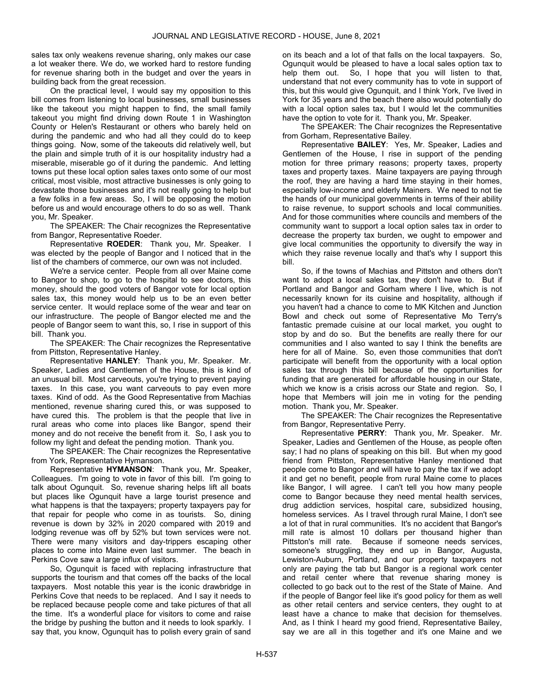sales tax only weakens revenue sharing, only makes our case a lot weaker there. We do, we worked hard to restore funding for revenue sharing both in the budget and over the years in building back from the great recession.

On the practical level, I would say my opposition to this bill comes from listening to local businesses, small businesses like the takeout you might happen to find, the small family takeout you might find driving down Route 1 in Washington County or Helen's Restaurant or others who barely held on during the pandemic and who had all they could do to keep things going. Now, some of the takeouts did relatively well, but the plain and simple truth of it is our hospitality industry had a miserable, miserable go of it during the pandemic. And letting towns put these local option sales taxes onto some of our most critical, most visible, most attractive businesses is only going to devastate those businesses and it's not really going to help but a few folks in a few areas. So, I will be opposing the motion before us and would encourage others to do so as well. Thank you, Mr. Speaker.

 The SPEAKER: The Chair recognizes the Representative from Bangor, Representative Roeder.

Representative ROEDER: Thank you, Mr. Speaker. I was elected by the people of Bangor and I noticed that in the list of the chambers of commerce, our own was not included.

We're a service center. People from all over Maine come to Bangor to shop, to go to the hospital to see doctors, this money, should the good voters of Bangor vote for local option sales tax, this money would help us to be an even better service center. It would replace some of the wear and tear on our infrastructure. The people of Bangor elected me and the people of Bangor seem to want this, so, I rise in support of this bill. Thank you.

 The SPEAKER: The Chair recognizes the Representative from Pittston, Representative Hanley.

Representative HANLEY: Thank you, Mr. Speaker. Mr. Speaker, Ladies and Gentlemen of the House, this is kind of an unusual bill. Most carveouts, you're trying to prevent paying taxes. In this case, you want carveouts to pay even more taxes. Kind of odd. As the Good Representative from Machias mentioned, revenue sharing cured this, or was supposed to have cured this. The problem is that the people that live in rural areas who come into places like Bangor, spend their money and do not receive the benefit from it. So, I ask you to follow my light and defeat the pending motion. Thank you.

 The SPEAKER: The Chair recognizes the Representative from York, Representative Hymanson.

Representative HYMANSON: Thank you, Mr. Speaker, Colleagues. I'm going to vote in favor of this bill. I'm going to talk about Ogunquit. So, revenue sharing helps lift all boats but places like Ogunquit have a large tourist presence and what happens is that the taxpayers; property taxpayers pay for that repair for people who come in as tourists. So, dining revenue is down by 32% in 2020 compared with 2019 and lodging revenue was off by 52% but town services were not. There were many visitors and day-trippers escaping other places to come into Maine even last summer. The beach in Perkins Cove saw a large influx of visitors.

So, Ogunquit is faced with replacing infrastructure that supports the tourism and that comes off the backs of the local taxpayers. Most notable this year is the iconic drawbridge in Perkins Cove that needs to be replaced. And I say it needs to be replaced because people come and take pictures of that all the time. It's a wonderful place for visitors to come and raise the bridge by pushing the button and it needs to look sparkly. I say that, you know, Ogunquit has to polish every grain of sand

on its beach and a lot of that falls on the local taxpayers. So, Ogunquit would be pleased to have a local sales option tax to help them out. So, I hope that you will listen to that, understand that not every community has to vote in support of this, but this would give Ogunquit, and I think York, I've lived in York for 35 years and the beach there also would potentially do with a local option sales tax, but I would let the communities have the option to vote for it. Thank you, Mr. Speaker.

 The SPEAKER: The Chair recognizes the Representative from Gorham, Representative Bailey.

Representative BAILEY: Yes, Mr. Speaker, Ladies and Gentlemen of the House, I rise in support of the pending motion for three primary reasons; property taxes, property taxes and property taxes. Maine taxpayers are paying through the roof, they are having a hard time staying in their homes, especially low-income and elderly Mainers. We need to not tie the hands of our municipal governments in terms of their ability to raise revenue, to support schools and local communities. And for those communities where councils and members of the community want to support a local option sales tax in order to decrease the property tax burden, we ought to empower and give local communities the opportunity to diversify the way in which they raise revenue locally and that's why I support this bill.

So, if the towns of Machias and Pittston and others don't want to adopt a local sales tax, they don't have to. But if Portland and Bangor and Gorham where I live, which is not necessarily known for its cuisine and hospitality, although if you haven't had a chance to come to MK Kitchen and Junction Bowl and check out some of Representative Mo Terry's fantastic premade cuisine at our local market, you ought to stop by and do so. But the benefits are really there for our communities and I also wanted to say I think the benefits are here for all of Maine. So, even those communities that don't participate will benefit from the opportunity with a local option sales tax through this bill because of the opportunities for funding that are generated for affordable housing in our State, which we know is a crisis across our State and region. So, I hope that Members will join me in voting for the pending motion. Thank you, Mr. Speaker.

 The SPEAKER: The Chair recognizes the Representative from Bangor, Representative Perry.

Representative PERRY: Thank you, Mr. Speaker. Mr. Speaker, Ladies and Gentlemen of the House, as people often say; I had no plans of speaking on this bill. But when my good friend from Pittston, Representative Hanley mentioned that people come to Bangor and will have to pay the tax if we adopt it and get no benefit, people from rural Maine come to places like Bangor, I will agree. I can't tell you how many people come to Bangor because they need mental health services, drug addiction services, hospital care, subsidized housing, homeless services. As I travel through rural Maine, I don't see a lot of that in rural communities. It's no accident that Bangor's mill rate is almost 10 dollars per thousand higher than Pittston's mill rate. Because if someone needs services, someone's struggling, they end up in Bangor, Augusta, Lewiston-Auburn, Portland, and our property taxpayers not only are paying the tab but Bangor is a regional work center and retail center where that revenue sharing money is collected to go back out to the rest of the State of Maine. And if the people of Bangor feel like it's good policy for them as well as other retail centers and service centers, they ought to at least have a chance to make that decision for themselves. And, as I think I heard my good friend, Representative Bailey, say we are all in this together and it's one Maine and we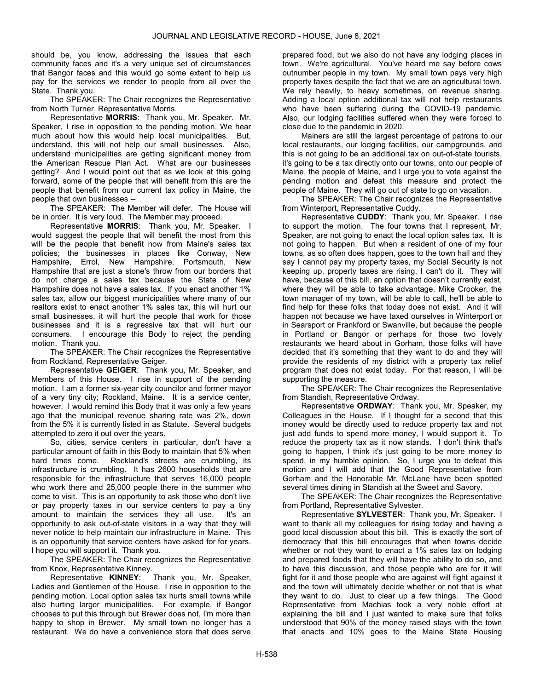should be, you know, addressing the issues that each community faces and it's a very unique set of circumstances that Bangor faces and this would go some extent to help us pay for the services we render to people from all over the State. Thank you.

 The SPEAKER: The Chair recognizes the Representative from North Turner, Representative Morris.

Representative MORRIS: Thank you, Mr. Speaker. Mr. Speaker, I rise in opposition to the pending motion. We hear much about how this would help local municipalities. But, understand, this will not help our small businesses. Also, understand municipalities are getting significant money from the American Rescue Plan Act. What are our businesses getting? And I would point out that as we look at this going forward, some of the people that will benefit from this are the people that benefit from our current tax policy in Maine, the people that own businesses --

The SPEAKER: The Member will defer. The House will be in order. It is very loud. The Member may proceed.

Representative MORRIS: Thank you, Mr. Speaker. I would suggest the people that will benefit the most from this will be the people that benefit now from Maine's sales tax policies; the businesses in places like Conway, New Hampshire, Errol, New Hampshire, Portsmouth, New Hampshire that are just a stone's throw from our borders that do not charge a sales tax because the State of New Hampshire does not have a sales tax. If you enact another 1% sales tax, allow our biggest municipalities where many of our realtors exist to enact another 1% sales tax, this will hurt our small businesses, it will hurt the people that work for those businesses and it is a regressive tax that will hurt our consumers. I encourage this Body to reject the pending motion. Thank you.

 The SPEAKER: The Chair recognizes the Representative from Rockland, Representative Geiger.

Representative GEIGER: Thank you, Mr. Speaker, and Members of this House. I rise in support of the pending motion. I am a former six-year city councilor and former mayor of a very tiny city; Rockland, Maine. It is a service center, however. I would remind this Body that it was only a few years ago that the municipal revenue sharing rate was 2%, down from the 5% it is currently listed in as Statute. Several budgets attempted to zero it out over the years.

So, cities, service centers in particular, don't have a particular amount of faith in this Body to maintain that 5% when hard times come. Rockland's streets are crumbling, its infrastructure is crumbling. It has 2600 households that are responsible for the infrastructure that serves 16,000 people who work there and 25,000 people there in the summer who come to visit. This is an opportunity to ask those who don't live or pay property taxes in our service centers to pay a tiny amount to maintain the services they all use. It's an opportunity to ask out-of-state visitors in a way that they will never notice to help maintain our infrastructure in Maine. This is an opportunity that service centers have asked for for years. I hope you will support it. Thank you.

 The SPEAKER: The Chair recognizes the Representative from Knox, Representative Kinney.

Representative KINNEY: Thank you, Mr. Speaker, Ladies and Gentlemen of the House. I rise in opposition to the pending motion. Local option sales tax hurts small towns while also hurting larger municipalities. For example, if Bangor chooses to put this through but Brewer does not, I'm more than happy to shop in Brewer. My small town no longer has a restaurant. We do have a convenience store that does serve

prepared food, but we also do not have any lodging places in town. We're agricultural. You've heard me say before cows outnumber people in my town. My small town pays very high property taxes despite the fact that we are an agricultural town. We rely heavily, to heavy sometimes, on revenue sharing. Adding a local option additional tax will not help restaurants who have been suffering during the COVID-19 pandemic. Also, our lodging facilities suffered when they were forced to close due to the pandemic in 2020.

Mainers are still the largest percentage of patrons to our local restaurants, our lodging facilities, our campgrounds, and this is not going to be an additional tax on out-of-state tourists, it's going to be a tax directly onto our towns, onto our people of Maine, the people of Maine, and I urge you to vote against the pending motion and defeat this measure and protect the people of Maine. They will go out of state to go on vacation.

 The SPEAKER: The Chair recognizes the Representative from Winterport, Representative Cuddy.

Representative CUDDY: Thank you, Mr. Speaker. I rise to support the motion. The four towns that I represent, Mr. Speaker, are not going to enact the local option sales tax. It is not going to happen. But when a resident of one of my four towns, as so often does happen, goes to the town hall and they say I cannot pay my property taxes, my Social Security is not keeping up, property taxes are rising, I can't do it. They will have, because of this bill, an option that doesn't currently exist, where they will be able to take advantage, Mike Crooker, the town manager of my town, will be able to call, he'll be able to find help for these folks that today does not exist. And it will happen not because we have taxed ourselves in Winterport or in Searsport or Frankford or Swanville, but because the people in Portland or Bangor or perhaps for those two lovely restaurants we heard about in Gorham, those folks will have decided that it's something that they want to do and they will provide the residents of my district with a property tax relief program that does not exist today. For that reason, I will be supporting the measure.

 The SPEAKER: The Chair recognizes the Representative from Standish, Representative Ordway.

Representative ORDWAY: Thank you, Mr. Speaker, my Colleagues in the House. If I thought for a second that this money would be directly used to reduce property tax and not just add funds to spend more money, I would support it. To reduce the property tax as it now stands. I don't think that's going to happen, I think it's just going to be more money to spend, in my humble opinion. So, I urge you to defeat this motion and I will add that the Good Representative from Gorham and the Honorable Mr. McLane have been spotted several times dining in Standish at the Sweet and Savory.

 The SPEAKER: The Chair recognizes the Representative from Portland, Representative Sylvester.

Representative SYLVESTER: Thank you, Mr. Speaker. I want to thank all my colleagues for rising today and having a good local discussion about this bill. This is exactly the sort of democracy that this bill encourages that when towns decide whether or not they want to enact a 1% sales tax on lodging and prepared foods that they will have the ability to do so, and to have this discussion, and those people who are for it will fight for it and those people who are against will fight against it and the town will ultimately decide whether or not that is what they want to do. Just to clear up a few things. The Good Representative from Machias took a very noble effort at explaining the bill and I just wanted to make sure that folks understood that 90% of the money raised stays with the town that enacts and 10% goes to the Maine State Housing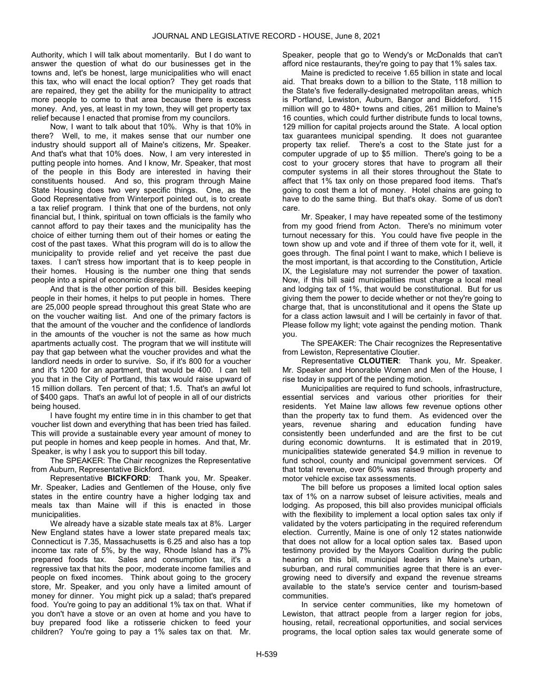Authority, which I will talk about momentarily. But I do want to answer the question of what do our businesses get in the towns and, let's be honest, large municipalities who will enact this tax, who will enact the local option? They get roads that are repaired, they get the ability for the municipality to attract more people to come to that area because there is excess money. And, yes, at least in my town, they will get property tax relief because I enacted that promise from my councilors.

Now, I want to talk about that 10%. Why is that 10% in there? Well, to me, it makes sense that our number one industry should support all of Maine's citizens, Mr. Speaker. And that's what that 10% does. Now, I am very interested in putting people into homes. And I know, Mr. Speaker, that most of the people in this Body are interested in having their constituents housed. And so, this program through Maine State Housing does two very specific things. One, as the Good Representative from Winterport pointed out, is to create a tax relief program. I think that one of the burdens, not only financial but, I think, spiritual on town officials is the family who cannot afford to pay their taxes and the municipality has the choice of either turning them out of their homes or eating the cost of the past taxes. What this program will do is to allow the municipality to provide relief and yet receive the past due taxes. I can't stress how important that is to keep people in their homes. Housing is the number one thing that sends people into a spiral of economic disrepair.

And that is the other portion of this bill. Besides keeping people in their homes, it helps to put people in homes. There are 25,000 people spread throughout this great State who are on the voucher waiting list. And one of the primary factors is that the amount of the voucher and the confidence of landlords in the amounts of the voucher is not the same as how much apartments actually cost. The program that we will institute will pay that gap between what the voucher provides and what the landlord needs in order to survive. So, if it's 800 for a voucher and it's 1200 for an apartment, that would be 400. I can tell you that in the City of Portland, this tax would raise upward of 15 million dollars. Ten percent of that; 1.5. That's an awful lot of \$400 gaps. That's an awful lot of people in all of our districts being housed.

I have fought my entire time in in this chamber to get that voucher list down and everything that has been tried has failed. This will provide a sustainable every year amount of money to put people in homes and keep people in homes. And that, Mr. Speaker, is why I ask you to support this bill today.

 The SPEAKER: The Chair recognizes the Representative from Auburn, Representative Bickford.

Representative BICKFORD: Thank you, Mr. Speaker. Mr. Speaker, Ladies and Gentlemen of the House, only five states in the entire country have a higher lodging tax and meals tax than Maine will if this is enacted in those municipalities.

We already have a sizable state meals tax at 8%. Larger New England states have a lower state prepared meals tax; Connecticut is 7.35, Massachusetts is 6.25 and also has a top income tax rate of 5%, by the way, Rhode Island has a 7% prepared foods tax. Sales and consumption tax, it's a regressive tax that hits the poor, moderate income families and people on fixed incomes. Think about going to the grocery store, Mr. Speaker, and you only have a limited amount of money for dinner. You might pick up a salad; that's prepared food. You're going to pay an additional 1% tax on that. What if you don't have a stove or an oven at home and you have to buy prepared food like a rotisserie chicken to feed your children? You're going to pay a 1% sales tax on that. Mr.

Speaker, people that go to Wendy's or McDonalds that can't afford nice restaurants, they're going to pay that 1% sales tax.

Maine is predicted to receive 1.65 billion in state and local aid. That breaks down to a billion to the State, 118 million to the State's five federally-designated metropolitan areas, which is Portland, Lewiston, Auburn, Bangor and Biddeford. 115 million will go to 480+ towns and cities, 261 million to Maine's 16 counties, which could further distribute funds to local towns, 129 million for capital projects around the State. A local option tax guarantees municipal spending. It does not guarantee property tax relief. There's a cost to the State just for a computer upgrade of up to \$5 million. There's going to be a cost to your grocery stores that have to program all their computer systems in all their stores throughout the State to affect that 1% tax only on those prepared food items. That's going to cost them a lot of money. Hotel chains are going to have to do the same thing. But that's okay. Some of us don't care.

Mr. Speaker, I may have repeated some of the testimony from my good friend from Acton. There's no minimum voter turnout necessary for this. You could have five people in the town show up and vote and if three of them vote for it, well, it goes through. The final point I want to make, which I believe is the most important, is that according to the Constitution, Article IX, the Legislature may not surrender the power of taxation. Now, if this bill said municipalities must charge a local meal and lodging tax of 1%, that would be constitutional. But for us giving them the power to decide whether or not they're going to charge that, that is unconstitutional and it opens the State up for a class action lawsuit and I will be certainly in favor of that. Please follow my light; vote against the pending motion. Thank you.

 The SPEAKER: The Chair recognizes the Representative from Lewiston, Representative Cloutier.

Representative CLOUTIER: Thank you, Mr. Speaker. Mr. Speaker and Honorable Women and Men of the House, I rise today in support of the pending motion.

Municipalities are required to fund schools, infrastructure, essential services and various other priorities for their residents. Yet Maine law allows few revenue options other than the property tax to fund them. As evidenced over the years, revenue sharing and education funding have consistently been underfunded and are the first to be cut during economic downturns. It is estimated that in 2019, municipalities statewide generated \$4.9 million in revenue to fund school, county and municipal government services. Of that total revenue, over 60% was raised through property and motor vehicle excise tax assessments.

The bill before us proposes a limited local option sales tax of 1% on a narrow subset of leisure activities, meals and lodging. As proposed, this bill also provides municipal officials with the flexibility to implement a local option sales tax only if validated by the voters participating in the required referendum election. Currently, Maine is one of only 12 states nationwide that does not allow for a local option sales tax. Based upon testimony provided by the Mayors Coalition during the public hearing on this bill, municipal leaders in Maine's urban, suburban, and rural communities agree that there is an evergrowing need to diversify and expand the revenue streams available to the state's service center and tourism-based communities.

In service center communities, like my hometown of Lewiston, that attract people from a larger region for jobs, housing, retail, recreational opportunities, and social services programs, the local option sales tax would generate some of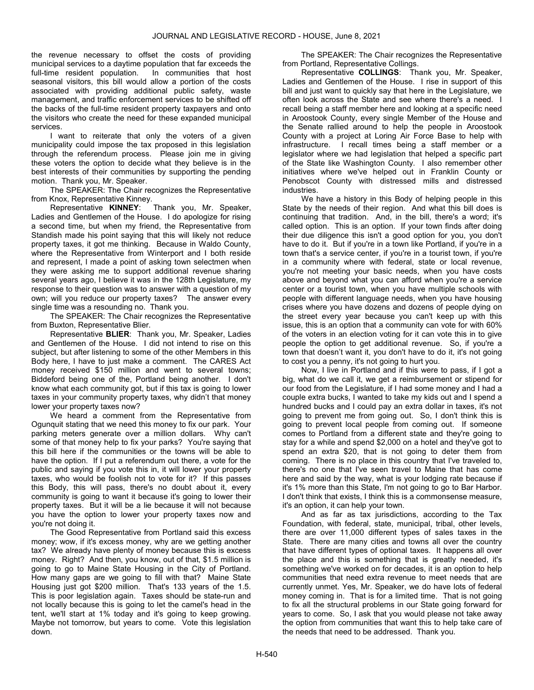the revenue necessary to offset the costs of providing municipal services to a daytime population that far exceeds the full-time resident population. In communities that host seasonal visitors, this bill would allow a portion of the costs associated with providing additional public safety, waste management, and traffic enforcement services to be shifted off the backs of the full-time resident property taxpayers and onto the visitors who create the need for these expanded municipal services.

I want to reiterate that only the voters of a given municipality could impose the tax proposed in this legislation through the referendum process. Please join me in giving these voters the option to decide what they believe is in the best interests of their communities by supporting the pending motion. Thank you, Mr. Speaker.

 The SPEAKER: The Chair recognizes the Representative from Knox, Representative Kinney.<br>Representative **KINNEY**:

Thank you, Mr. Speaker, Ladies and Gentlemen of the House. I do apologize for rising a second time, but when my friend, the Representative from Standish made his point saying that this will likely not reduce property taxes, it got me thinking. Because in Waldo County, where the Representative from Winterport and I both reside and represent, I made a point of asking town selectmen when they were asking me to support additional revenue sharing several years ago, I believe it was in the 128th Legislature, my response to their question was to answer with a question of my own; will you reduce our property taxes? The answer every single time was a resounding no. Thank you.

 The SPEAKER: The Chair recognizes the Representative from Buxton, Representative Blier.

Representative BLIER: Thank you, Mr. Speaker, Ladies and Gentlemen of the House. I did not intend to rise on this subject, but after listening to some of the other Members in this Body here, I have to just make a comment. The CARES Act money received \$150 million and went to several towns; Biddeford being one of the, Portland being another. I don't know what each community got, but if this tax is going to lower taxes in your community property taxes, why didn't that money lower your property taxes now?

We heard a comment from the Representative from Ogunquit stating that we need this money to fix our park. Your parking meters generate over a million dollars. Why can't some of that money help to fix your parks? You're saying that this bill here if the communities or the towns will be able to have the option. If I put a referendum out there, a vote for the public and saying if you vote this in, it will lower your property taxes, who would be foolish not to vote for it? If this passes this Body, this will pass, there's no doubt about it, every community is going to want it because it's going to lower their property taxes. But it will be a lie because it will not because you have the option to lower your property taxes now and you're not doing it.

The Good Representative from Portland said this excess money; wow, if it's excess money, why are we getting another tax? We already have plenty of money because this is excess money. Right? And then, you know, out of that, \$1.5 million is going to go to Maine State Housing in the City of Portland. How many gaps are we going to fill with that? Maine State Housing just got \$200 million. That's 133 years of the 1.5. This is poor legislation again. Taxes should be state-run and not locally because this is going to let the camel's head in the tent, we'll start at 1% today and it's going to keep growing. Maybe not tomorrow, but years to come. Vote this legislation down.

 The SPEAKER: The Chair recognizes the Representative from Portland, Representative Collings.

Representative COLLINGS: Thank you, Mr. Speaker, Ladies and Gentlemen of the House. I rise in support of this bill and just want to quickly say that here in the Legislature, we often look across the State and see where there's a need. I recall being a staff member here and looking at a specific need in Aroostook County, every single Member of the House and the Senate rallied around to help the people in Aroostook County with a project at Loring Air Force Base to help with infrastructure. I recall times being a staff member or a legislator where we had legislation that helped a specific part of the State like Washington County. I also remember other initiatives where we've helped out in Franklin County or Penobscot County with distressed mills and distressed industries.

We have a history in this Body of helping people in this State by the needs of their region. And what this bill does is continuing that tradition. And, in the bill, there's a word; it's called option. This is an option. If your town finds after doing their due diligence this isn't a good option for you, you don't have to do it. But if you're in a town like Portland, if you're in a town that's a service center, if you're in a tourist town, if you're in a community where with federal, state or local revenue, you're not meeting your basic needs, when you have costs above and beyond what you can afford when you're a service center or a tourist town, when you have multiple schools with people with different language needs, when you have housing crises where you have dozens and dozens of people dying on the street every year because you can't keep up with this issue, this is an option that a community can vote for with 60% of the voters in an election voting for it can vote this in to give people the option to get additional revenue. So, if you're a town that doesn't want it, you don't have to do it, it's not going to cost you a penny, it's not going to hurt you.

Now, I live in Portland and if this were to pass, if I got a big, what do we call it, we get a reimbursement or stipend for our food from the Legislature, if I had some money and I had a couple extra bucks, I wanted to take my kids out and I spend a hundred bucks and I could pay an extra dollar in taxes, it's not going to prevent me from going out. So, I don't think this is going to prevent local people from coming out. If someone comes to Portland from a different state and they're going to stay for a while and spend \$2,000 on a hotel and they've got to spend an extra \$20, that is not going to deter them from coming. There is no place in this country that I've traveled to, there's no one that I've seen travel to Maine that has come here and said by the way, what is your lodging rate because if it's 1% more than this State, I'm not going to go to Bar Harbor. I don't think that exists, I think this is a commonsense measure, it's an option, it can help your town.

And as far as tax jurisdictions, according to the Tax Foundation, with federal, state, municipal, tribal, other levels, there are over 11,000 different types of sales taxes in the State. There are many cities and towns all over the country that have different types of optional taxes. It happens all over the place and this is something that is greatly needed, it's something we've worked on for decades, it is an option to help communities that need extra revenue to meet needs that are currently unmet. Yes, Mr. Speaker, we do have lots of federal money coming in. That is for a limited time. That is not going to fix all the structural problems in our State going forward for years to come. So, I ask that you would please not take away the option from communities that want this to help take care of the needs that need to be addressed. Thank you.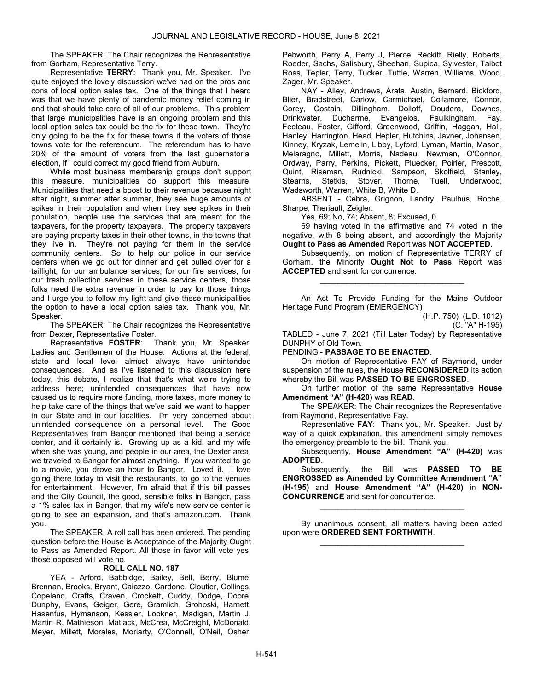The SPEAKER: The Chair recognizes the Representative from Gorham, Representative Terry.

Representative TERRY: Thank you, Mr. Speaker. I've quite enjoyed the lovely discussion we've had on the pros and cons of local option sales tax. One of the things that I heard was that we have plenty of pandemic money relief coming in and that should take care of all of our problems. This problem that large municipalities have is an ongoing problem and this local option sales tax could be the fix for these town. They're only going to be the fix for these towns if the voters of those towns vote for the referendum. The referendum has to have 20% of the amount of voters from the last gubernatorial election, if I could correct my good friend from Auburn.

While most business membership groups don't support this measure, municipalities do support this measure. Municipalities that need a boost to their revenue because night after night, summer after summer, they see huge amounts of spikes in their population and when they see spikes in their population, people use the services that are meant for the taxpayers, for the property taxpayers. The property taxpayers are paying property taxes in their other towns, in the towns that they live in. They're not paying for them in the service community centers. So, to help our police in our service centers when we go out for dinner and get pulled over for a taillight, for our ambulance services, for our fire services, for our trash collection services in these service centers, those folks need the extra revenue in order to pay for those things and I urge you to follow my light and give these municipalities the option to have a local option sales tax. Thank you, Mr. Speaker.

 The SPEAKER: The Chair recognizes the Representative from Dexter, Representative Foster.

Representative FOSTER: Thank you, Mr. Speaker, Ladies and Gentlemen of the House. Actions at the federal, state and local level almost always have unintended consequences. And as I've listened to this discussion here today, this debate, I realize that that's what we're trying to address here; unintended consequences that have now caused us to require more funding, more taxes, more money to help take care of the things that we've said we want to happen in our State and in our localities. I'm very concerned about unintended consequence on a personal level. The Good Representatives from Bangor mentioned that being a service center, and it certainly is. Growing up as a kid, and my wife when she was young, and people in our area, the Dexter area, we traveled to Bangor for almost anything. If you wanted to go to a movie, you drove an hour to Bangor. Loved it. I love going there today to visit the restaurants, to go to the venues for entertainment. However, I'm afraid that if this bill passes and the City Council, the good, sensible folks in Bangor, pass a 1% sales tax in Bangor, that my wife's new service center is going to see an expansion, and that's amazon.com. Thank you.

 The SPEAKER: A roll call has been ordered. The pending question before the House is Acceptance of the Majority Ought to Pass as Amended Report. All those in favor will vote yes, those opposed will vote no.

### ROLL CALL NO. 187

 YEA - Arford, Babbidge, Bailey, Bell, Berry, Blume, Brennan, Brooks, Bryant, Caiazzo, Cardone, Cloutier, Collings, Copeland, Crafts, Craven, Crockett, Cuddy, Dodge, Doore, Dunphy, Evans, Geiger, Gere, Gramlich, Grohoski, Harnett, Hasenfus, Hymanson, Kessler, Lookner, Madigan, Martin J, Martin R, Mathieson, Matlack, McCrea, McCreight, McDonald, Meyer, Millett, Morales, Moriarty, O'Connell, O'Neil, Osher, Pebworth, Perry A, Perry J, Pierce, Reckitt, Rielly, Roberts, Roeder, Sachs, Salisbury, Sheehan, Supica, Sylvester, Talbot Ross, Tepler, Terry, Tucker, Tuttle, Warren, Williams, Wood, Zager, Mr. Speaker.

 NAY - Alley, Andrews, Arata, Austin, Bernard, Bickford, Blier, Bradstreet, Carlow, Carmichael, Collamore, Connor, Corey, Costain, Dillingham, Dolloff, Doudera, Downes, Drinkwater, Ducharme, Evangelos, Faulkingham, Fay, Fecteau, Foster, Gifford, Greenwood, Griffin, Haggan, Hall, Hanley, Harrington, Head, Hepler, Hutchins, Javner, Johansen, Kinney, Kryzak, Lemelin, Libby, Lyford, Lyman, Martin, Mason, Melaragno, Millett, Morris, Nadeau, Newman, O'Connor, Ordway, Parry, Perkins, Pickett, Pluecker, Poirier, Prescott, Quint, Riseman, Rudnicki, Sampson, Skolfield, Stanley, Stearns, Stetkis, Stover, Thorne, Tuell, Underwood, Wadsworth, Warren, White B, White D.

 ABSENT - Cebra, Grignon, Landry, Paulhus, Roche, Sharpe, Theriault, Zeigler.

Yes, 69; No, 74; Absent, 8; Excused, 0.

 69 having voted in the affirmative and 74 voted in the negative, with 8 being absent, and accordingly the Majority Ought to Pass as Amended Report was NOT ACCEPTED.

 Subsequently, on motion of Representative TERRY of Gorham, the Minority Ought Not to Pass Report was ACCEPTED and sent for concurrence.

\_\_\_\_\_\_\_\_\_\_\_\_\_\_\_\_\_\_\_\_\_\_\_\_\_\_\_\_\_\_\_\_\_

 An Act To Provide Funding for the Maine Outdoor Heritage Fund Program (EMERGENCY)

TABLED - June 7, 2021 (Till Later Today) by Representative DUNPHY of Old Town.

PENDING - PASSAGE TO BE ENACTED.

 On motion of Representative FAY of Raymond, under suspension of the rules, the House RECONSIDERED its action whereby the Bill was PASSED TO BE ENGROSSED.

 On further motion of the same Representative House Amendment "A" (H-420) was READ.

 The SPEAKER: The Chair recognizes the Representative from Raymond, Representative Fay.

Representative FAY: Thank you, Mr. Speaker. Just by way of a quick explanation, this amendment simply removes the emergency preamble to the bill. Thank you.

 Subsequently, House Amendment "A" (H-420) was ADOPTED.

 Subsequently, the Bill was PASSED TO BE ENGROSSED as Amended by Committee Amendment "A" (H-195) and House Amendment "A" (H-420) in NON-CONCURRENCE and sent for concurrence.

 By unanimous consent, all matters having been acted upon were ORDERED SENT FORTHWITH. \_\_\_\_\_\_\_\_\_\_\_\_\_\_\_\_\_\_\_\_\_\_\_\_\_\_\_\_\_\_\_\_\_

\_\_\_\_\_\_\_\_\_\_\_\_\_\_\_\_\_\_\_\_\_\_\_\_\_\_\_\_\_\_\_\_\_

<sup>(</sup>H.P. 750) (L.D. 1012) (C. "A" H-195)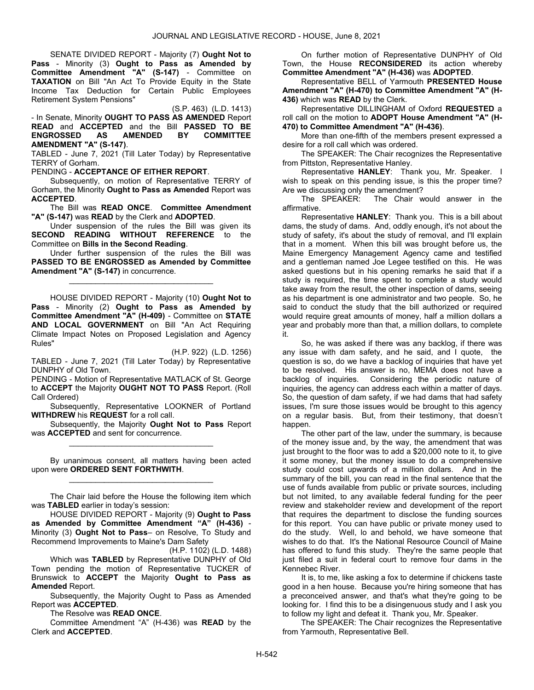SENATE DIVIDED REPORT - Majority (7) Ought Not to Pass - Minority (3) Ought to Pass as Amended by Committee Amendment "A" (S-147) - Committee on TAXATION on Bill "An Act To Provide Equity in the State Income Tax Deduction for Certain Public Employees Retirement System Pensions"

(S.P. 463) (L.D. 1413) - In Senate, Minority OUGHT TO PASS AS AMENDED Report READ and ACCEPTED and the Bill PASSED TO BE ENGROSSED AS AMENDED BY COMMITTEE AMENDMENT "A" (S-147).

TABLED - June 7, 2021 (Till Later Today) by Representative TERRY of Gorham.

PENDING - ACCEPTANCE OF EITHER REPORT.

 Subsequently, on motion of Representative TERRY of Gorham, the Minority Ought to Pass as Amended Report was ACCEPTED.

 The Bill was READ ONCE. Committee Amendment "A" (S-147) was READ by the Clerk and ADOPTED.

 Under suspension of the rules the Bill was given its SECOND READING WITHOUT REFERENCE to the Committee on Bills in the Second Reading.

 Under further suspension of the rules the Bill was PASSED TO BE ENGROSSED as Amended by Committee Amendment "A" (S-147) in concurrence.

\_\_\_\_\_\_\_\_\_\_\_\_\_\_\_\_\_\_\_\_\_\_\_\_\_\_\_\_\_\_\_\_\_

 HOUSE DIVIDED REPORT - Majority (10) Ought Not to Pass - Minority (2) Ought to Pass as Amended by Committee Amendment "A" (H-409) - Committee on STATE AND LOCAL GOVERNMENT on Bill "An Act Requiring Climate Impact Notes on Proposed Legislation and Agency Rules"

(H.P. 922) (L.D. 1256) TABLED - June 7, 2021 (Till Later Today) by Representative DUNPHY of Old Town.

PENDING - Motion of Representative MATLACK of St. George to ACCEPT the Majority OUGHT NOT TO PASS Report. (Roll Call Ordered)

 Subsequently, Representative LOOKNER of Portland WITHDREW his REQUEST for a roll call.

 Subsequently, the Majority Ought Not to Pass Report was ACCEPTED and sent for concurrence. \_\_\_\_\_\_\_\_\_\_\_\_\_\_\_\_\_\_\_\_\_\_\_\_\_\_\_\_\_\_\_\_\_

 By unanimous consent, all matters having been acted upon were ORDERED SENT FORTHWITH. \_\_\_\_\_\_\_\_\_\_\_\_\_\_\_\_\_\_\_\_\_\_\_\_\_\_\_\_\_\_\_\_\_

 The Chair laid before the House the following item which was TABLED earlier in today's session:

 HOUSE DIVIDED REPORT - Majority (9) Ought to Pass as Amended by Committee Amendment "A" (H-436) - Minority (3) Ought Not to Pass– on Resolve, To Study and Recommend Improvements to Maine's Dam Safety

(H.P. 1102) (L.D. 1488)

 Which was TABLED by Representative DUNPHY of Old Town pending the motion of Representative TUCKER of Brunswick to ACCEPT the Majority Ought to Pass as Amended Report.

 Subsequently, the Majority Ought to Pass as Amended Report was ACCEPTED.

The Resolve was READ ONCE.

 Committee Amendment "A" (H-436) was READ by the Clerk and ACCEPTED.

 On further motion of Representative DUNPHY of Old Town, the House RECONSIDERED its action whereby Committee Amendment "A" (H-436) was ADOPTED.

 Representative BELL of Yarmouth PRESENTED House Amendment "A" (H-470) to Committee Amendment "A" (H-436) which was READ by the Clerk.

 Representative DILLINGHAM of Oxford REQUESTED a roll call on the motion to ADOPT House Amendment "A" (H-470) to Committee Amendment "A" (H-436).

 More than one-fifth of the members present expressed a desire for a roll call which was ordered.

 The SPEAKER: The Chair recognizes the Representative from Pittston, Representative Hanley.

Representative HANLEY: Thank you, Mr. Speaker. I wish to speak on this pending issue, is this the proper time? Are we discussing only the amendment?

The SPEAKER: The Chair would answer in the affirmative.

Representative HANLEY: Thank you. This is a bill about dams, the study of dams. And, oddly enough, it's not about the study of safety, it's about the study of removal, and I'll explain that in a moment. When this bill was brought before us, the Maine Emergency Management Agency came and testified and a gentleman named Joe Legee testified on this. He was asked questions but in his opening remarks he said that if a study is required, the time spent to complete a study would take away from the result, the other inspection of dams, seeing as his department is one administrator and two people. So, he said to conduct the study that the bill authorized or required would require great amounts of money, half a million dollars a year and probably more than that, a million dollars, to complete it.

So, he was asked if there was any backlog, if there was any issue with dam safety, and he said, and I quote, the question is so, do we have a backlog of inquiries that have yet to be resolved. His answer is no, MEMA does not have a backlog of inquiries. Considering the periodic nature of inquiries, the agency can address each within a matter of days. So, the question of dam safety, if we had dams that had safety issues, I'm sure those issues would be brought to this agency on a regular basis. But, from their testimony, that doesn't happen.

The other part of the law, under the summary, is because of the money issue and, by the way, the amendment that was just brought to the floor was to add a \$20,000 note to it, to give it some money, but the money issue to do a comprehensive study could cost upwards of a million dollars. And in the summary of the bill, you can read in the final sentence that the use of funds available from public or private sources, including but not limited, to any available federal funding for the peer review and stakeholder review and development of the report that requires the department to disclose the funding sources for this report. You can have public or private money used to do the study. Well, lo and behold, we have someone that wishes to do that. It's the National Resource Council of Maine has offered to fund this study. They're the same people that just filed a suit in federal court to remove four dams in the Kennebec River.

It is, to me, like asking a fox to determine if chickens taste good in a hen house. Because you're hiring someone that has a preconceived answer, and that's what they're going to be looking for. I find this to be a disingenuous study and I ask you to follow my light and defeat it. Thank you, Mr. Speaker.

 The SPEAKER: The Chair recognizes the Representative from Yarmouth, Representative Bell.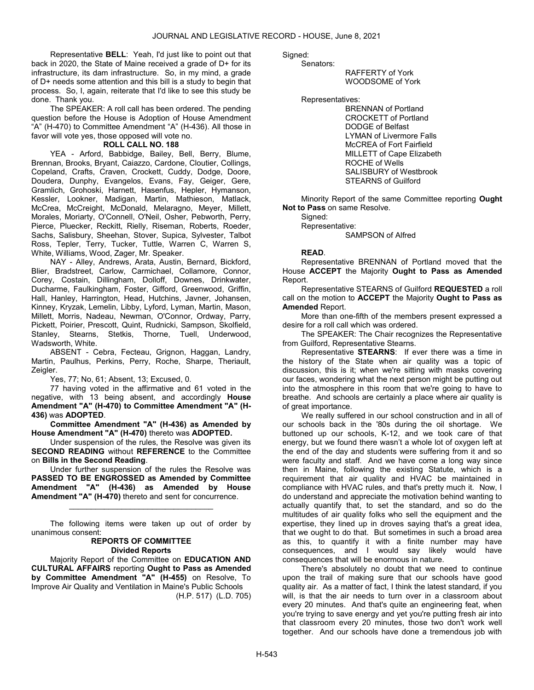Representative BELL: Yeah, I'd just like to point out that back in 2020, the State of Maine received a grade of D+ for its infrastructure, its dam infrastructure. So, in my mind, a grade of D+ needs some attention and this bill is a study to begin that process. So, I, again, reiterate that I'd like to see this study be done. Thank you.

 The SPEAKER: A roll call has been ordered. The pending question before the House is Adoption of House Amendment "A" (H-470) to Committee Amendment "A" (H-436). All those in favor will vote yes, those opposed will vote no.

### ROLL CALL NO. 188

 YEA - Arford, Babbidge, Bailey, Bell, Berry, Blume, Brennan, Brooks, Bryant, Caiazzo, Cardone, Cloutier, Collings, Copeland, Crafts, Craven, Crockett, Cuddy, Dodge, Doore, Doudera, Dunphy, Evangelos, Evans, Fay, Geiger, Gere, Gramlich, Grohoski, Harnett, Hasenfus, Hepler, Hymanson, Kessler, Lookner, Madigan, Martin, Mathieson, Matlack, McCrea, McCreight, McDonald, Melaragno, Meyer, Millett, Morales, Moriarty, O'Connell, O'Neil, Osher, Pebworth, Perry, Pierce, Pluecker, Reckitt, Rielly, Riseman, Roberts, Roeder, Sachs, Salisbury, Sheehan, Stover, Supica, Sylvester, Talbot Ross, Tepler, Terry, Tucker, Tuttle, Warren C, Warren S, White, Williams, Wood, Zager, Mr. Speaker.

 NAY - Alley, Andrews, Arata, Austin, Bernard, Bickford, Blier, Bradstreet, Carlow, Carmichael, Collamore, Connor, Corey, Costain, Dillingham, Dolloff, Downes, Drinkwater, Ducharme, Faulkingham, Foster, Gifford, Greenwood, Griffin, Hall, Hanley, Harrington, Head, Hutchins, Javner, Johansen, Kinney, Kryzak, Lemelin, Libby, Lyford, Lyman, Martin, Mason, Millett, Morris, Nadeau, Newman, O'Connor, Ordway, Parry, Pickett, Poirier, Prescott, Quint, Rudnicki, Sampson, Skolfield, Stanley, Stearns, Stetkis, Thorne, Tuell, Underwood, Wadsworth, White.

 ABSENT - Cebra, Fecteau, Grignon, Haggan, Landry, Martin, Paulhus, Perkins, Perry, Roche, Sharpe, Theriault, Zeigler.

Yes, 77; No, 61; Absent, 13; Excused, 0.

 77 having voted in the affirmative and 61 voted in the negative, with 13 being absent, and accordingly House Amendment "A" (H-470) to Committee Amendment "A" (H-436) was ADOPTED.

Committee Amendment "A" (H-436) as Amended by House Amendment "A" (H-470) thereto was ADOPTED.

 Under suspension of the rules, the Resolve was given its SECOND READING without REFERENCE to the Committee on Bills in the Second Reading.

 Under further suspension of the rules the Resolve was PASSED TO BE ENGROSSED as Amended by Committee Amendment "A" (H-436) as Amended by House Amendment "A" (H-470) thereto and sent for concurrence.

\_\_\_\_\_\_\_\_\_\_\_\_\_\_\_\_\_\_\_\_\_\_\_\_\_\_\_\_\_\_\_\_\_

 The following items were taken up out of order by unanimous consent:

#### REPORTS OF COMMITTEE Divided Reports

 Majority Report of the Committee on EDUCATION AND CULTURAL AFFAIRS reporting Ought to Pass as Amended by Committee Amendment "A" (H-455) on Resolve, To Improve Air Quality and Ventilation in Maine's Public Schools (H.P. 517) (L.D. 705) Sianed:

Senators:

 RAFFERTY of York WOODSOME of York

Representatives:

 BRENNAN of Portland CROCKETT of Portland DODGE of Belfast LYMAN of Livermore Falls McCREA of Fort Fairfield MILLETT of Cape Elizabeth ROCHE of Wells SALISBURY of Westbrook STEARNS of Guilford

 Minority Report of the same Committee reporting Ought Not to Pass on same Resolve.

 Signed: Representative: SAMPSON of Alfred

### READ.

 Representative BRENNAN of Portland moved that the House ACCEPT the Majority Ought to Pass as Amended Report.

 Representative STEARNS of Guilford REQUESTED a roll call on the motion to ACCEPT the Majority Ought to Pass as Amended Report.

 More than one-fifth of the members present expressed a desire for a roll call which was ordered.

 The SPEAKER: The Chair recognizes the Representative from Guilford, Representative Stearns.

Representative STEARNS: If ever there was a time in the history of the State when air quality was a topic of discussion, this is it; when we're sitting with masks covering our faces, wondering what the next person might be putting out into the atmosphere in this room that we're going to have to breathe. And schools are certainly a place where air quality is of great importance.

We really suffered in our school construction and in all of our schools back in the '80s during the oil shortage. We buttoned up our schools, K-12, and we took care of that energy, but we found there wasn't a whole lot of oxygen left at the end of the day and students were suffering from it and so were faculty and staff. And we have come a long way since then in Maine, following the existing Statute, which is a requirement that air quality and HVAC be maintained in compliance with HVAC rules, and that's pretty much it. Now, I do understand and appreciate the motivation behind wanting to actually quantify that, to set the standard, and so do the multitudes of air quality folks who sell the equipment and the expertise, they lined up in droves saying that's a great idea, that we ought to do that. But sometimes in such a broad area as this, to quantify it with a finite number may have consequences, and I would say likely would have consequences that will be enormous in nature.

There's absolutely no doubt that we need to continue upon the trail of making sure that our schools have good quality air. As a matter of fact, I think the latest standard, if you will, is that the air needs to turn over in a classroom about every 20 minutes. And that's quite an engineering feat, when you're trying to save energy and yet you're putting fresh air into that classroom every 20 minutes, those two don't work well together. And our schools have done a tremendous job with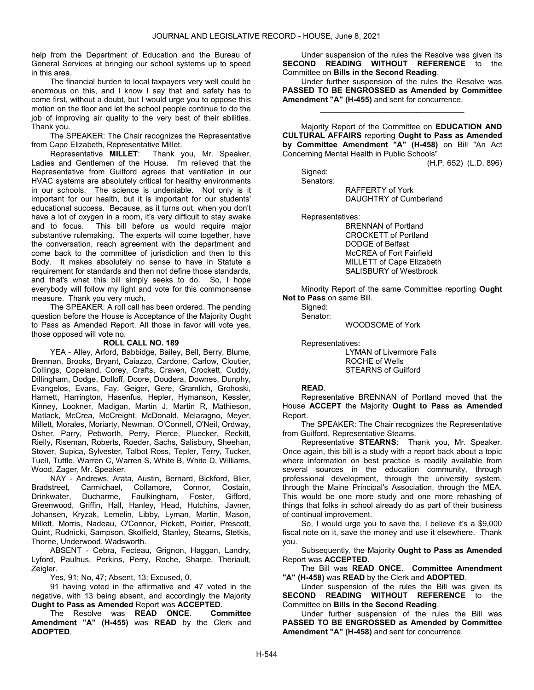help from the Department of Education and the Bureau of General Services at bringing our school systems up to speed in this area.

The financial burden to local taxpayers very well could be enormous on this, and I know I say that and safety has to come first, without a doubt, but I would urge you to oppose this motion on the floor and let the school people continue to do the job of improving air quality to the very best of their abilities. Thank you.

 The SPEAKER: The Chair recognizes the Representative from Cape Elizabeth, Representative Millet.

Representative MILLET: Thank you, Mr. Speaker, Ladies and Gentlemen of the House. I'm relieved that the Representative from Guilford agrees that ventilation in our HVAC systems are absolutely critical for healthy environments in our schools. The science is undeniable. Not only is it important for our health, but it is important for our students' educational success. Because, as it turns out, when you don't have a lot of oxygen in a room, it's very difficult to stay awake and to focus. This bill before us would require major substantive rulemaking. The experts will come together, have the conversation, reach agreement with the department and come back to the committee of jurisdiction and then to this Body. It makes absolutely no sense to have in Statute a requirement for standards and then not define those standards, and that's what this bill simply seeks to do. So, I hope everybody will follow my light and vote for this commonsense measure. Thank you very much.

 The SPEAKER: A roll call has been ordered. The pending question before the House is Acceptance of the Majority Ought to Pass as Amended Report. All those in favor will vote yes, those opposed will vote no.

### ROLL CALL NO. 189

 YEA - Alley, Arford, Babbidge, Bailey, Bell, Berry, Blume, Brennan, Brooks, Bryant, Caiazzo, Cardone, Carlow, Cloutier, Collings, Copeland, Corey, Crafts, Craven, Crockett, Cuddy, Dillingham, Dodge, Dolloff, Doore, Doudera, Downes, Dunphy, Evangelos, Evans, Fay, Geiger, Gere, Gramlich, Grohoski, Harnett, Harrington, Hasenfus, Hepler, Hymanson, Kessler, Kinney, Lookner, Madigan, Martin J, Martin R, Mathieson, Matlack, McCrea, McCreight, McDonald, Melaragno, Meyer, Millett, Morales, Moriarty, Newman, O'Connell, O'Neil, Ordway, Osher, Parry, Pebworth, Perry, Pierce, Pluecker, Reckitt, Rielly, Riseman, Roberts, Roeder, Sachs, Salisbury, Sheehan, Stover, Supica, Sylvester, Talbot Ross, Tepler, Terry, Tucker, Tuell, Tuttle, Warren C, Warren S, White B, White D, Williams, Wood, Zager, Mr. Speaker.

 NAY - Andrews, Arata, Austin, Bernard, Bickford, Blier, Bradstreet, Carmichael, Collamore, Connor, Costain, Drinkwater, Ducharme, Faulkingham, Foster, Gifford, Greenwood, Griffin, Hall, Hanley, Head, Hutchins, Javner, Johansen, Kryzak, Lemelin, Libby, Lyman, Martin, Mason, Millett, Morris, Nadeau, O'Connor, Pickett, Poirier, Prescott, Quint, Rudnicki, Sampson, Skolfield, Stanley, Stearns, Stetkis, Thorne, Underwood, Wadsworth.

 ABSENT - Cebra, Fecteau, Grignon, Haggan, Landry, Lyford, Paulhus, Perkins, Perry, Roche, Sharpe, Theriault, Zeigler.

Yes, 91; No, 47; Absent, 13; Excused, 0.

 91 having voted in the affirmative and 47 voted in the negative, with 13 being absent, and accordingly the Majority Ought to Pass as Amended Report was ACCEPTED.

 The Resolve was READ ONCE. Committee Amendment "A" (H-455) was READ by the Clerk and ADOPTED.

 Under suspension of the rules the Resolve was given its SECOND READING WITHOUT REFERENCE to the Committee on Bills in the Second Reading.

 Under further suspension of the rules the Resolve was PASSED TO BE ENGROSSED as Amended by Committee Amendment "A" (H-455) and sent for concurrence.

\_\_\_\_\_\_\_\_\_\_\_\_\_\_\_\_\_\_\_\_\_\_\_\_\_\_\_\_\_\_\_\_\_

 Majority Report of the Committee on EDUCATION AND CULTURAL AFFAIRS reporting Ought to Pass as Amended by Committee Amendment "A" (H-458) on Bill "An Act Concerning Mental Health in Public Schools"

(H.P. 652) (L.D. 896)

 Signed: Senators:

 RAFFERTY of York DAUGHTRY of Cumberland

Representatives:

 BRENNAN of Portland CROCKETT of Portland DODGE of Belfast McCREA of Fort Fairfield MILLETT of Cape Elizabeth SALISBURY of Westbrook

 Minority Report of the same Committee reporting Ought Not to Pass on same Bill.

Signed:

Senator:

WOODSOME of York

 Representatives: LYMAN of Livermore Falls ROCHE of Wells

## STEARNS of Guilford

### READ.

 Representative BRENNAN of Portland moved that the House ACCEPT the Majority Ought to Pass as Amended Report.

 The SPEAKER: The Chair recognizes the Representative from Guilford, Representative Stearns.

Representative STEARNS: Thank you, Mr. Speaker. Once again, this bill is a study with a report back about a topic where information on best practice is readily available from several sources in the education community, through professional development, through the university system, through the Maine Principal's Association, through the MEA. This would be one more study and one more rehashing of things that folks in school already do as part of their business of continual improvement.

So, I would urge you to save the, I believe it's a \$9,000 fiscal note on it, save the money and use it elsewhere. Thank you.

 Subsequently, the Majority Ought to Pass as Amended Report was ACCEPTED.

 The Bill was READ ONCE. Committee Amendment "A" (H-458) was READ by the Clerk and ADOPTED.

 Under suspension of the rules the Bill was given its SECOND READING WITHOUT REFERENCE to the Committee on Bills in the Second Reading.

 Under further suspension of the rules the Bill was PASSED TO BE ENGROSSED as Amended by Committee Amendment "A" (H-458) and sent for concurrence.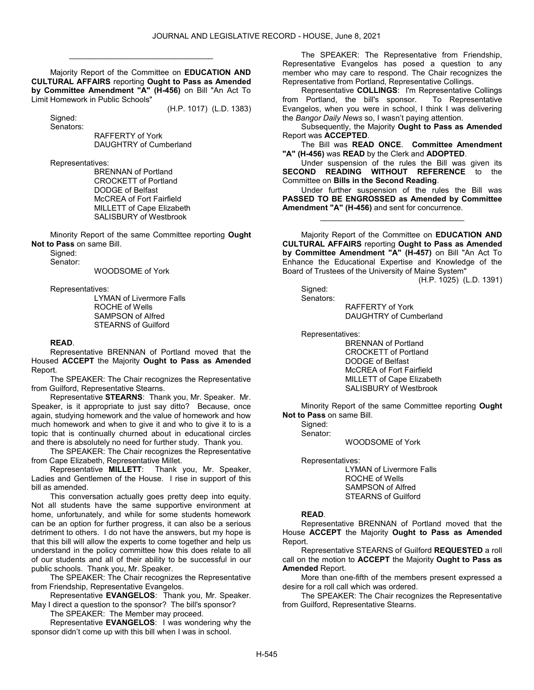Majority Report of the Committee on EDUCATION AND CULTURAL AFFAIRS reporting Ought to Pass as Amended by Committee Amendment "A" (H-456) on Bill "An Act To Limit Homework in Public Schools"

\_\_\_\_\_\_\_\_\_\_\_\_\_\_\_\_\_\_\_\_\_\_\_\_\_\_\_\_\_\_\_\_\_

(H.P. 1017) (L.D. 1383)

 Signed: Senators:

 RAFFERTY of York DAUGHTRY of Cumberland

Representatives:

 BRENNAN of Portland CROCKETT of Portland DODGE of Belfast McCREA of Fort Fairfield MILLETT of Cape Elizabeth SALISBURY of Westbrook

 Minority Report of the same Committee reporting Ought Not to Pass on same Bill.

Signed:

Senator:

WOODSOME of York

Representatives:

 LYMAN of Livermore Falls ROCHE of Wells SAMPSON of Alfred STEARNS of Guilford

#### READ.

 Representative BRENNAN of Portland moved that the Housed ACCEPT the Majority Ought to Pass as Amended Report.

 The SPEAKER: The Chair recognizes the Representative from Guilford, Representative Stearns.

Representative STEARNS: Thank you, Mr. Speaker. Mr. Speaker, is it appropriate to just say ditto? Because, once again, studying homework and the value of homework and how much homework and when to give it and who to give it to is a topic that is continually churned about in educational circles and there is absolutely no need for further study. Thank you.

 The SPEAKER: The Chair recognizes the Representative from Cape Elizabeth, Representative Millet.

Representative MILLETT: Thank you, Mr. Speaker, Ladies and Gentlemen of the House. I rise in support of this bill as amended.

This conversation actually goes pretty deep into equity. Not all students have the same supportive environment at home, unfortunately, and while for some students homework can be an option for further progress, it can also be a serious detriment to others. I do not have the answers, but my hope is that this bill will allow the experts to come together and help us understand in the policy committee how this does relate to all of our students and all of their ability to be successful in our public schools. Thank you, Mr. Speaker.

 The SPEAKER: The Chair recognizes the Representative from Friendship, Representative Evangelos.

Representative EVANGELOS: Thank you, Mr. Speaker. May I direct a question to the sponsor? The bill's sponsor?

The SPEAKER: The Member may proceed.

Representative EVANGELOS: I was wondering why the sponsor didn't come up with this bill when I was in school.

 The SPEAKER: The Representative from Friendship, Representative Evangelos has posed a question to any member who may care to respond. The Chair recognizes the Representative from Portland, Representative Collings.

Representative COLLINGS: I'm Representative Collings<br>Portland, the bill's sponsor. To Representative from Portland, the bill's sponsor. Evangelos, when you were in school, I think I was delivering the Bangor Daily News so, I wasn't paying attention.

 Subsequently, the Majority Ought to Pass as Amended Report was ACCEPTED.

 The Bill was READ ONCE. Committee Amendment "A" (H-456) was READ by the Clerk and ADOPTED.

Under suspension of the rules the Bill was given its<br>DND READING WITHOUT REFERENCE to the SECOND READING WITHOUT Committee on Bills in the Second Reading.

 Under further suspension of the rules the Bill was PASSED TO BE ENGROSSED as Amended by Committee Amendment "A" (H-456) and sent for concurrence.

\_\_\_\_\_\_\_\_\_\_\_\_\_\_\_\_\_\_\_\_\_\_\_\_\_\_\_\_\_\_\_\_\_

 Majority Report of the Committee on EDUCATION AND CULTURAL AFFAIRS reporting Ought to Pass as Amended by Committee Amendment "A" (H-457) on Bill "An Act To Enhance the Educational Expertise and Knowledge of the Board of Trustees of the University of Maine System"

(H.P. 1025) (L.D. 1391)

 Signed: Senators:

 RAFFERTY of York DAUGHTRY of Cumberland

Representatives:

 BRENNAN of Portland CROCKETT of Portland DODGE of Belfast McCREA of Fort Fairfield MILLETT of Cape Elizabeth SALISBURY of Westbrook

 Minority Report of the same Committee reporting Ought Not to Pass on same Bill.

 Signed: Senator:

WOODSOME of York

Representatives:

 LYMAN of Livermore Falls ROCHE of Wells SAMPSON of Alfred STEARNS of Guilford

#### READ.

 Representative BRENNAN of Portland moved that the House ACCEPT the Majority Ought to Pass as Amended Report.

 Representative STEARNS of Guilford REQUESTED a roll call on the motion to ACCEPT the Majority Ought to Pass as Amended Report.

 More than one-fifth of the members present expressed a desire for a roll call which was ordered.

 The SPEAKER: The Chair recognizes the Representative from Guilford, Representative Stearns.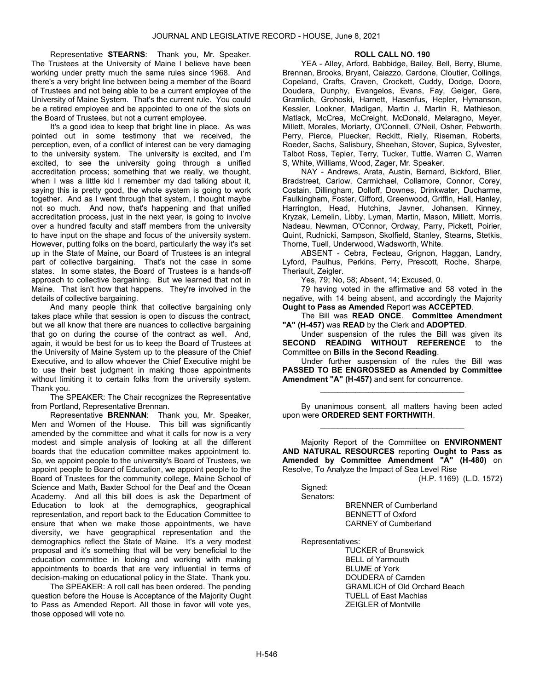Representative STEARNS: Thank you, Mr. Speaker. The Trustees at the University of Maine I believe have been working under pretty much the same rules since 1968. And there's a very bright line between being a member of the Board of Trustees and not being able to be a current employee of the University of Maine System. That's the current rule. You could be a retired employee and be appointed to one of the slots on the Board of Trustees, but not a current employee.

It's a good idea to keep that bright line in place. As was pointed out in some testimony that we received, the perception, even, of a conflict of interest can be very damaging to the university system. The university is excited, and I'm excited, to see the university going through a unified accreditation process; something that we really, we thought, when I was a little kid I remember my dad talking about it, saying this is pretty good, the whole system is going to work together. And as I went through that system, I thought maybe not so much. And now, that's happening and that unified accreditation process, just in the next year, is going to involve over a hundred faculty and staff members from the university to have input on the shape and focus of the university system. However, putting folks on the board, particularly the way it's set up in the State of Maine, our Board of Trustees is an integral part of collective bargaining. That's not the case in some states. In some states, the Board of Trustees is a hands-off approach to collective bargaining. But we learned that not in Maine. That isn't how that happens. They're involved in the details of collective bargaining.

And many people think that collective bargaining only takes place while that session is open to discuss the contract, but we all know that there are nuances to collective bargaining that go on during the course of the contract as well. And, again, it would be best for us to keep the Board of Trustees at the University of Maine System up to the pleasure of the Chief Executive, and to allow whoever the Chief Executive might be to use their best judgment in making those appointments without limiting it to certain folks from the university system. Thank you.

 The SPEAKER: The Chair recognizes the Representative from Portland, Representative Brennan.

Representative BRENNAN: Thank you, Mr. Speaker, Men and Women of the House. This bill was significantly amended by the committee and what it calls for now is a very modest and simple analysis of looking at all the different boards that the education committee makes appointment to. So, we appoint people to the university's Board of Trustees, we appoint people to Board of Education, we appoint people to the Board of Trustees for the community college, Maine School of Science and Math, Baxter School for the Deaf and the Ocean Academy. And all this bill does is ask the Department of Education to look at the demographics, geographical representation, and report back to the Education Committee to ensure that when we make those appointments, we have diversity, we have geographical representation and the demographics reflect the State of Maine. It's a very modest proposal and it's something that will be very beneficial to the education committee in looking and working with making appointments to boards that are very influential in terms of decision-making on educational policy in the State. Thank you.

 The SPEAKER: A roll call has been ordered. The pending question before the House is Acceptance of the Majority Ought to Pass as Amended Report. All those in favor will vote yes, those opposed will vote no.

### ROLL CALL NO. 190

 YEA - Alley, Arford, Babbidge, Bailey, Bell, Berry, Blume, Brennan, Brooks, Bryant, Caiazzo, Cardone, Cloutier, Collings, Copeland, Crafts, Craven, Crockett, Cuddy, Dodge, Doore, Doudera, Dunphy, Evangelos, Evans, Fay, Geiger, Gere, Gramlich, Grohoski, Harnett, Hasenfus, Hepler, Hymanson, Kessler, Lookner, Madigan, Martin J, Martin R, Mathieson, Matlack, McCrea, McCreight, McDonald, Melaragno, Meyer, Millett, Morales, Moriarty, O'Connell, O'Neil, Osher, Pebworth, Perry, Pierce, Pluecker, Reckitt, Rielly, Riseman, Roberts, Roeder, Sachs, Salisbury, Sheehan, Stover, Supica, Sylvester, Talbot Ross, Tepler, Terry, Tucker, Tuttle, Warren C, Warren S, White, Williams, Wood, Zager, Mr. Speaker.

 NAY - Andrews, Arata, Austin, Bernard, Bickford, Blier, Bradstreet, Carlow, Carmichael, Collamore, Connor, Corey, Costain, Dillingham, Dolloff, Downes, Drinkwater, Ducharme, Faulkingham, Foster, Gifford, Greenwood, Griffin, Hall, Hanley, Harrington, Head, Hutchins, Javner, Johansen, Kinney, Kryzak, Lemelin, Libby, Lyman, Martin, Mason, Millett, Morris, Nadeau, Newman, O'Connor, Ordway, Parry, Pickett, Poirier, Quint, Rudnicki, Sampson, Skolfield, Stanley, Stearns, Stetkis, Thorne, Tuell, Underwood, Wadsworth, White.

 ABSENT - Cebra, Fecteau, Grignon, Haggan, Landry, Lyford, Paulhus, Perkins, Perry, Prescott, Roche, Sharpe, Theriault, Zeigler.

Yes, 79; No, 58; Absent, 14; Excused, 0.

 79 having voted in the affirmative and 58 voted in the negative, with 14 being absent, and accordingly the Majority Ought to Pass as Amended Report was ACCEPTED.

 The Bill was READ ONCE. Committee Amendment "A" (H-457) was READ by the Clerk and ADOPTED.

 Under suspension of the rules the Bill was given its SECOND READING WITHOUT REFERENCE to the Committee on Bills in the Second Reading.

 Under further suspension of the rules the Bill was PASSED TO BE ENGROSSED as Amended by Committee Amendment "A" (H-457) and sent for concurrence.

\_\_\_\_\_\_\_\_\_\_\_\_\_\_\_\_\_\_\_\_\_\_\_\_\_\_\_\_\_\_\_\_\_

 By unanimous consent, all matters having been acted upon were ORDERED SENT FORTHWITH. \_\_\_\_\_\_\_\_\_\_\_\_\_\_\_\_\_\_\_\_\_\_\_\_\_\_\_\_\_\_\_\_\_

 Majority Report of the Committee on ENVIRONMENT AND NATURAL RESOURCES reporting Ought to Pass as Amended by Committee Amendment "A" (H-480) on Resolve, To Analyze the Impact of Sea Level Rise

(H.P. 1169) (L.D. 1572)

Signed: Senators:

> BRENNER of Cumberland BENNETT of Oxford CARNEY of Cumberland

Representatives:

 TUCKER of Brunswick BELL of Yarmouth BLUME of York DOUDERA of Camden GRAMLICH of Old Orchard Beach TUELL of East Machias ZEIGLER of Montville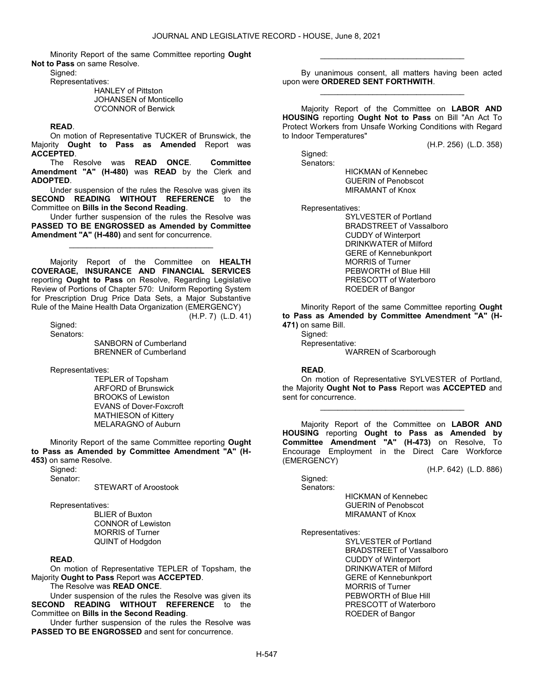Minority Report of the same Committee reporting Ought Not to Pass on same Resolve.

Signed:

Representatives:

 HANLEY of Pittston JOHANSEN of Monticello O'CONNOR of Berwick

#### READ.

 On motion of Representative TUCKER of Brunswick, the Majority Ought to Pass as Amended Report was ACCEPTED.

 The Resolve was READ ONCE. Committee Amendment "A" (H-480) was READ by the Clerk and ADOPTED.

 Under suspension of the rules the Resolve was given its SECOND READING WITHOUT REFERENCE to the Committee on Bills in the Second Reading.

 Under further suspension of the rules the Resolve was PASSED TO BE ENGROSSED as Amended by Committee Amendment "A" (H-480) and sent for concurrence.

\_\_\_\_\_\_\_\_\_\_\_\_\_\_\_\_\_\_\_\_\_\_\_\_\_\_\_\_\_\_\_\_\_

 Majority Report of the Committee on HEALTH COVERAGE, INSURANCE AND FINANCIAL SERVICES reporting Ought to Pass on Resolve, Regarding Legislative Review of Portions of Chapter 570: Uniform Reporting System for Prescription Drug Price Data Sets, a Major Substantive Rule of the Maine Health Data Organization (EMERGENCY) (H.P. 7) (L.D. 41)

 Signed: Senators:

 SANBORN of Cumberland BRENNER of Cumberland

Representatives:

 TEPLER of Topsham ARFORD of Brunswick BROOKS of Lewiston EVANS of Dover-Foxcroft MATHIESON of Kittery MELARAGNO of Auburn

 Minority Report of the same Committee reporting Ought to Pass as Amended by Committee Amendment "A" (H-453) on same Resolve.

 Signed: Senator:

STEWART of Aroostook

Representatives:

 BLIER of Buxton CONNOR of Lewiston MORRIS of Turner QUINT of Hodgdon

#### READ.

 On motion of Representative TEPLER of Topsham, the Majority Ought to Pass Report was ACCEPTED.

The Resolve was READ ONCE.

 Under suspension of the rules the Resolve was given its SECOND READING WITHOUT REFERENCE to the Committee on Bills in the Second Reading.

 Under further suspension of the rules the Resolve was PASSED TO BE ENGROSSED and sent for concurrence.

 By unanimous consent, all matters having been acted upon were ORDERED SENT FORTHWITH. \_\_\_\_\_\_\_\_\_\_\_\_\_\_\_\_\_\_\_\_\_\_\_\_\_\_\_\_\_\_\_\_\_

\_\_\_\_\_\_\_\_\_\_\_\_\_\_\_\_\_\_\_\_\_\_\_\_\_\_\_\_\_\_\_\_\_

 Majority Report of the Committee on LABOR AND HOUSING reporting Ought Not to Pass on Bill "An Act To Protect Workers from Unsafe Working Conditions with Regard to Indoor Temperatures"

(H.P. 256) (L.D. 358)

(H.P. 642) (L.D. 886)

 Signed: Senators:

 HICKMAN of Kennebec GUERIN of Penobscot MIRAMANT of Knox

Representatives:

 SYLVESTER of Portland BRADSTREET of Vassalboro CUDDY of Winterport DRINKWATER of Milford GERE of Kennebunkport MORRIS of Turner PEBWORTH of Blue Hill PRESCOTT of Waterboro ROEDER of Bangor

 Minority Report of the same Committee reporting Ought to Pass as Amended by Committee Amendment "A" (H-471) on same Bill.

Signed:

Representative:

WARREN of Scarborough

### READ.

 On motion of Representative SYLVESTER of Portland, the Majority Ought Not to Pass Report was ACCEPTED and sent for concurrence.

\_\_\_\_\_\_\_\_\_\_\_\_\_\_\_\_\_\_\_\_\_\_\_\_\_\_\_\_\_\_\_\_\_

 Majority Report of the Committee on LABOR AND HOUSING reporting Ought to Pass as Amended by Committee Amendment "A" (H-473) on Resolve, To Encourage Employment in the Direct Care Workforce (EMERGENCY)

Signed:

Senators:

 HICKMAN of Kennebec GUERIN of Penobscot MIRAMANT of Knox

Representatives:

 SYLVESTER of Portland BRADSTREET of Vassalboro CUDDY of Winterport DRINKWATER of Milford GERE of Kennebunkport MORRIS of Turner PEBWORTH of Blue Hill PRESCOTT of Waterboro ROEDER of Bangor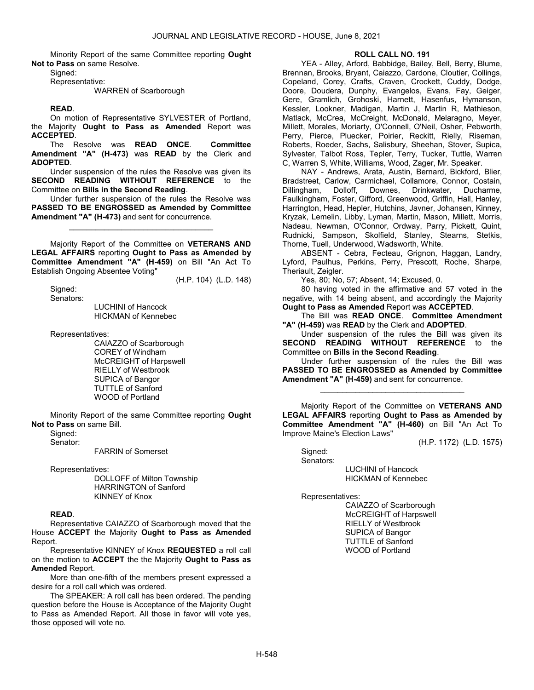Minority Report of the same Committee reporting Ought Not to Pass on same Resolve.

Signed:

Representative:

## WARREN of Scarborough

## READ.

 On motion of Representative SYLVESTER of Portland, the Majority Ought to Pass as Amended Report was ACCEPTED.

 The Resolve was READ ONCE. Committee Amendment "A" (H-473) was READ by the Clerk and ADOPTED.

 Under suspension of the rules the Resolve was given its SECOND READING WITHOUT REFERENCE to the Committee on Bills in the Second Reading.

 Under further suspension of the rules the Resolve was PASSED TO BE ENGROSSED as Amended by Committee Amendment "A" (H-473) and sent for concurrence.

\_\_\_\_\_\_\_\_\_\_\_\_\_\_\_\_\_\_\_\_\_\_\_\_\_\_\_\_\_\_\_\_\_

 Majority Report of the Committee on VETERANS AND LEGAL AFFAIRS reporting Ought to Pass as Amended by Committee Amendment "A" (H-459) on Bill "An Act To Establish Ongoing Absentee Voting"

(H.P. 104) (L.D. 148)

 Signed: Senators:

 LUCHINI of Hancock HICKMAN of Kennebec

Representatives:

 CAIAZZO of Scarborough COREY of Windham McCREIGHT of Harpswell RIELLY of Westbrook SUPICA of Bangor TUTTLE of Sanford WOOD of Portland

 Minority Report of the same Committee reporting Ought Not to Pass on same Bill.

Signed:

Senator:

FARRIN of Somerset

Representatives:

 DOLLOFF of Milton Township HARRINGTON of Sanford KINNEY of Knox

### READ.

 Representative CAIAZZO of Scarborough moved that the House ACCEPT the Majority Ought to Pass as Amended Report.

 Representative KINNEY of Knox REQUESTED a roll call on the motion to ACCEPT the the Majority Ought to Pass as Amended Report.

 More than one-fifth of the members present expressed a desire for a roll call which was ordered.

 The SPEAKER: A roll call has been ordered. The pending question before the House is Acceptance of the Majority Ought to Pass as Amended Report. All those in favor will vote yes, those opposed will vote no.

#### ROLL CALL NO. 191

 YEA - Alley, Arford, Babbidge, Bailey, Bell, Berry, Blume, Brennan, Brooks, Bryant, Caiazzo, Cardone, Cloutier, Collings, Copeland, Corey, Crafts, Craven, Crockett, Cuddy, Dodge, Doore, Doudera, Dunphy, Evangelos, Evans, Fay, Geiger, Gere, Gramlich, Grohoski, Harnett, Hasenfus, Hymanson, Kessler, Lookner, Madigan, Martin J, Martin R, Mathieson, Matlack, McCrea, McCreight, McDonald, Melaragno, Meyer, Millett, Morales, Moriarty, O'Connell, O'Neil, Osher, Pebworth, Perry, Pierce, Pluecker, Poirier, Reckitt, Rielly, Riseman, Roberts, Roeder, Sachs, Salisbury, Sheehan, Stover, Supica, Sylvester, Talbot Ross, Tepler, Terry, Tucker, Tuttle, Warren C, Warren S, White, Williams, Wood, Zager, Mr. Speaker.

 NAY - Andrews, Arata, Austin, Bernard, Bickford, Blier, Bradstreet, Carlow, Carmichael, Collamore, Connor, Costain,<br>Dillingham, Dolloff, Downes, Drinkwater, Ducharme, Dillingham, Dolloff, Downes, Drinkwater, Ducharme, Faulkingham, Foster, Gifford, Greenwood, Griffin, Hall, Hanley, Harrington, Head, Hepler, Hutchins, Javner, Johansen, Kinney, Kryzak, Lemelin, Libby, Lyman, Martin, Mason, Millett, Morris, Nadeau, Newman, O'Connor, Ordway, Parry, Pickett, Quint, Rudnicki, Sampson, Skolfield, Stanley, Stearns, Stetkis, Thorne, Tuell, Underwood, Wadsworth, White.

 ABSENT - Cebra, Fecteau, Grignon, Haggan, Landry, Lyford, Paulhus, Perkins, Perry, Prescott, Roche, Sharpe, Theriault, Zeigler.

Yes, 80; No, 57; Absent, 14; Excused, 0.

 80 having voted in the affirmative and 57 voted in the negative, with 14 being absent, and accordingly the Majority Ought to Pass as Amended Report was ACCEPTED.

 The Bill was READ ONCE. Committee Amendment "A" (H-459) was READ by the Clerk and ADOPTED.

 Under suspension of the rules the Bill was given its SECOND READING WITHOUT REFERENCE to the Committee on Bills in the Second Reading.

 Under further suspension of the rules the Bill was PASSED TO BE ENGROSSED as Amended by Committee Amendment "A" (H-459) and sent for concurrence.

\_\_\_\_\_\_\_\_\_\_\_\_\_\_\_\_\_\_\_\_\_\_\_\_\_\_\_\_\_\_\_\_\_

 Majority Report of the Committee on VETERANS AND LEGAL AFFAIRS reporting Ought to Pass as Amended by Committee Amendment "A" (H-460) on Bill "An Act To Improve Maine's Election Laws"

(H.P. 1172) (L.D. 1575)

Signed: Senators:

 LUCHINI of Hancock HICKMAN of Kennebec

Representatives:

 CAIAZZO of Scarborough McCREIGHT of Harpswell RIELLY of Westbrook SUPICA of Bangor TUTTLE of Sanford WOOD of Portland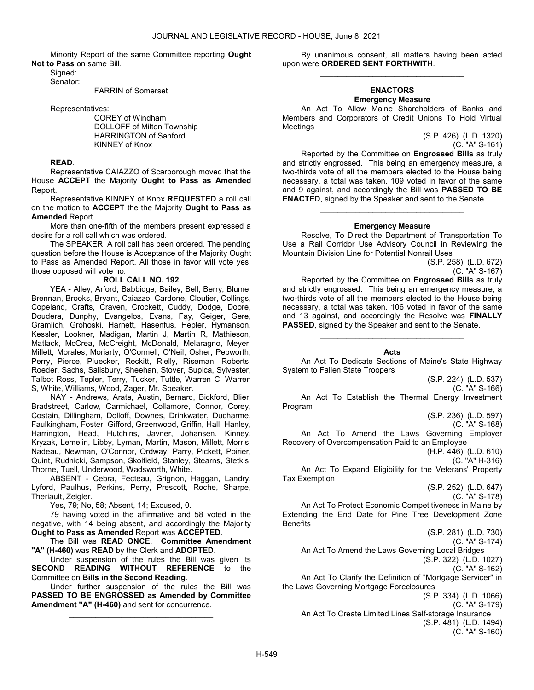Minority Report of the same Committee reporting Ought Not to Pass on same Bill.

 Signed: Senator:

FARRIN of Somerset

Representatives:

 COREY of Windham DOLLOFF of Milton Township HARRINGTON of Sanford KINNEY of Knox

### READ.

 Representative CAIAZZO of Scarborough moved that the House ACCEPT the Majority Ought to Pass as Amended Report.

 Representative KINNEY of Knox REQUESTED a roll call on the motion to ACCEPT the the Majority Ought to Pass as Amended Report.

 More than one-fifth of the members present expressed a desire for a roll call which was ordered.

 The SPEAKER: A roll call has been ordered. The pending question before the House is Acceptance of the Majority Ought to Pass as Amended Report. All those in favor will vote yes, those opposed will vote no.

### ROLL CALL NO. 192

 YEA - Alley, Arford, Babbidge, Bailey, Bell, Berry, Blume, Brennan, Brooks, Bryant, Caiazzo, Cardone, Cloutier, Collings, Copeland, Crafts, Craven, Crockett, Cuddy, Dodge, Doore, Doudera, Dunphy, Evangelos, Evans, Fay, Geiger, Gere, Gramlich, Grohoski, Harnett, Hasenfus, Hepler, Hymanson, Kessler, Lookner, Madigan, Martin J, Martin R, Mathieson, Matlack, McCrea, McCreight, McDonald, Melaragno, Meyer, Millett, Morales, Moriarty, O'Connell, O'Neil, Osher, Pebworth, Perry, Pierce, Pluecker, Reckitt, Rielly, Riseman, Roberts, Roeder, Sachs, Salisbury, Sheehan, Stover, Supica, Sylvester, Talbot Ross, Tepler, Terry, Tucker, Tuttle, Warren C, Warren S, White, Williams, Wood, Zager, Mr. Speaker.

 NAY - Andrews, Arata, Austin, Bernard, Bickford, Blier, Bradstreet, Carlow, Carmichael, Collamore, Connor, Corey, Costain, Dillingham, Dolloff, Downes, Drinkwater, Ducharme, Faulkingham, Foster, Gifford, Greenwood, Griffin, Hall, Hanley, Harrington, Head, Hutchins, Javner, Johansen, Kinney, Kryzak, Lemelin, Libby, Lyman, Martin, Mason, Millett, Morris, Nadeau, Newman, O'Connor, Ordway, Parry, Pickett, Poirier, Quint, Rudnicki, Sampson, Skolfield, Stanley, Stearns, Stetkis, Thorne, Tuell, Underwood, Wadsworth, White.

 ABSENT - Cebra, Fecteau, Grignon, Haggan, Landry, Lyford, Paulhus, Perkins, Perry, Prescott, Roche, Sharpe, Theriault, Zeigler.

Yes, 79; No, 58; Absent, 14; Excused, 0.

 79 having voted in the affirmative and 58 voted in the negative, with 14 being absent, and accordingly the Majority Ought to Pass as Amended Report was ACCEPTED.

 The Bill was READ ONCE. Committee Amendment "A" (H-460) was READ by the Clerk and ADOPTED.

 Under suspension of the rules the Bill was given its SECOND READING WITHOUT REFERENCE to the Committee on Bills in the Second Reading.

 Under further suspension of the rules the Bill was PASSED TO BE ENGROSSED as Amended by Committee Amendment "A" (H-460) and sent for concurrence.

\_\_\_\_\_\_\_\_\_\_\_\_\_\_\_\_\_\_\_\_\_\_\_\_\_\_\_\_\_\_\_\_\_

 By unanimous consent, all matters having been acted upon were ORDERED SENT FORTHWITH. \_\_\_\_\_\_\_\_\_\_\_\_\_\_\_\_\_\_\_\_\_\_\_\_\_\_\_\_\_\_\_\_\_

### ENACTORS Emergency Measure

 An Act To Allow Maine Shareholders of Banks and Members and Corporators of Credit Unions To Hold Virtual **Meetings** 

> (S.P. 426) (L.D. 1320) (C. "A" S-161)

 Reported by the Committee on Engrossed Bills as truly and strictly engrossed. This being an emergency measure, a two-thirds vote of all the members elected to the House being necessary, a total was taken. 109 voted in favor of the same and 9 against, and accordingly the Bill was PASSED TO BE ENACTED, signed by the Speaker and sent to the Senate.

#### Emergency Measure

\_\_\_\_\_\_\_\_\_\_\_\_\_\_\_\_\_\_\_\_\_\_\_\_\_\_\_\_\_\_\_\_\_

 Resolve, To Direct the Department of Transportation To Use a Rail Corridor Use Advisory Council in Reviewing the Mountain Division Line for Potential Nonrail Uses

(S.P. 258) (L.D. 672) (C. "A" S-167)

 Reported by the Committee on Engrossed Bills as truly and strictly engrossed. This being an emergency measure, a two-thirds vote of all the members elected to the House being necessary, a total was taken. 106 voted in favor of the same and 13 against, and accordingly the Resolve was FINALLY PASSED, signed by the Speaker and sent to the Senate.

### Acts

\_\_\_\_\_\_\_\_\_\_\_\_\_\_\_\_\_\_\_\_\_\_\_\_\_\_\_\_\_\_\_\_\_

 An Act To Dedicate Sections of Maine's State Highway System to Fallen State Troopers

(S.P. 224) (L.D. 537)

(C. "A" S-166) An Act To Establish the Thermal Energy Investment Program

(S.P. 236) (L.D. 597)

(C. "A" S-168)

 An Act To Amend the Laws Governing Employer Recovery of Overcompensation Paid to an Employee (H.P. 446) (L.D. 610)

(C. "A" H-316)

 An Act To Expand Eligibility for the Veterans' Property Tax Exemption

(S.P. 252) (L.D. 647)

(C. "A" S-178)

 An Act To Protect Economic Competitiveness in Maine by Extending the End Date for Pine Tree Development Zone **Benefits** 

(S.P. 281) (L.D. 730)

(C. "A" S-174)

An Act To Amend the Laws Governing Local Bridges

(S.P. 322) (L.D. 1027)

(C. "A" S-162)

 An Act To Clarify the Definition of "Mortgage Servicer" in the Laws Governing Mortgage Foreclosures

(S.P. 334) (L.D. 1066) (C. "A" S-179) An Act To Create Limited Lines Self-storage Insurance (S.P. 481) (L.D. 1494) (C. "A" S-160)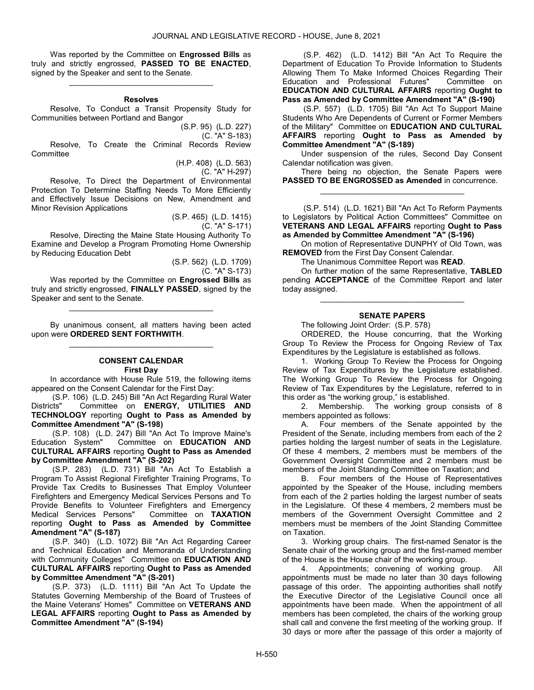Was reported by the Committee on Engrossed Bills as truly and strictly engrossed, PASSED TO BE ENACTED, signed by the Speaker and sent to the Senate. \_\_\_\_\_\_\_\_\_\_\_\_\_\_\_\_\_\_\_\_\_\_\_\_\_\_\_\_\_\_\_\_\_

#### Resolves

 Resolve, To Conduct a Transit Propensity Study for Communities between Portland and Bangor

(S.P. 95) (L.D. 227)

(C. "A" S-183)

 Resolve, To Create the Criminal Records Review **Committee** 

> (H.P. 408) (L.D. 563) (C. "A" H-297)

 Resolve, To Direct the Department of Environmental Protection To Determine Staffing Needs To More Efficiently and Effectively Issue Decisions on New, Amendment and Minor Revision Applications

> (S.P. 465) (L.D. 1415) (C. "A" S-171)

 Resolve, Directing the Maine State Housing Authority To Examine and Develop a Program Promoting Home Ownership by Reducing Education Debt

> (S.P. 562) (L.D. 1709) (C. "A" S-173)

Was reported by the Committee on Engrossed Bills as truly and strictly engrossed, FINALLY PASSED, signed by the Speaker and sent to the Senate.

\_\_\_\_\_\_\_\_\_\_\_\_\_\_\_\_\_\_\_\_\_\_\_\_\_\_\_\_\_\_\_\_\_

 By unanimous consent, all matters having been acted upon were ORDERED SENT FORTHWITH. \_\_\_\_\_\_\_\_\_\_\_\_\_\_\_\_\_\_\_\_\_\_\_\_\_\_\_\_\_\_\_\_\_

### CONSENT CALENDAR First Day

 In accordance with House Rule 519, the following items appeared on the Consent Calendar for the First Day:

 (S.P. 106) (L.D. 245) Bill "An Act Regarding Rural Water Districts" Committee on ENERGY, UTILITIES AND TECHNOLOGY reporting Ought to Pass as Amended by Committee Amendment "A" (S-198)

 (S.P. 108) (L.D. 247) Bill "An Act To Improve Maine's Education System" Committee on EDUCATION AND CULTURAL AFFAIRS reporting Ought to Pass as Amended by Committee Amendment "A" (S-202)

 (S.P. 283) (L.D. 731) Bill "An Act To Establish a Program To Assist Regional Firefighter Training Programs, To Provide Tax Credits to Businesses That Employ Volunteer Firefighters and Emergency Medical Services Persons and To Provide Benefits to Volunteer Firefighters and Emergency<br>Medical Services Persons" Committee on TAXATION Medical Services Persons" reporting Ought to Pass as Amended by Committee Amendment "A" (S-187)

 (S.P. 340) (L.D. 1072) Bill "An Act Regarding Career and Technical Education and Memoranda of Understanding with Community Colleges" Committee on **EDUCATION AND** CULTURAL AFFAIRS reporting Ought to Pass as Amended by Committee Amendment "A" (S-201)

 (S.P. 373) (L.D. 1111) Bill "An Act To Update the Statutes Governing Membership of the Board of Trustees of the Maine Veterans' Homes" Committee on VETERANS AND LEGAL AFFAIRS reporting Ought to Pass as Amended by Committee Amendment "A" (S-194)

 (S.P. 462) (L.D. 1412) Bill "An Act To Require the Department of Education To Provide Information to Students Allowing Them To Make Informed Choices Regarding Their Education and Professional Futures" Committee on EDUCATION AND CULTURAL AFFAIRS reporting Ought to Pass as Amended by Committee Amendment "A" (S-190)

 (S.P. 557) (L.D. 1705) Bill "An Act To Support Maine Students Who Are Dependents of Current or Former Members of the Military" Committee on EDUCATION AND CULTURAL AFFAIRS reporting Ought to Pass as Amended by Committee Amendment "A" (S-189)

 Under suspension of the rules, Second Day Consent Calendar notification was given.

 There being no objection, the Senate Papers were PASSED TO BE ENGROSSED as Amended in concurrence. \_\_\_\_\_\_\_\_\_\_\_\_\_\_\_\_\_\_\_\_\_\_\_\_\_\_\_\_\_\_\_\_\_

 (S.P. 514) (L.D. 1621) Bill "An Act To Reform Payments to Legislators by Political Action Committees" Committee on VETERANS AND LEGAL AFFAIRS reporting Ought to Pass as Amended by Committee Amendment "A" (S-196)

 On motion of Representative DUNPHY of Old Town, was REMOVED from the First Day Consent Calendar.

The Unanimous Committee Report was READ.

 On further motion of the same Representative, TABLED pending ACCEPTANCE of the Committee Report and later today assigned.

\_\_\_\_\_\_\_\_\_\_\_\_\_\_\_\_\_\_\_\_\_\_\_\_\_\_\_\_\_\_\_\_\_

## SENATE PAPERS

The following Joint Order: (S.P. 578)

 ORDERED, the House concurring, that the Working Group To Review the Process for Ongoing Review of Tax Expenditures by the Legislature is established as follows.

 1. Working Group To Review the Process for Ongoing Review of Tax Expenditures by the Legislature established. The Working Group To Review the Process for Ongoing Review of Tax Expenditures by the Legislature, referred to in this order as "the working group," is established.

 2. Membership. The working group consists of 8 members appointed as follows:

 A. Four members of the Senate appointed by the President of the Senate, including members from each of the 2 parties holding the largest number of seats in the Legislature. Of these 4 members, 2 members must be members of the Government Oversight Committee and 2 members must be members of the Joint Standing Committee on Taxation; and

 B. Four members of the House of Representatives appointed by the Speaker of the House, including members from each of the 2 parties holding the largest number of seats in the Legislature. Of these 4 members, 2 members must be members of the Government Oversight Committee and 2 members must be members of the Joint Standing Committee on Taxation.

 3. Working group chairs. The first-named Senator is the Senate chair of the working group and the first-named member of the House is the House chair of the working group.

 4. Appointments; convening of working group. All appointments must be made no later than 30 days following passage of this order. The appointing authorities shall notify the Executive Director of the Legislative Council once all appointments have been made. When the appointment of all members has been completed, the chairs of the working group shall call and convene the first meeting of the working group. If 30 days or more after the passage of this order a majority of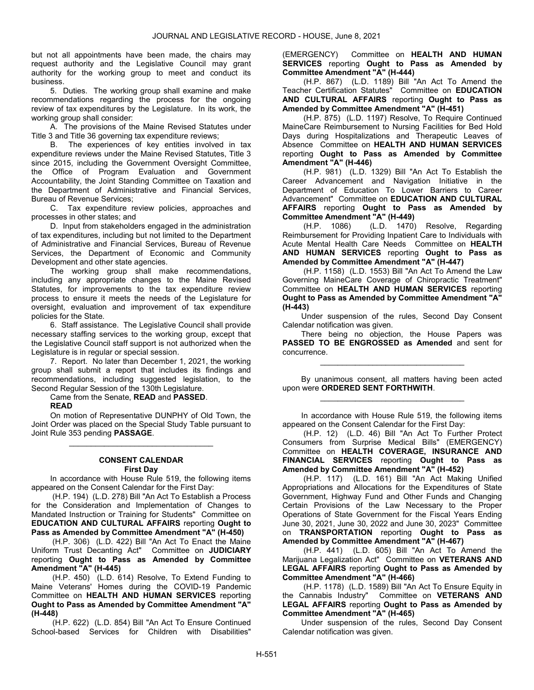but not all appointments have been made, the chairs may request authority and the Legislative Council may grant authority for the working group to meet and conduct its business.

 5. Duties. The working group shall examine and make recommendations regarding the process for the ongoing review of tax expenditures by the Legislature. In its work, the working group shall consider:

 A. The provisions of the Maine Revised Statutes under Title 3 and Title 36 governing tax expenditure reviews;

 B. The experiences of key entities involved in tax expenditure reviews under the Maine Revised Statutes, Title 3 since 2015, including the Government Oversight Committee, the Office of Program Evaluation and Government Accountability, the Joint Standing Committee on Taxation and the Department of Administrative and Financial Services, Bureau of Revenue Services;

 C. Tax expenditure review policies, approaches and processes in other states; and

 D. Input from stakeholders engaged in the administration of tax expenditures, including but not limited to the Department of Administrative and Financial Services, Bureau of Revenue Services, the Department of Economic and Community Development and other state agencies.

 The working group shall make recommendations, including any appropriate changes to the Maine Revised Statutes, for improvements to the tax expenditure review process to ensure it meets the needs of the Legislature for oversight, evaluation and improvement of tax expenditure policies for the State.

 6. Staff assistance. The Legislative Council shall provide necessary staffing services to the working group, except that the Legislative Council staff support is not authorized when the Legislature is in regular or special session.

 7. Report. No later than December 1, 2021, the working group shall submit a report that includes its findings and recommendations, including suggested legislation, to the Second Regular Session of the 130th Legislature.

Came from the Senate, READ and PASSED.

#### READ

 On motion of Representative DUNPHY of Old Town, the Joint Order was placed on the Special Study Table pursuant to Joint Rule 353 pending PASSAGE.

\_\_\_\_\_\_\_\_\_\_\_\_\_\_\_\_\_\_\_\_\_\_\_\_\_\_\_\_\_\_\_\_\_

#### CONSENT CALENDAR First Day

 In accordance with House Rule 519, the following items appeared on the Consent Calendar for the First Day:

 (H.P. 194) (L.D. 278) Bill "An Act To Establish a Process for the Consideration and Implementation of Changes to Mandated Instruction or Training for Students" Committee on EDUCATION AND CULTURAL AFFAIRS reporting Ought to Pass as Amended by Committee Amendment "A" (H-450)

 (H.P. 306) (L.D. 422) Bill "An Act To Enact the Maine Uniform Trust Decanting Act" Committee on JUDICIARY reporting Ought to Pass as Amended by Committee Amendment "A" (H-445)

 (H.P. 450) (L.D. 614) Resolve, To Extend Funding to Maine Veterans' Homes during the COVID-19 Pandemic Committee on HEALTH AND HUMAN SERVICES reporting Ought to Pass as Amended by Committee Amendment "A" (H-448)

 (H.P. 622) (L.D. 854) Bill "An Act To Ensure Continued School-based Services for Children with Disabilities"

(EMERGENCY) Committee on HEALTH AND HUMAN SERVICES reporting Ought to Pass as Amended by Committee Amendment "A" (H-444)

 (H.P. 867) (L.D. 1189) Bill "An Act To Amend the Teacher Certification Statutes" Committee on EDUCATION AND CULTURAL AFFAIRS reporting Ought to Pass as Amended by Committee Amendment "A" (H-451)

 (H.P. 875) (L.D. 1197) Resolve, To Require Continued MaineCare Reimbursement to Nursing Facilities for Bed Hold Days during Hospitalizations and Therapeutic Leaves of Absence Committee on HEALTH AND HUMAN SERVICES reporting Ought to Pass as Amended by Committee Amendment "A" (H-446)

 (H.P. 981) (L.D. 1329) Bill "An Act To Establish the Career Advancement and Navigation Initiative in the Department of Education To Lower Barriers to Career Advancement" Committee on EDUCATION AND CULTURAL AFFAIRS reporting Ought to Pass as Amended by Committee Amendment "A" (H-449)

 (H.P. 1086) (L.D. 1470) Resolve, Regarding Reimbursement for Providing Inpatient Care to Individuals with Acute Mental Health Care Needs Committee on HEALTH AND HUMAN SERVICES reporting Ought to Pass as Amended by Committee Amendment "A" (H-447)

 (H.P. 1158) (L.D. 1553) Bill "An Act To Amend the Law Governing MaineCare Coverage of Chiropractic Treatment" Committee on HEALTH AND HUMAN SERVICES reporting Ought to Pass as Amended by Committee Amendment "A" (H-443)

 Under suspension of the rules, Second Day Consent Calendar notification was given.

 There being no objection, the House Papers was PASSED TO BE ENGROSSED as Amended and sent for concurrence.

\_\_\_\_\_\_\_\_\_\_\_\_\_\_\_\_\_\_\_\_\_\_\_\_\_\_\_\_\_\_\_\_\_

 By unanimous consent, all matters having been acted upon were ORDERED SENT FORTHWITH. \_\_\_\_\_\_\_\_\_\_\_\_\_\_\_\_\_\_\_\_\_\_\_\_\_\_\_\_\_\_\_\_\_

 In accordance with House Rule 519, the following items appeared on the Consent Calendar for the First Day:

 (H.P. 12) (L.D. 46) Bill "An Act To Further Protect Consumers from Surprise Medical Bills" (EMERGENCY) Committee on HEALTH COVERAGE, INSURANCE AND FINANCIAL SERVICES reporting Ought to Pass as Amended by Committee Amendment "A" (H-452)

 (H.P. 117) (L.D. 161) Bill "An Act Making Unified Appropriations and Allocations for the Expenditures of State Government, Highway Fund and Other Funds and Changing Certain Provisions of the Law Necessary to the Proper Operations of State Government for the Fiscal Years Ending June 30, 2021, June 30, 2022 and June 30, 2023" Committee on TRANSPORTATION reporting Ought to Pass as Amended by Committee Amendment "A" (H-467)

 (H.P. 441) (L.D. 605) Bill "An Act To Amend the Marijuana Legalization Act" Committee on VETERANS AND LEGAL AFFAIRS reporting Ought to Pass as Amended by Committee Amendment "A" (H-466)

 (H.P. 1178) (L.D. 1589) Bill "An Act To Ensure Equity in the Cannabis Industry" Committee on VETERANS AND LEGAL AFFAIRS reporting Ought to Pass as Amended by Committee Amendment "A" (H-465)

 Under suspension of the rules, Second Day Consent Calendar notification was given.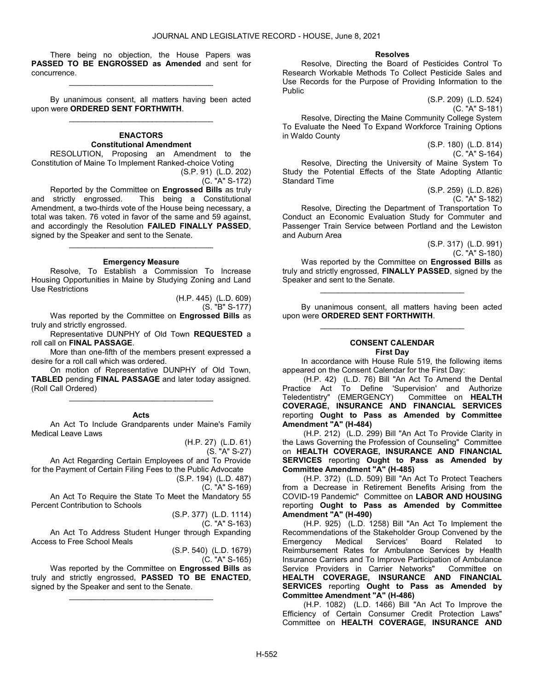There being no objection, the House Papers was PASSED TO BE ENGROSSED as Amended and sent for concurrence.

\_\_\_\_\_\_\_\_\_\_\_\_\_\_\_\_\_\_\_\_\_\_\_\_\_\_\_\_\_\_\_\_\_

 By unanimous consent, all matters having been acted upon were ORDERED SENT FORTHWITH. \_\_\_\_\_\_\_\_\_\_\_\_\_\_\_\_\_\_\_\_\_\_\_\_\_\_\_\_\_\_\_\_\_

### **ENACTORS** Constitutional Amendment

 RESOLUTION, Proposing an Amendment to the Constitution of Maine To Implement Ranked-choice Voting

(S.P. 91) (L.D. 202) (C. "A" S-172)

 Reported by the Committee on Engrossed Bills as truly and strictly engrossed. This being a Constitutional Amendment, a two-thirds vote of the House being necessary, a total was taken. 76 voted in favor of the same and 59 against, and accordingly the Resolution FAILED FINALLY PASSED, signed by the Speaker and sent to the Senate.

#### Emergency Measure

\_\_\_\_\_\_\_\_\_\_\_\_\_\_\_\_\_\_\_\_\_\_\_\_\_\_\_\_\_\_\_\_\_

 Resolve, To Establish a Commission To Increase Housing Opportunities in Maine by Studying Zoning and Land Use Restrictions

> (H.P. 445) (L.D. 609) (S. "B" S-177)

 Was reported by the Committee on Engrossed Bills as truly and strictly engrossed.

 Representative DUNPHY of Old Town REQUESTED a roll call on FINAL PASSAGE.

 More than one-fifth of the members present expressed a desire for a roll call which was ordered.

 On motion of Representative DUNPHY of Old Town, TABLED pending FINAL PASSAGE and later today assigned. (Roll Call Ordered)

#### Acts

\_\_\_\_\_\_\_\_\_\_\_\_\_\_\_\_\_\_\_\_\_\_\_\_\_\_\_\_\_\_\_\_\_

 An Act To Include Grandparents under Maine's Family Medical Leave Laws

(H.P. 27) (L.D. 61)

(S. "A" S-27)

 An Act Regarding Certain Employees of and To Provide for the Payment of Certain Filing Fees to the Public Advocate (S.P. 194) (L.D. 487)

(C. "A" S-169)

 An Act To Require the State To Meet the Mandatory 55 Percent Contribution to Schools

(S.P. 377) (L.D. 1114)

(C. "A" S-163)

An Act To Address Student Hunger through Expanding Access to Free School Meals

> (S.P. 540) (L.D. 1679) (C. "A" S-165)

Was reported by the Committee on Engrossed Bills as truly and strictly engrossed, PASSED TO BE ENACTED, signed by the Speaker and sent to the Senate.

\_\_\_\_\_\_\_\_\_\_\_\_\_\_\_\_\_\_\_\_\_\_\_\_\_\_\_\_\_\_\_\_\_

#### Resolves

 Resolve, Directing the Board of Pesticides Control To Research Workable Methods To Collect Pesticide Sales and Use Records for the Purpose of Providing Information to the Public

> (S.P. 209) (L.D. 524) (C. "A" S-181)

(S.P. 180) (L.D. 814)

 Resolve, Directing the Maine Community College System To Evaluate the Need To Expand Workforce Training Options in Waldo County

(C. "A" S-164) Resolve, Directing the University of Maine System To Study the Potential Effects of the State Adopting Atlantic Standard Time

(S.P. 259) (L.D. 826) (C. "A" S-182)

 Resolve, Directing the Department of Transportation To Conduct an Economic Evaluation Study for Commuter and Passenger Train Service between Portland and the Lewiston and Auburn Area

(S.P. 317) (L.D. 991) (C. "A" S-180) Was reported by the Committee on Engrossed Bills as truly and strictly engrossed, FINALLY PASSED, signed by the Speaker and sent to the Senate.

 By unanimous consent, all matters having been acted upon were ORDERED SENT FORTHWITH. \_\_\_\_\_\_\_\_\_\_\_\_\_\_\_\_\_\_\_\_\_\_\_\_\_\_\_\_\_\_\_\_\_

\_\_\_\_\_\_\_\_\_\_\_\_\_\_\_\_\_\_\_\_\_\_\_\_\_\_\_\_\_\_\_\_\_

# CONSENT CALENDAR

First Day

 In accordance with House Rule 519, the following items appeared on the Consent Calendar for the First Day:

 (H.P. 42) (L.D. 76) Bill "An Act To Amend the Dental Practice Act To Define 'Supervision' and Authorize Teledentistry" (EMERGENCY) Committee on HEALTH COVERAGE, INSURANCE AND FINANCIAL SERVICES reporting Ought to Pass as Amended by Committee Amendment "A" (H-484)

 (H.P. 212) (L.D. 299) Bill "An Act To Provide Clarity in the Laws Governing the Profession of Counseling" Committee on HEALTH COVERAGE, INSURANCE AND FINANCIAL SERVICES reporting Ought to Pass as Amended by Committee Amendment "A" (H-485)

 (H.P. 372) (L.D. 509) Bill "An Act To Protect Teachers from a Decrease in Retirement Benefits Arising from the COVID-19 Pandemic" Committee on LABOR AND HOUSING reporting Ought to Pass as Amended by Committee Amendment "A" (H-490)

 (H.P. 925) (L.D. 1258) Bill "An Act To Implement the Recommendations of the Stakeholder Group Convened by the<br>Emergency Medical Services' Board Related to Emergency Medical Services' Board Related to Reimbursement Rates for Ambulance Services by Health Insurance Carriers and To Improve Participation of Ambulance<br>Service Providers in Carrier Networks" Committee on Service Providers in Carrier Networks" HEALTH COVERAGE, INSURANCE AND FINANCIAL SERVICES reporting Ought to Pass as Amended by Committee Amendment "A" (H-486)

 (H.P. 1082) (L.D. 1466) Bill "An Act To Improve the Efficiency of Certain Consumer Credit Protection Laws" Committee on HEALTH COVERAGE, INSURANCE AND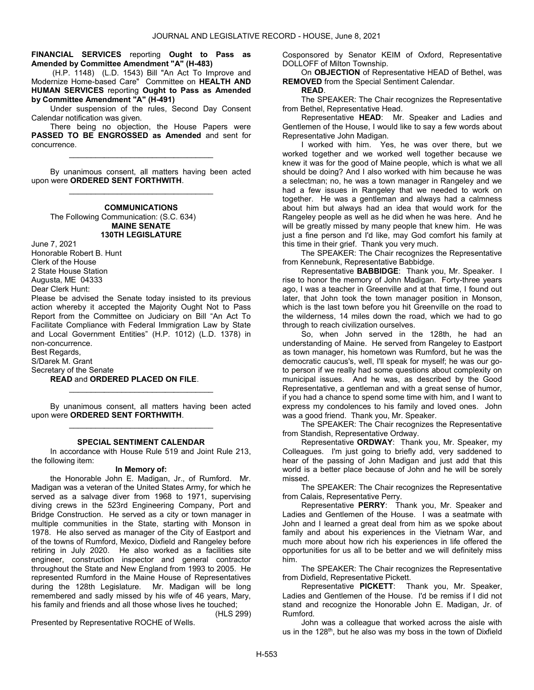### FINANCIAL SERVICES reporting Ought to Pass as Amended by Committee Amendment "A" (H-483)

 (H.P. 1148) (L.D. 1543) Bill "An Act To Improve and Modernize Home-based Care" Committee on HEALTH AND HUMAN SERVICES reporting Ought to Pass as Amended by Committee Amendment "A" (H-491)

 Under suspension of the rules, Second Day Consent Calendar notification was given.

 There being no objection, the House Papers were PASSED TO BE ENGROSSED as Amended and sent for concurrence.

\_\_\_\_\_\_\_\_\_\_\_\_\_\_\_\_\_\_\_\_\_\_\_\_\_\_\_\_\_\_\_\_\_

 By unanimous consent, all matters having been acted upon were ORDERED SENT FORTHWITH. \_\_\_\_\_\_\_\_\_\_\_\_\_\_\_\_\_\_\_\_\_\_\_\_\_\_\_\_\_\_\_\_\_

### **COMMUNICATIONS**  The Following Communication: (S.C. 634) MAINE SENATE 130TH LEGISLATURE

June 7, 2021 Honorable Robert B. Hunt Clerk of the House 2 State House Station Augusta, ME 04333 Dear Clerk Hunt:

Please be advised the Senate today insisted to its previous action whereby it accepted the Majority Ought Not to Pass Report from the Committee on Judiciary on Bill "An Act To Facilitate Compliance with Federal Immigration Law by State and Local Government Entities" (H.P. 1012) (L.D. 1378) in non-concurrence.

Best Regards, S/Darek M. Grant

Secretary of the Senate

### READ and ORDERED PLACED ON FILE.

 By unanimous consent, all matters having been acted upon were ORDERED SENT FORTHWITH. \_\_\_\_\_\_\_\_\_\_\_\_\_\_\_\_\_\_\_\_\_\_\_\_\_\_\_\_\_\_\_\_\_

\_\_\_\_\_\_\_\_\_\_\_\_\_\_\_\_\_\_\_\_\_\_\_\_\_\_\_\_\_\_\_\_\_

#### SPECIAL SENTIMENT CALENDAR

In accordance with House Rule 519 and Joint Rule 213, the following item:

### In Memory of:

 the Honorable John E. Madigan, Jr., of Rumford. Mr. Madigan was a veteran of the United States Army, for which he served as a salvage diver from 1968 to 1971, supervising diving crews in the 523rd Engineering Company, Port and Bridge Construction. He served as a city or town manager in multiple communities in the State, starting with Monson in 1978. He also served as manager of the City of Eastport and of the towns of Rumford, Mexico, Dixfield and Rangeley before retiring in July 2020. He also worked as a facilities site engineer, construction inspector and general contractor throughout the State and New England from 1993 to 2005. He represented Rumford in the Maine House of Representatives during the 128th Legislature. Mr. Madigan will be long remembered and sadly missed by his wife of 46 years, Mary, his family and friends and all those whose lives he touched;

(HLS 299)

Presented by Representative ROCHE of Wells.

Cosponsored by Senator KEIM of Oxford, Representative DOLLOFF of Milton Township.

 On OBJECTION of Representative HEAD of Bethel, was REMOVED from the Special Sentiment Calendar.

#### READ.

 The SPEAKER: The Chair recognizes the Representative from Bethel, Representative Head.

Representative HEAD: Mr. Speaker and Ladies and Gentlemen of the House, I would like to say a few words about Representative John Madigan.

I worked with him. Yes, he was over there, but we worked together and we worked well together because we knew it was for the good of Maine people, which is what we all should be doing? And I also worked with him because he was a selectman; no, he was a town manager in Rangeley and we had a few issues in Rangeley that we needed to work on together. He was a gentleman and always had a calmness about him but always had an idea that would work for the Rangeley people as well as he did when he was here. And he will be greatly missed by many people that knew him. He was just a fine person and I'd like, may God comfort his family at this time in their grief. Thank you very much.

 The SPEAKER: The Chair recognizes the Representative from Kennebunk, Representative Babbidge.

Representative BABBIDGE: Thank you, Mr. Speaker. I rise to honor the memory of John Madigan. Forty-three years ago, I was a teacher in Greenville and at that time, I found out later, that John took the town manager position in Monson, which is the last town before you hit Greenville on the road to the wilderness, 14 miles down the road, which we had to go through to reach civilization ourselves.

So, when John served in the 128th, he had an understanding of Maine. He served from Rangeley to Eastport as town manager, his hometown was Rumford, but he was the democratic caucus's, well, I'll speak for myself; he was our goto person if we really had some questions about complexity on municipal issues. And he was, as described by the Good Representative, a gentleman and with a great sense of humor, if you had a chance to spend some time with him, and I want to express my condolences to his family and loved ones. John was a good friend. Thank you, Mr. Speaker.

 The SPEAKER: The Chair recognizes the Representative from Standish, Representative Ordway.

Representative ORDWAY: Thank you, Mr. Speaker, my Colleagues. I'm just going to briefly add, very saddened to hear of the passing of John Madigan and just add that this world is a better place because of John and he will be sorely missed.

 The SPEAKER: The Chair recognizes the Representative from Calais, Representative Perry.

Representative PERRY: Thank you, Mr. Speaker and Ladies and Gentlemen of the House. I was a seatmate with John and I learned a great deal from him as we spoke about family and about his experiences in the Vietnam War, and much more about how rich his experiences in life offered the opportunities for us all to be better and we will definitely miss him.

 The SPEAKER: The Chair recognizes the Representative from Dixfield, Representative Pickett.

Representative PICKETT: Thank you, Mr. Speaker, Ladies and Gentlemen of the House. I'd be remiss if I did not stand and recognize the Honorable John E. Madigan, Jr. of Rumford.

John was a colleague that worked across the aisle with us in the 128<sup>th</sup>, but he also was my boss in the town of Dixfield